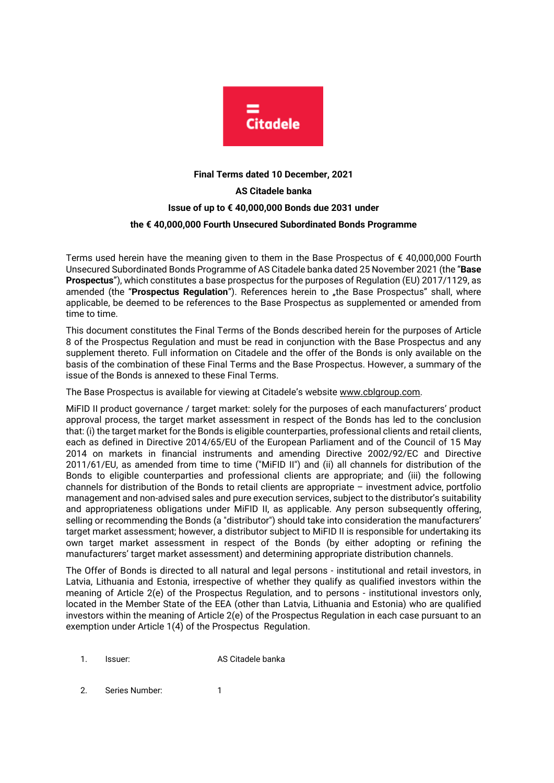

# **Final Terms dated 10 December, 2021 AS Citadele banka Issue of up to € 40,000,000 Bonds due 2031 under the € 40,000,000 Fourth Unsecured Subordinated Bonds Programme**

Terms used herein have the meaning given to them in the Base Prospectus of € 40,000,000 Fourth Unsecured Subordinated Bonds Programme of AS Citadele banka dated 25 November 2021 (the "**Base Prospectus**"), which constitutes a base prospectus for the purposes of Regulation (EU) 2017/1129, as amended (the "Prospectus Requiation"). References herein to "the Base Prospectus" shall, where applicable, be deemed to be references to the Base Prospectus as supplemented or amended from time to time.

This document constitutes the Final Terms of the Bonds described herein for the purposes of Article 8 of the Prospectus Regulation and must be read in conjunction with the Base Prospectus and any supplement thereto. Full information on Citadele and the offer of the Bonds is only available on the basis of the combination of these Final Terms and the Base Prospectus. However, a summary of the issue of the Bonds is annexed to these Final Terms.

The Base Prospectus is available for viewing at Citadele's website [www.cblgroup.com.](http://www.cblgroup.com/)

MiFID II product governance / target market: solely for the purposes of each manufacturers' product approval process, the target market assessment in respect of the Bonds has led to the conclusion that: (i) the target market for the Bonds is eligible counterparties, professional clients and retail clients, each as defined in Directive 2014/65/EU of the European Parliament and of the Council of 15 May 2014 on markets in financial instruments and amending Directive 2002/92/EC and Directive 2011/61/EU, as amended from time to time ("MiFID II") and (ii) all channels for distribution of the Bonds to eligible counterparties and professional clients are appropriate; and (iii) the following channels for distribution of the Bonds to retail clients are appropriate – investment advice, portfolio management and non-advised sales and pure execution services, subject to the distributor's suitability and appropriateness obligations under MiFID II, as applicable. Any person subsequently offering, selling or recommending the Bonds (a "distributor") should take into consideration the manufacturers' target market assessment; however, a distributor subject to MiFID II is responsible for undertaking its own target market assessment in respect of the Bonds (by either adopting or refining the manufacturers' target market assessment) and determining appropriate distribution channels.

The Offer of Bonds is directed to all natural and legal persons - institutional and retail investors, in Latvia, Lithuania and Estonia, irrespective of whether they qualify as qualified investors within the meaning of Article 2(e) of the Prospectus Regulation, and to persons - institutional investors only, located in the Member State of the EEA (other than Latvia, Lithuania and Estonia) who are qualified investors within the meaning of Article 2(e) of the Prospectus Regulation in each case pursuant to an exemption under Article 1(4) of the Prospectus Regulation.

- 1. Issuer: AS Citadele banka
- 2. Series Number: 1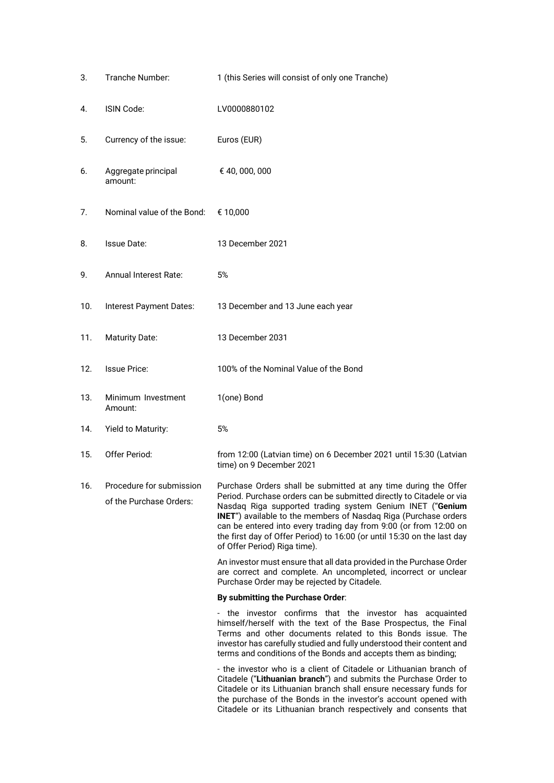| 4.  | ISIN Code:                                          | LV0000880102                                                                                                                                                                                                                                                                                                                                                                                                                                                    |
|-----|-----------------------------------------------------|-----------------------------------------------------------------------------------------------------------------------------------------------------------------------------------------------------------------------------------------------------------------------------------------------------------------------------------------------------------------------------------------------------------------------------------------------------------------|
| 5.  | Currency of the issue:                              | Euros (EUR)                                                                                                                                                                                                                                                                                                                                                                                                                                                     |
| 6.  | Aggregate principal<br>amount:                      | € 40, 000, 000                                                                                                                                                                                                                                                                                                                                                                                                                                                  |
| 7.  | Nominal value of the Bond:                          | € 10,000                                                                                                                                                                                                                                                                                                                                                                                                                                                        |
| 8.  | Issue Date:                                         | 13 December 2021                                                                                                                                                                                                                                                                                                                                                                                                                                                |
| 9.  | <b>Annual Interest Rate:</b>                        | 5%                                                                                                                                                                                                                                                                                                                                                                                                                                                              |
| 10. | Interest Payment Dates:                             | 13 December and 13 June each year                                                                                                                                                                                                                                                                                                                                                                                                                               |
| 11. | <b>Maturity Date:</b>                               | 13 December 2031                                                                                                                                                                                                                                                                                                                                                                                                                                                |
| 12. | <b>Issue Price:</b>                                 | 100% of the Nominal Value of the Bond                                                                                                                                                                                                                                                                                                                                                                                                                           |
| 13. | Minimum Investment<br>Amount:                       | 1(one) Bond                                                                                                                                                                                                                                                                                                                                                                                                                                                     |
| 14. | Yield to Maturity:                                  | 5%                                                                                                                                                                                                                                                                                                                                                                                                                                                              |
| 15. | Offer Period:                                       | from 12:00 (Latvian time) on 6 December 2021 until 15:30 (Latvian<br>time) on 9 December 2021                                                                                                                                                                                                                                                                                                                                                                   |
| 16. | Procedure for submission<br>of the Purchase Orders: | Purchase Orders shall be submitted at any time during the Offer<br>Period. Purchase orders can be submitted directly to Citadele or via<br>Nasdaq Riga supported trading system Genium INET ("Genium<br><b>INET</b> ") available to the members of Nasdaq Riga (Purchase orders<br>can be entered into every trading day from 9:00 (or from 12:00 on<br>the first day of Offer Period) to 16:00 (or until 15:30 on the last day<br>of Offer Period) Riga time). |
|     |                                                     | An investor must ensure that all data provided in the Purchase Order<br>are correct and complete. An uncompleted, incorrect or unclear<br>Purchase Order may be rejected by Citadele.                                                                                                                                                                                                                                                                           |
|     |                                                     | By submitting the Purchase Order:                                                                                                                                                                                                                                                                                                                                                                                                                               |
|     |                                                     | - the investor confirms that the investor has acquainted<br>himself/herself with the text of the Base Prospectus, the Final<br>Terms and other documents related to this Bonds issue. The<br>investor has carefully studied and fully understood their content and<br>terms and conditions of the Bonds and accepts them as binding;                                                                                                                            |
|     |                                                     | - the investor who is a client of Citadele or Lithuanian branch of<br>Citadele ("Lithuanian branch") and submits the Purchase Order to<br>Citadele or its Lithuanian branch shall ensure necessary funds for<br>the purchase of the Bonds in the investor's account opened with<br>Citadele or its Lithuanian branch respectively and consents that                                                                                                             |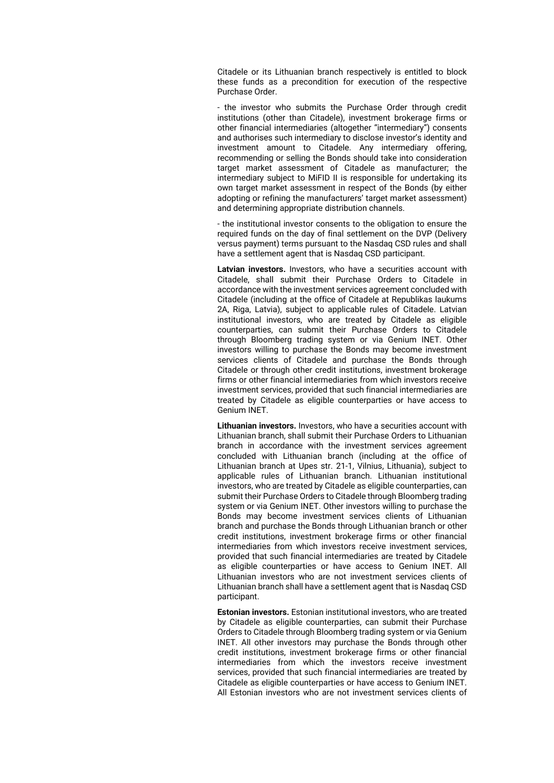Citadele or its Lithuanian branch respectively is entitled to block these funds as a precondition for execution of the respective Purchase Order.

- the investor who submits the Purchase Order through credit institutions (other than Citadele), investment brokerage firms or other financial intermediaries (altogether "intermediary") consents and authorises such intermediary to disclose investor's identity and investment amount to Citadele. Any intermediary offering, recommending or selling the Bonds should take into consideration target market assessment of Citadele as manufacturer; the intermediary subject to MiFID II is responsible for undertaking its own target market assessment in respect of the Bonds (by either adopting or refining the manufacturers' target market assessment) and determining appropriate distribution channels.

- the institutional investor consents to the obligation to ensure the required funds on the day of final settlement on the DVP (Delivery versus payment) terms pursuant to the Nasdaq CSD rules and shall have a settlement agent that is Nasdaq CSD participant.

Latvian investors. Investors, who have a securities account with Citadele, shall submit their Purchase Orders to Citadele in accordance with the investment services agreement concluded with Citadele (including at the office of Citadele at Republikas laukums 2A, Riga, Latvia), subject to applicable rules of Citadele. Latvian institutional investors, who are treated by Citadele as eligible counterparties, can submit their Purchase Orders to Citadele through Bloomberg trading system or via Genium INET. Other investors willing to purchase the Bonds may become investment services clients of Citadele and purchase the Bonds through Citadele or through other credit institutions, investment brokerage firms or other financial intermediaries from which investors receive investment services, provided that such financial intermediaries are treated by Citadele as eligible counterparties or have access to Genium INET.

**Lithuanian investors.** Investors, who have a securities account with Lithuanian branch, shall submit their Purchase Orders to Lithuanian branch in accordance with the investment services agreement concluded with Lithuanian branch (including at the office of Lithuanian branch at Upes str. 21-1, Vilnius, Lithuania), subject to applicable rules of Lithuanian branch. Lithuanian institutional investors, who are treated by Citadele as eligible counterparties, can submit their Purchase Orders to Citadele through Bloomberg trading system or via Genium INET. Other investors willing to purchase the Bonds may become investment services clients of Lithuanian branch and purchase the Bonds through Lithuanian branch or other credit institutions, investment brokerage firms or other financial intermediaries from which investors receive investment services, provided that such financial intermediaries are treated by Citadele as eligible counterparties or have access to Genium INET. All Lithuanian investors who are not investment services clients of Lithuanian branch shall have a settlement agent that is Nasdaq CSD participant.

**Estonian investors.** Estonian institutional investors, who are treated by Citadele as eligible counterparties, can submit their Purchase Orders to Citadele through Bloomberg trading system or via Genium INET. All other investors may purchase the Bonds through other credit institutions, investment brokerage firms or other financial intermediaries from which the investors receive investment services, provided that such financial intermediaries are treated by Citadele as eligible counterparties or have access to Genium INET. All Estonian investors who are not investment services clients of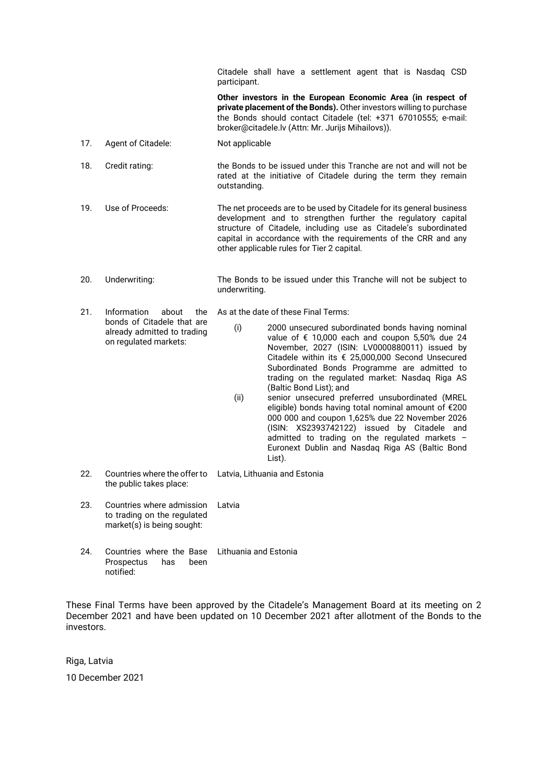|     |                                                                                        | Citadele shall have a settlement agent that is Nasdaq CSD<br>participant.                                                                                                                                                                                                                                                                                                                                                                                                                                                                                                                                                                                                       |  |  |  |  |
|-----|----------------------------------------------------------------------------------------|---------------------------------------------------------------------------------------------------------------------------------------------------------------------------------------------------------------------------------------------------------------------------------------------------------------------------------------------------------------------------------------------------------------------------------------------------------------------------------------------------------------------------------------------------------------------------------------------------------------------------------------------------------------------------------|--|--|--|--|
|     |                                                                                        | Other investors in the European Economic Area (in respect of<br>private placement of the Bonds). Other investors willing to purchase<br>the Bonds should contact Citadele (tel: +371 67010555; e-mail:<br>broker@citadele.lv (Attn: Mr. Jurijs Mihailovs)).                                                                                                                                                                                                                                                                                                                                                                                                                     |  |  |  |  |
| 17. | Agent of Citadele:                                                                     | Not applicable                                                                                                                                                                                                                                                                                                                                                                                                                                                                                                                                                                                                                                                                  |  |  |  |  |
| 18. | Credit rating:                                                                         | the Bonds to be issued under this Tranche are not and will not be<br>rated at the initiative of Citadele during the term they remain<br>outstanding.                                                                                                                                                                                                                                                                                                                                                                                                                                                                                                                            |  |  |  |  |
| 19. | Use of Proceeds:                                                                       | The net proceeds are to be used by Citadele for its general business<br>development and to strengthen further the regulatory capital<br>structure of Citadele, including use as Citadele's subordinated<br>capital in accordance with the requirements of the CRR and any<br>other applicable rules for Tier 2 capital.                                                                                                                                                                                                                                                                                                                                                         |  |  |  |  |
| 20. | Underwriting:                                                                          | The Bonds to be issued under this Tranche will not be subject to<br>underwriting.                                                                                                                                                                                                                                                                                                                                                                                                                                                                                                                                                                                               |  |  |  |  |
| 21. | <b>Information</b><br>about<br>the                                                     | As at the date of these Final Terms:                                                                                                                                                                                                                                                                                                                                                                                                                                                                                                                                                                                                                                            |  |  |  |  |
|     | bonds of Citadele that are<br>already admitted to trading<br>on regulated markets:     | (i)<br>2000 unsecured subordinated bonds having nominal<br>value of € 10,000 each and coupon 5,50% due 24<br>November, 2027 (ISIN: LV0000880011) issued by<br>Citadele within its € 25,000,000 Second Unsecured<br>Subordinated Bonds Programme are admitted to<br>trading on the regulated market: Nasdaq Riga AS<br>(Baltic Bond List); and<br>senior unsecured preferred unsubordinated (MREL<br>(ii)<br>eligible) bonds having total nominal amount of €200<br>000 000 and coupon 1,625% due 22 November 2026<br>(ISIN: XS2393742122) issued by Citadele and<br>admitted to trading on the regulated markets -<br>Euronext Dublin and Nasdaq Riga AS (Baltic Bond<br>List). |  |  |  |  |
| 22. | Countries where the offer to<br>the public takes place:                                | Latvia, Lithuania and Estonia                                                                                                                                                                                                                                                                                                                                                                                                                                                                                                                                                                                                                                                   |  |  |  |  |
| 23. | Countries where admission<br>to trading on the regulated<br>market(s) is being sought: | Latvia                                                                                                                                                                                                                                                                                                                                                                                                                                                                                                                                                                                                                                                                          |  |  |  |  |

24. Countries where the Base Lithuania and Estonia Prospectus has been notified:

These Final Terms have been approved by the Citadele's Management Board at its meeting on 2 December 2021 and have been updated on 10 December 2021 after allotment of the Bonds to the investors.

Riga, Latvia 10 December 2021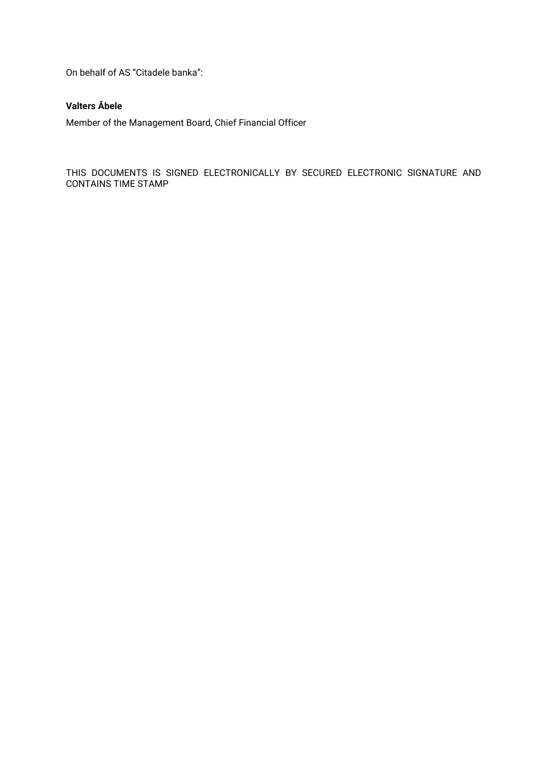On behalf of AS "Citadele banka":

### **Valters Ābele**

Member of the Management Board, Chief Financial Officer

THIS DOCUMENTS IS SIGNED ELECTRONICALLY BY SECURED ELECTRONIC SIGNATURE AND CONTAINS TIME STAMP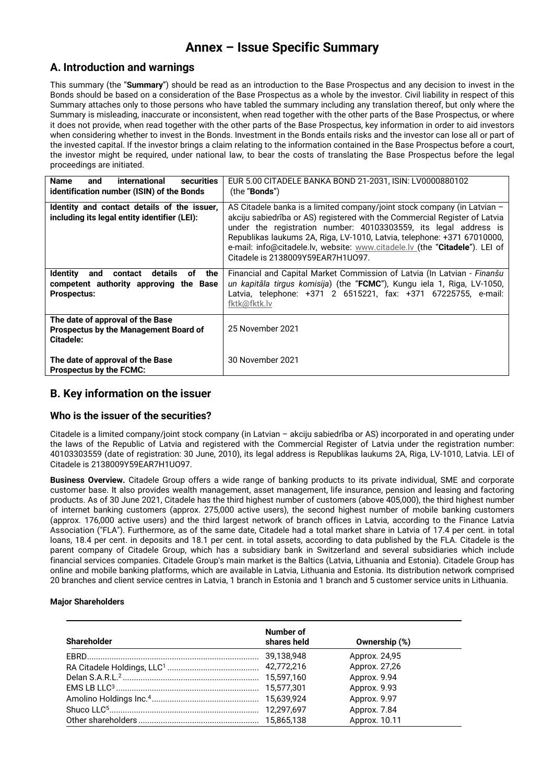# **Annex – Issue Specific Summary**

# **A. Introduction and warnings**

This summary (the "**Summary**") should be read as an introduction to the Base Prospectus and any decision to invest in the Bonds should be based on a consideration of the Base Prospectus as a whole by the investor. Civil liability in respect of this Summary attaches only to those persons who have tabled the summary including any translation thereof, but only where the Summary is misleading, inaccurate or inconsistent, when read together with the other parts of the Base Prospectus, or where it does not provide, when read together with the other parts of the Base Prospectus, key information in order to aid investors when considering whether to invest in the Bonds. Investment in the Bonds entails risks and the investor can lose all or part of the invested capital. If the investor brings a claim relating to the information contained in the Base Prospectus before a court, the investor might be required, under national law, to bear the costs of translating the Base Prospectus before the legal proceedings are initiated.

| international<br><b>Name</b><br>securities<br>and<br>identification number (ISIN) of the Bonds                            | EUR 5.00 CITADELE BANKA BOND 21-2031, ISIN: LV0000880102<br>(the " <b>Bonds</b> ")                                                                                                                                                                                                                                                                                                                                        |  |  |  |  |
|---------------------------------------------------------------------------------------------------------------------------|---------------------------------------------------------------------------------------------------------------------------------------------------------------------------------------------------------------------------------------------------------------------------------------------------------------------------------------------------------------------------------------------------------------------------|--|--|--|--|
| Identity and contact details of the issuer,<br>including its legal entity identifier (LEI):                               | AS Citadele banka is a limited company/joint stock company (in Latvian -<br>akciju sabiedrība or AS) registered with the Commercial Register of Latvia<br>under the registration number: 40103303559, its legal address is<br>Republikas laukums 2A, Riga, LV-1010, Latvia, telephone: +371 67010000,<br>e-mail: info@citadele.lv, website: www.citadele.lv (the "Citadele"). LEI of<br>Citadele is 2138009Y59EAR7H1UO97. |  |  |  |  |
| the<br>details<br>оf<br><b>Identity</b><br>contact<br>and<br>competent authority approving the Base<br><b>Prospectus:</b> | Financial and Capital Market Commission of Latvia (In Latvian - Finanšu<br>un kapitāla tirgus komisija) (the "FCMC"), Kungu iela 1, Riga, LV-1050,<br>Latvia, telephone: +371 2 6515221, fax: +371 67225755, e-mail:<br>fktk@fktk.lv                                                                                                                                                                                      |  |  |  |  |
| The date of approval of the Base<br>Prospectus by the Management Board of<br>Citadele:                                    | 25 November 2021                                                                                                                                                                                                                                                                                                                                                                                                          |  |  |  |  |
| The date of approval of the Base<br><b>Prospectus by the FCMC:</b>                                                        | 30 November 2021                                                                                                                                                                                                                                                                                                                                                                                                          |  |  |  |  |

## **B. Key information on the issuer**

## **Who is the issuer of the securities?**

Citadele is a limited company/joint stock company (in Latvian – akciju sabiedrība or AS) incorporated in and operating under the laws of the Republic of Latvia and registered with the Commercial Register of Latvia under the registration number: 40103303559 (date of registration: 30 June, 2010), its legal address is Republikas laukums 2A, Riga, LV-1010, Latvia. LEI of Citadele is 2138009Y59EAR7H1UO97.

**Business Overview.** Citadele Group offers a wide range of banking products to its private individual, SME and corporate customer base. It also provides wealth management, asset management, life insurance, pension and leasing and factoring products. As of 30 June 2021, Citadele has the third highest number of customers (above 405,000), the third highest number of internet banking customers (approx. 275,000 active users), the second highest number of mobile banking customers (approx. 176,000 active users) and the third largest network of branch offices in Latvia, according to the Finance Latvia Association ("FLA"). Furthermore, as of the same date, Citadele had a total market share in Latvia of 17.4 per cent. in total loans, 18.4 per cent. in deposits and 18.1 per cent. in total assets, according to data published by the FLA. Citadele is the parent company of Citadele Group, which has a subsidiary bank in Switzerland and several subsidiaries which include financial services companies. Citadele Group's main market is the Baltics (Latvia, Lithuania and Estonia). Citadele Group has online and mobile banking platforms, which are available in Latvia, Lithuania and Estonia. Its distribution network comprised 20 branches and client service centres in Latvia, 1 branch in Estonia and 1 branch and 5 customer service units in Lithuania.

### **Major Shareholders**

| <b>Shareholder</b> | Number of<br>shares held | Ownership (%) |  |
|--------------------|--------------------------|---------------|--|
|                    | 39,138,948               | Approx. 24,95 |  |
|                    |                          | Approx. 27,26 |  |
|                    |                          | Approx. 9.94  |  |
|                    |                          | Approx. 9.93  |  |
|                    |                          | Approx. 9.97  |  |
|                    |                          | Approx. 7.84  |  |
|                    |                          | Approx. 10.11 |  |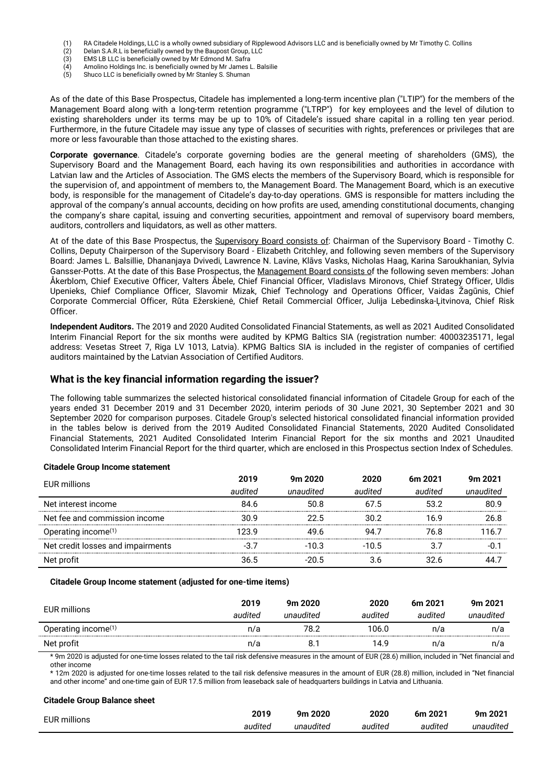- (1) RA Citadele Holdings, LLC is a wholly owned subsidiary of Ripplewood Advisors LLC and is beneficially owned by Mr Timothy C. Collins
- (2) Delan S.A.R.L is beneficially owned by the Baupost Group, LLC
- (3) EMS LB LLC is beneficially owned by Mr Edmond M. Safra<br>(4) Amolino Holdings Inc. is beneficially owned by Mr James L
- (4) Amolino Holdings Inc. is beneficially owned by Mr James L. Balsilie Shuco LLC is beneficially owned by Mr Stanley S. Shuman
- 

As of the date of this Base Prospectus, Citadele has implemented a long-term incentive plan ("LTIP") for the members of the Management Board along with a long-term retention programme ("LTRP") for key employees and the level of dilution to existing shareholders under its terms may be up to 10% of Citadele's issued share capital in a rolling ten year period. Furthermore, in the future Citadele may issue any type of classes of securities with rights, preferences or privileges that are more or less favourable than those attached to the existing shares.

**Corporate governance**. Citadele's corporate governing bodies are the general meeting of shareholders (GMS), the Supervisory Board and the Management Board, each having its own responsibilities and authorities in accordance with Latvian law and the Articles of Association. The GMS elects the members of the Supervisory Board, which is responsible for the supervision of, and appointment of members to, the Management Board. The Management Board, which is an executive body, is responsible for the management of Citadele's day-to-day operations. GMS is responsible for matters including the approval of the company's annual accounts, deciding on how profits are used, amending constitutional documents, changing the company's share capital, issuing and converting securities, appointment and removal of supervisory board members, auditors, controllers and liquidators, as well as other matters.

At of the date of this Base Prospectus, the Supervisory Board consists of: Chairman of the Supervisory Board - Timothy C. Collins, Deputy Chairperson of the Supervisory Board - Elizabeth Critchley, and following seven members of the Supervisory Board: James L. Balsillie, Dhananjaya Dvivedi, Lawrence N. Lavine, Klāvs Vasks, Nicholas Haag, Karina Saroukhanian, Sylvia Gansser-Potts. At the date of this Base Prospectus, the Management Board consists of the following seven members: Johan Åkerblom, Chief Executive Officer, Valters Ābele, Chief Financial Officer, Vladislavs Mironovs, Chief Strategy Officer, Uldis Upenieks, Chief Compliance Officer, Slavomir Mizak, Chief Technology and Operations Officer, Vaidas Žagūnis, Chief Corporate Commercial Officer, Rūta Ežerskienė, Chief Retail Commercial Officer, Julija Lebedinska-Ļitvinova, Chief Risk Officer.

**Independent Auditors.** The 2019 and 2020 Audited Consolidated Financial Statements, as well as 2021 Audited Consolidated Interim Financial Report for the six months were audited by KPMG Baltics SIA (registration number: 40003235171, legal address: Vesetas Street 7, Riga LV 1013, Latvia). KPMG Baltics SIA is included in the register of companies of certified auditors maintained by the Latvian Association of Certified Auditors.

### **What is the key financial information regarding the issuer?**

The following table summarizes the selected historical consolidated financial information of Citadele Group for each of the years ended 31 December 2019 and 31 December 2020, interim periods of 30 June 2021, 30 September 2021 and 30 September 2020 for comparison purposes. Citadele Group's selected historical consolidated financial information provided in the tables below is derived from the 2019 Audited Consolidated Financial Statements, 2020 Audited Consolidated Financial Statements, 2021 Audited Consolidated Interim Financial Report for the six months and 2021 Unaudited Consolidated Interim Financial Report for the third quarter, which are enclosed in this Prospectus section Index of Schedules.

#### **Citadele Group Income statement**

| EUR millions                      | 2019    | 9 <sub>m</sub> 2020 | 2020    | 6m 2021 | 9m 2021   |
|-----------------------------------|---------|---------------------|---------|---------|-----------|
|                                   | audited | unaudited           | audited | audited | unaudited |
| Net interest income               | 84 R    | 50.8                | 675     | 53 2    | 80 Q      |
| Net fee and commission income     |         |                     |         |         | 26.8      |
| Operating income <sup>(1)</sup>   |         | 49 R                |         | 76 R    | 116. 7    |
| Net credit losses and impairments |         | -10.3               | -10.5   |         |           |
| Net profit                        |         |                     |         |         |           |

#### **Citadele Group Income statement (adjusted for one-time items)**

| EUR millions                                     | 2019<br>audited | 9m 2020<br>unaudited | 2020<br>audited | 6m 2021<br>audited | 9m 2021<br>unaudited |
|--------------------------------------------------|-----------------|----------------------|-----------------|--------------------|----------------------|
| Operating income <sup>(1)</sup><br>------------- | n/a             | 78 2                 | 106.0           | n/a                | n/a                  |
| Net profit                                       | n/a             |                      | 14.9            | n/a                | n/a                  |

\* 9m 2020 is adjusted for one-time losses related to the tail risk defensive measures in the amount of EUR (28.6) million, included in "Net financial and other income

\* 12m 2020 is adjusted for one-time losses related to the tail risk defensive measures in the amount of EUR (28.8) million, included in "Net financial and other income" and one-time gain of EUR 17.5 million from leaseback sale of headquarters buildings in Latvia and Lithuania.

#### **Citadele Group Balance sheet**

| <b>EUR millions</b> | 2019    | 9m 2020   | 2020    | 6m 2021 | 9m 2021   |
|---------------------|---------|-----------|---------|---------|-----------|
|                     | audited | unaudited | audited | audited | unaudited |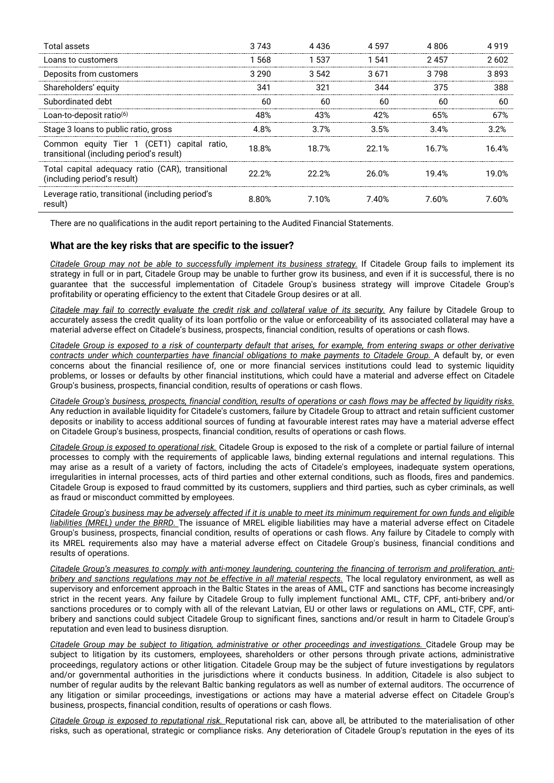| <b>Total assets</b>                                                                    | 3 743 | 4 436 | 4.597 | 4806  | 4 919  |
|----------------------------------------------------------------------------------------|-------|-------|-------|-------|--------|
| Loans to customers                                                                     | 1 568 | 1 537 | 1.541 | 2457  | 2.602. |
| Deposits from customers                                                                | 3.290 | 3.542 | 3671  | 3.798 | 3.893  |
| Shareholders' equity                                                                   | 341   | 321   | 344   | 375   | 388    |
| Subordinated debt                                                                      | 60    | 60    | 60    | 60    | 60     |
| Loan-to-deposit ratio <sup>(6)</sup>                                                   | 48%   | 43%   |       | 65%   | 67%    |
| Stage 3 loans to public ratio, gross                                                   | 4 8%  | 3 7%  | 3.5%  | 3 4%  |        |
| Common equity Tier 1 (CET1) capital ratio,<br>transitional (including period's result) | 18.8% | 18.7% | 22.1% | 16.7% | 16.4%  |
| Total capital adequacy ratio (CAR), transitional<br>(including period's result)        | 22.2% | 22.2% | 26 በ% | 19.4% | 19 በ%  |
| Leverage ratio, transitional (including period's<br>result                             | 8.80% | 7.10% | 7.40% | 7.60% | 7.60%  |

There are no qualifications in the audit report pertaining to the Audited Financial Statements.

### **What are the key risks that are specific to the issuer?**

*Citadele Group may not be able to successfully implement its business strategy.* If Citadele Group fails to implement its strategy in full or in part, Citadele Group may be unable to further grow its business, and even if it is successful, there is no guarantee that the successful implementation of Citadele Group's business strategy will improve Citadele Group's profitability or operating efficiency to the extent that Citadele Group desires or at all.

*Citadele may fail to correctly evaluate the credit risk and collateral value of its security.* Any failure by Citadele Group to accurately assess the credit quality of its loan portfolio or the value or enforceability of its associated collateral may have a material adverse effect on Citadele's business, prospects, financial condition, results of operations or cash flows.

*Citadele Group is exposed to a risk of counterparty default that arises, for example, from entering swaps or other derivative contracts under which counterparties have financial obligations to make payments to Citadele Group.* A default by, or even concerns about the financial resilience of, one or more financial services institutions could lead to systemic liquidity problems, or losses or defaults by other financial institutions, which could have a material and adverse effect on Citadele Group's business, prospects, financial condition, results of operations or cash flows.

*Citadele Group's business, prospects, financial condition, results of operations or cash flows may be affected by liquidity risks.* Any reduction in available liquidity for Citadele's customers, failure by Citadele Group to attract and retain sufficient customer deposits or inability to access additional sources of funding at favourable interest rates may have a material adverse effect on Citadele Group's business, prospects, financial condition, results of operations or cash flows.

*Citadele Group is exposed to operational risk.* Citadele Group is exposed to the risk of a complete or partial failure of internal processes to comply with the requirements of applicable laws, binding external regulations and internal regulations. This may arise as a result of a variety of factors, including the acts of Citadele's employees, inadequate system operations, irregularities in internal processes, acts of third parties and other external conditions, such as floods, fires and pandemics. Citadele Group is exposed to fraud committed by its customers, suppliers and third parties, such as cyber criminals, as well as fraud or misconduct committed by employees.

*Citadele Group's business may be adversely affected if it is unable to meet its minimum requirement for own funds and eligible liabilities (MREL) under the BRRD.* The issuance of MREL eligible liabilities may have a material adverse effect on Citadele Group's business, prospects, financial condition, results of operations or cash flows. Any failure by Citadele to comply with its MREL requirements also may have a material adverse effect on Citadele Group's business, financial conditions and results of operations.

*Citadele Group's measures to comply with anti-money laundering, countering the financing of terrorism and proliferation, antibribery and sanctions regulations may not be effective in all material respects.* The local regulatory environment, as well as supervisory and enforcement approach in the Baltic States in the areas of AML, CTF and sanctions has become increasingly strict in the recent years. Any failure by Citadele Group to fully implement functional AML, CTF, CPF, anti-bribery and/or sanctions procedures or to comply with all of the relevant Latvian, EU or other laws or regulations on AML, CTF, CPF, antibribery and sanctions could subject Citadele Group to significant fines, sanctions and/or result in harm to Citadele Group's reputation and even lead to business disruption.

*Citadele Group may be subject to litigation, administrative or other proceedings and investigations.* Citadele Group may be subject to litigation by its customers, employees, shareholders or other persons through private actions, administrative proceedings, regulatory actions or other litigation. Citadele Group may be the subject of future investigations by regulators and/or governmental authorities in the jurisdictions where it conducts business. In addition, Citadele is also subject to number of regular audits by the relevant Baltic banking regulators as well as number of external auditors. The occurrence of any litigation or similar proceedings, investigations or actions may have a material adverse effect on Citadele Group's business, prospects, financial condition, results of operations or cash flows.

*Citadele Group is exposed to reputational risk.* Reputational risk can, above all, be attributed to the materialisation of other risks, such as operational, strategic or compliance risks. Any deterioration of Citadele Group's reputation in the eyes of its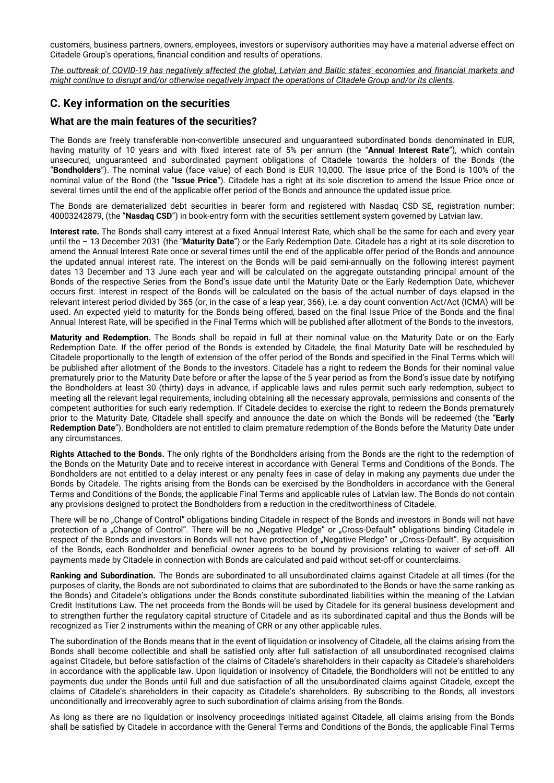customers, business partners, owners, employees, investors or supervisory authorities may have a material adverse effect on Citadele Group's operations, financial condition and results of operations.

*The outbreak of COVID-19 has negatively affected the global, Latvian and Baltic states' economies and financial markets and might continue to disrupt and/or otherwise negatively impact the operations of Citadele Group and/or its clients.*

# **C. Key information on the securities**

### **What are the main features of the securities?**

The Bonds are freely transferable non-convertible unsecured and unguaranteed subordinated bonds denominated in EUR, having maturity of 10 years and with fixed interest rate of 5% per annum (the "**Annual Interest Rate**"), which contain unsecured, unguaranteed and subordinated payment obligations of Citadele towards the holders of the Bonds (the "**Bondholders**"). The nominal value (face value) of each Bond is EUR 10,000. The issue price of the Bond is 100% of the nominal value of the Bond (the "**Issue Price**"). Citadele has a right at its sole discretion to amend the Issue Price once or several times until the end of the applicable offer period of the Bonds and announce the updated issue price.

The Bonds are dematerialized debt securities in bearer form and registered with Nasdaq CSD SE, registration number: 40003242879, (the "**Nasdaq CSD**") in book-entry form with the securities settlement system governed by Latvian law.

**Interest rate.** The Bonds shall carry interest at a fixed Annual Interest Rate, which shall be the same for each and every year until the – 13 December 2031 (the "**Maturity Date**") or the Early Redemption Date. Citadele has a right at its sole discretion to amend the Annual Interest Rate once or several times until the end of the applicable offer period of the Bonds and announce the updated annual interest rate. The interest on the Bonds will be paid semi-annually on the following interest payment dates 13 December and 13 June each year and will be calculated on the aggregate outstanding principal amount of the Bonds of the respective Series from the Bond's issue date until the Maturity Date or the Early Redemption Date, whichever occurs first. Interest in respect of the Bonds will be calculated on the basis of the actual number of days elapsed in the relevant interest period divided by 365 (or, in the case of a leap year, 366), i.e. a day count convention Act/Act (ICMA) will be used. An expected yield to maturity for the Bonds being offered, based on the final Issue Price of the Bonds and the final Annual Interest Rate, will be specified in the Final Terms which will be published after allotment of the Bonds to the investors.

**Maturity and Redemption.** The Bonds shall be repaid in full at their nominal value on the Maturity Date or on the Early Redemption Date. If the offer period of the Bonds is extended by Citadele, the final Maturity Date will be rescheduled by Citadele proportionally to the length of extension of the offer period of the Bonds and specified in the Final Terms which will be published after allotment of the Bonds to the investors. Citadele has a right to redeem the Bonds for their nominal value prematurely prior to the Maturity Date before or after the lapse of the 5 year period as from the Bond's issue date by notifying the Bondholders at least 30 (thirty) days in advance, if applicable laws and rules permit such early redemption, subject to meeting all the relevant legal requirements, including obtaining all the necessary approvals, permissions and consents of the competent authorities for such early redemption. If Citadele decides to exercise the right to redeem the Bonds prematurely prior to the Maturity Date, Citadele shall specify and announce the date on which the Bonds will be redeemed (the "**Early Redemption Date**"). Bondholders are not entitled to claim premature redemption of the Bonds before the Maturity Date under any circumstances.

**Rights Attached to the Bonds.** The only rights of the Bondholders arising from the Bonds are the right to the redemption of the Bonds on the Maturity Date and to receive interest in accordance with General Terms and Conditions of the Bonds. The Bondholders are not entitled to a delay interest or any penalty fees in case of delay in making any payments due under the Bonds by Citadele. The rights arising from the Bonds can be exercised by the Bondholders in accordance with the General Terms and Conditions of the Bonds, the applicable Final Terms and applicable rules of Latvian law. The Bonds do not contain any provisions designed to protect the Bondholders from a reduction in the creditworthiness of Citadele.

There will be no "Change of Control" obligations binding Citadele in respect of the Bonds and investors in Bonds will not have protection of a "Change of Control". There will be no "Negative Pledge" or "Cross-Default" obligations binding Citadele in respect of the Bonds and investors in Bonds will not have protection of "Negative Pledge" or "Cross-Default". By acquisition of the Bonds, each Bondholder and beneficial owner agrees to be bound by provisions relating to waiver of set-off. All payments made by Citadele in connection with Bonds are calculated and paid without set-off or counterclaims.

**Ranking and Subordination.** The Bonds are subordinated to all unsubordinated claims against Citadele at all times (for the purposes of clarity, the Bonds are not subordinated to claims that are subordinated to the Bonds or have the same ranking as the Bonds) and Citadele's obligations under the Bonds constitute subordinated liabilities within the meaning of the Latvian Credit Institutions Law. The net proceeds from the Bonds will be used by Citadele for its general business development and to strengthen further the regulatory capital structure of Citadele and as its subordinated capital and thus the Bonds will be recognized as Tier 2 instruments within the meaning of CRR or any other applicable rules.

The subordination of the Bonds means that in the event of liquidation or insolvency of Citadele, all the claims arising from the Bonds shall become collectible and shall be satisfied only after full satisfaction of all unsubordinated recognised claims against Citadele, but before satisfaction of the claims of Citadele's shareholders in their capacity as Citadele's shareholders in accordance with the applicable law. Upon liquidation or insolvency of Citadele, the Bondholders will not be entitled to any payments due under the Bonds until full and due satisfaction of all the unsubordinated claims against Citadele, except the claims of Citadele's shareholders in their capacity as Citadele's shareholders. By subscribing to the Bonds, all investors unconditionally and irrecoverably agree to such subordination of claims arising from the Bonds.

As long as there are no liquidation or insolvency proceedings initiated against Citadele, all claims arising from the Bonds shall be satisfied by Citadele in accordance with the General Terms and Conditions of the Bonds, the applicable Final Terms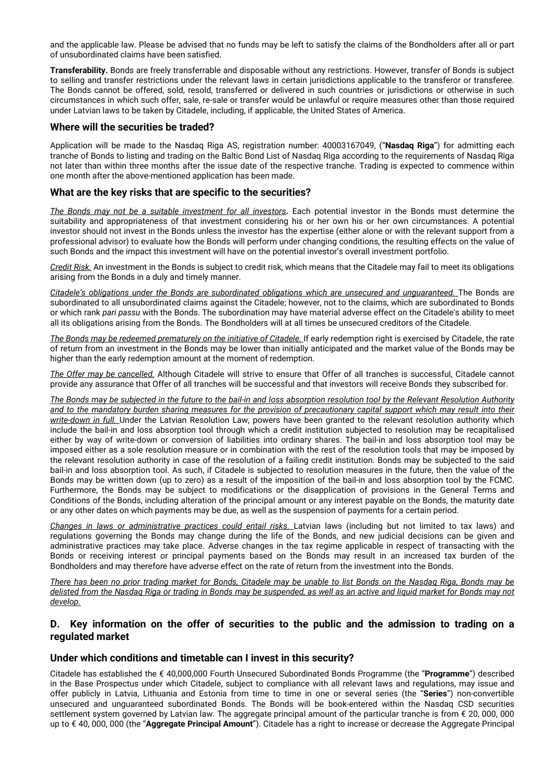and the applicable law. Please be advised that no funds may be left to satisfy the claims of the Bondholders after all or part of unsubordinated claims have been satisfied.

**Transferability.** Bonds are freely transferrable and disposable without any restrictions. However, transfer of Bonds is subject to selling and transfer restrictions under the relevant laws in certain jurisdictions applicable to the transferor or transferee. The Bonds cannot be offered, sold, resold, transferred or delivered in such countries or jurisdictions or otherwise in such circumstances in which such offer, sale, re-sale or transfer would be unlawful or require measures other than those required under Latvian laws to be taken by Citadele, including, if applicable, the United States of America.

### **Where will the securities be traded?**

Application will be made to the Nasdaq Riga AS, registration number: 40003167049, ("**Nasdaq Riga**") for admitting each tranche of Bonds to listing and trading on the Baltic Bond List of Nasdaq Riga according to the requirements of Nasdaq Riga not later than within three months after the issue date of the respective tranche. Trading is expected to commence within one month after the above-mentioned application has been made.

### **What are the key risks that are specific to the securities?**

*The Bonds may not be a suitable investment for all investors***.** Each potential investor in the Bonds must determine the suitability and appropriateness of that investment considering his or her own his or her own circumstances. A potential investor should not invest in the Bonds unless the investor has the expertise (either alone or with the relevant support from a professional advisor) to evaluate how the Bonds will perform under changing conditions, the resulting effects on the value of such Bonds and the impact this investment will have on the potential investor's overall investment portfolio.

*Credit Risk.* An investment in the Bonds is subject to credit risk, which means that the Citadele may fail to meet its obligations arising from the Bonds in a duly and timely manner.

*Citadele's obligations under the Bonds are subordinated obligations which are unsecured and unguaranteed.* The Bonds are subordinated to all unsubordinated claims against the Citadele; however, not to the claims, which are subordinated to Bonds or which rank *pari passu* with the Bonds. The subordination may have material adverse effect on the Citadele's ability to meet all its obligations arising from the Bonds. The Bondholders will at all times be unsecured creditors of the Citadele.

*The Bonds may be redeemed prematurely on the initiative of Citadele.* If early redemption right is exercised by Citadele, the rate of return from an investment in the Bonds may be lower than initially anticipated and the market value of the Bonds may be higher than the early redemption amount at the moment of redemption.

*The Offer may be cancelled.* Although Citadele will strive to ensure that Offer of all tranches is successful, Citadele cannot provide any assurance that Offer of all tranches will be successful and that investors will receive Bonds they subscribed for.

*The Bonds may be subjected in the future to the bail-in and loss absorption resolution tool by the Relevant Resolution Authority* and to the mandatory burden sharing measures for the provision of precautionary capital support which may result into their *write-down in full.* Under the Latvian Resolution Law, powers have been granted to the relevant resolution authority which include the bail-in and loss absorption tool through which a credit institution subjected to resolution may be recapitalised either by way of write-down or conversion of liabilities into ordinary shares. The bail-in and loss absorption tool may be imposed either as a sole resolution measure or in combination with the rest of the resolution tools that may be imposed by the relevant resolution authority in case of the resolution of a failing credit institution. Bonds may be subjected to the said bail-in and loss absorption tool. As such, if Citadele is subjected to resolution measures in the future, then the value of the Bonds may be written down (up to zero) as a result of the imposition of the bail-in and loss absorption tool by the FCMC. Furthermore, the Bonds may be subject to modifications or the disapplication of provisions in the General Terms and Conditions of the Bonds, including alteration of the principal amount or any interest payable on the Bonds, the maturity date or any other dates on which payments may be due, as well as the suspension of payments for a certain period.

*Changes in laws or administrative practices could entail risks.* Latvian laws (including but not limited to tax laws) and regulations governing the Bonds may change during the life of the Bonds, and new judicial decisions can be given and administrative practices may take place. Adverse changes in the tax regime applicable in respect of transacting with the Bonds or receiving interest or principal payments based on the Bonds may result in an increased tax burden of the Bondholders and may therefore have adverse effect on the rate of return from the investment into the Bonds.

*There has been no prior trading market for Bonds, Citadele may be unable to list Bonds on the Nasdaq Riga, Bonds may be delisted from the Nasdaq Riga or trading in Bonds may be suspended, as well as an active and liquid market for Bonds may not develop.*

### **D. Key information on the offer of securities to the public and the admission to trading on a regulated market**

### **Under which conditions and timetable can I invest in this security?**

Citadele has established the € 40,000,000 Fourth Unsecured Subordinated Bonds Programme (the "**Programme**") described in the Base Prospectus under which Citadele, subject to compliance with all relevant laws and regulations, may issue and offer publicly in Latvia, Lithuania and Estonia from time to time in one or several series (the "**Series**") non*-*convertible unsecured and unguaranteed subordinated Bonds. The Bonds will be book-entered within the Nasdaq CSD securities settlement system governed by Latvian law. The aggregate principal amount of the particular tranche is from € 20,000,000 up to € 40, 000, 000 (the "**Aggregate Principal Amount**"). Citadele has a right to increase or decrease the Aggregate Principal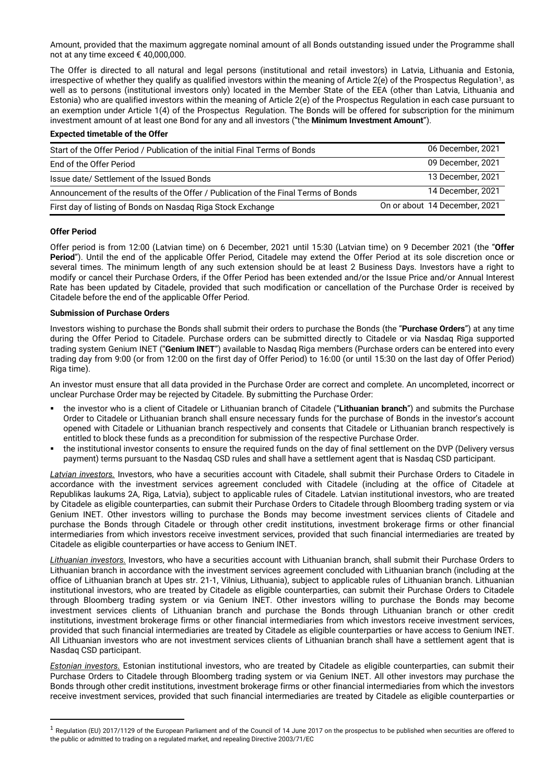Amount, provided that the maximum aggregate nominal amount of all Bonds outstanding issued under the Programme shall not at any time exceed € 40,000,000.

The Offer is directed to all natural and legal persons (institutional and retail investors) in Latvia, Lithuania and Estonia, irrespective of whether they qualify as qualified investors within the meaning of Article 2(e) of the Prospectus Regulation[1](#page-10-0), as well as to persons (institutional investors only) located in the Member State of the EEA (other than Latvia, Lithuania and Estonia) who are qualified investors within the meaning of Article 2(e) of the Prospectus Regulation in each case pursuant to an exemption under Article 1(4) of the Prospectus Regulation. The Bonds will be offered for subscription for the minimum investment amount of at least one Bond for any and all investors ("the **Minimum Investment Amount**").

### **Expected timetable of the Offer**

| Start of the Offer Period / Publication of the initial Final Terms of Bonds        | 06 December, 2021             |
|------------------------------------------------------------------------------------|-------------------------------|
| End of the Offer Period                                                            | 09 December, 2021             |
| Issue date/ Settlement of the Issued Bonds                                         | 13 December, 2021             |
| Announcement of the results of the Offer / Publication of the Final Terms of Bonds | 14 December, 2021             |
| First day of listing of Bonds on Nasdaq Riga Stock Exchange                        | On or about 14 December, 2021 |

### **Offer Period**

Offer period is from 12:00 (Latvian time) on 6 December, 2021 until 15:30 (Latvian time) on 9 December 2021 (the "**Offer Period**"). Until the end of the applicable Offer Period, Citadele may extend the Offer Period at its sole discretion once or several times. The minimum length of any such extension should be at least 2 Business Days. Investors have a right to modify or cancel their Purchase Orders, if the Offer Period has been extended and/or the Issue Price and/or Annual Interest Rate has been updated by Citadele, provided that such modification or cancellation of the Purchase Order is received by Citadele before the end of the applicable Offer Period.

### **Submission of Purchase Orders**

Investors wishing to purchase the Bonds shall submit their orders to purchase the Bonds (the "**Purchase Orders**") at any time during the Offer Period to Citadele. Purchase orders can be submitted directly to Citadele or via Nasdaq Riga supported trading system Genium INET ("**Genium INET**") available to Nasdaq Riga members (Purchase orders can be entered into every trading day from 9:00 (or from 12:00 on the first day of Offer Period) to 16:00 (or until 15:30 on the last day of Offer Period) Riga time).

An investor must ensure that all data provided in the Purchase Order are correct and complete. An uncompleted, incorrect or unclear Purchase Order may be rejected by Citadele. By submitting the Purchase Order:

- the investor who is a client of Citadele or Lithuanian branch of Citadele ("**Lithuanian branch**") and submits the Purchase Order to Citadele or Lithuanian branch shall ensure necessary funds for the purchase of Bonds in the investor's account opened with Citadele or Lithuanian branch respectively and consents that Citadele or Lithuanian branch respectively is entitled to block these funds as a precondition for submission of the respective Purchase Order.
- the institutional investor consents to ensure the required funds on the day of final settlement on the DVP (Delivery versus payment) terms pursuant to the Nasdaq CSD rules and shall have a settlement agent that is Nasdaq CSD participant.

*Latvian investors.* Investors, who have a securities account with Citadele, shall submit their Purchase Orders to Citadele in accordance with the investment services agreement concluded with Citadele (including at the office of Citadele at Republikas laukums 2A, Riga, Latvia), subject to applicable rules of Citadele. Latvian institutional investors, who are treated by Citadele as eligible counterparties, can submit their Purchase Orders to Citadele through Bloomberg trading system or via Genium INET. Other investors willing to purchase the Bonds may become investment services clients of Citadele and purchase the Bonds through Citadele or through other credit institutions, investment brokerage firms or other financial intermediaries from which investors receive investment services, provided that such financial intermediaries are treated by Citadele as eligible counterparties or have access to Genium INET.

*Lithuanian investors.* Investors, who have a securities account with Lithuanian branch, shall submit their Purchase Orders to Lithuanian branch in accordance with the investment services agreement concluded with Lithuanian branch (including at the office of Lithuanian branch at Upes str. 21-1, Vilnius, Lithuania), subject to applicable rules of Lithuanian branch. Lithuanian institutional investors, who are treated by Citadele as eligible counterparties, can submit their Purchase Orders to Citadele through Bloomberg trading system or via Genium INET. Other investors willing to purchase the Bonds may become investment services clients of Lithuanian branch and purchase the Bonds through Lithuanian branch or other credit institutions, investment brokerage firms or other financial intermediaries from which investors receive investment services, provided that such financial intermediaries are treated by Citadele as eligible counterparties or have access to Genium INET. All Lithuanian investors who are not investment services clients of Lithuanian branch shall have a settlement agent that is Nasdaq CSD participant.

*Estonian investors.* Estonian institutional investors, who are treated by Citadele as eligible counterparties, can submit their Purchase Orders to Citadele through Bloomberg trading system or via Genium INET. All other investors may purchase the Bonds through other credit institutions, investment brokerage firms or other financial intermediaries from which the investors receive investment services, provided that such financial intermediaries are treated by Citadele as eligible counterparties or

<span id="page-10-0"></span> $1$  Regulation (EU) 2017/1129 of the European Parliament and of the Council of 14 June 2017 on the prospectus to be published when securities are offered to the public or admitted to trading on a regulated market, and repealing Directive 2003/71/EC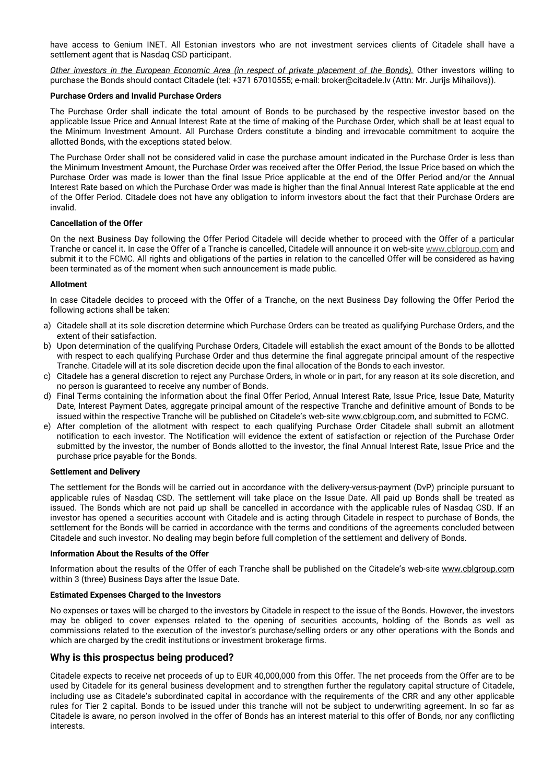have access to Genium INET. All Estonian investors who are not investment services clients of Citadele shall have a settlement agent that is Nasdaq CSD participant.

*Other investors in the European Economic Area (in respect of private placement of the Bonds).* Other investors willing to purchase the Bonds should contact Citadele (tel: +371 67010555; e-mail: broker@citadele.lv (Attn: Mr. Jurijs Mihailovs)).

### **Purchase Orders and Invalid Purchase Orders**

The Purchase Order shall indicate the total amount of Bonds to be purchased by the respective investor based on the applicable Issue Price and Annual Interest Rate at the time of making of the Purchase Order, which shall be at least equal to the Minimum Investment Amount. All Purchase Orders constitute a binding and irrevocable commitment to acquire the allotted Bonds, with the exceptions stated below.

The Purchase Order shall not be considered valid in case the purchase amount indicated in the Purchase Order is less than the Minimum Investment Amount, the Purchase Order was received after the Offer Period, the Issue Price based on which the Purchase Order was made is lower than the final Issue Price applicable at the end of the Offer Period and/or the Annual Interest Rate based on which the Purchase Order was made is higher than the final Annual Interest Rate applicable at the end of the Offer Period. Citadele does not have any obligation to inform investors about the fact that their Purchase Orders are invalid.

### **Cancellation of the Offer**

On the next Business Day following the Offer Period Citadele will decide whether to proceed with the Offer of a particular Tranche or cancel it. In case the Offer of a Tranche is cancelled, Citadele will announce it on web-sit[e www.cblgroup.com](http://www.cblgroup.com/) and submit it to the FCMC. All rights and obligations of the parties in relation to the cancelled Offer will be considered as having been terminated as of the moment when such announcement is made public.

#### **Allotment**

In case Citadele decides to proceed with the Offer of a Tranche, on the next Business Day following the Offer Period the following actions shall be taken:

- a) Citadele shall at its sole discretion determine which Purchase Orders can be treated as qualifying Purchase Orders, and the extent of their satisfaction.
- b) Upon determination of the qualifying Purchase Orders, Citadele will establish the exact amount of the Bonds to be allotted with respect to each qualifying Purchase Order and thus determine the final aggregate principal amount of the respective Tranche. Citadele will at its sole discretion decide upon the final allocation of the Bonds to each investor.
- c) Citadele has a general discretion to reject any Purchase Orders, in whole or in part, for any reason at its sole discretion, and no person is guaranteed to receive any number of Bonds.
- d) Final Terms containing the information about the final Offer Period, Annual Interest Rate, Issue Price, Issue Date, Maturity Date, Interest Payment Dates, aggregate principal amount of the respective Tranche and definitive amount of Bonds to be issued within the respective Tranche will be published on Citadele's web-site www.cblgroup.com, and submitted to FCMC.
- e) After completion of the allotment with respect to each qualifying Purchase Order Citadele shall submit an allotment notification to each investor. The Notification will evidence the extent of satisfaction or rejection of the Purchase Order submitted by the investor, the number of Bonds allotted to the investor, the final Annual Interest Rate, Issue Price and the purchase price payable for the Bonds.

### **Settlement and Delivery**

The settlement for the Bonds will be carried out in accordance with the delivery-versus-payment (DvP) principle pursuant to applicable rules of Nasdaq CSD. The settlement will take place on the Issue Date. All paid up Bonds shall be treated as issued. The Bonds which are not paid up shall be cancelled in accordance with the applicable rules of Nasdaq CSD. If an investor has opened a securities account with Citadele and is acting through Citadele in respect to purchase of Bonds, the settlement for the Bonds will be carried in accordance with the terms and conditions of the agreements concluded between Citadele and such investor. No dealing may begin before full completion of the settlement and delivery of Bonds.

### **Information About the Results of the Offer**

Information about the results of the Offer of each Tranche shall be published on the Citadele's web-site www.cblgroup.com within 3 (three) Business Days after the Issue Date.

#### **Estimated Expenses Charged to the Investors**

No expenses or taxes will be charged to the investors by Citadele in respect to the issue of the Bonds. However, the investors may be obliged to cover expenses related to the opening of securities accounts, holding of the Bonds as well as commissions related to the execution of the investor's purchase/selling orders or any other operations with the Bonds and which are charged by the credit institutions or investment brokerage firms.

### **Why is this prospectus being produced?**

Citadele expects to receive net proceeds of up to EUR 40,000,000 from this Offer. The net proceeds from the Offer are to be used by Citadele for its general business development and to strengthen further the regulatory capital structure of Citadele, including use as Citadele's subordinated capital in accordance with the requirements of the CRR and any other applicable rules for Tier 2 capital. Bonds to be issued under this tranche will not be subject to underwriting agreement. In so far as Citadele is aware, no person involved in the offer of Bonds has an interest material to this offer of Bonds, nor any conflicting interests.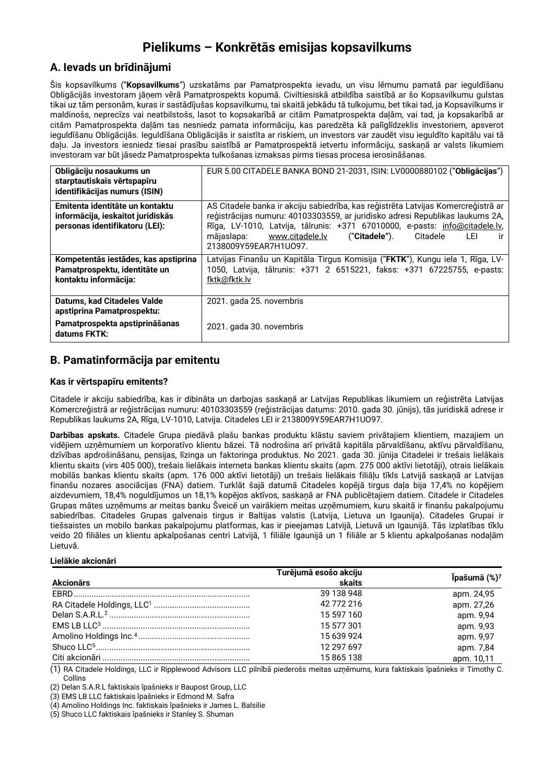# **Pielikums [–](#page-17-0) Konkrētās emisijas kopsavilkums**

# **A. Ievads un brīdinājumi**

Šis kopsavilkums ("**Kopsavilkums**") uzskatāms par Pamatprospekta ievadu, un visu lēmumu pamatā par ieguldīšanu Obligācijās investoram jāņem vērā Pamatprospekts kopumā. Civiltiesiskā atbildība saistībā ar šo Kopsavilkumu gulstas tikai uz tām personām, kuras ir sastādījušas kopsavilkumu, tai skaitā jebkādu tā tulkojumu, bet tikai tad, ja Kopsavilkums ir maldinošs, neprecīzs vai neatbilstošs, lasot to kopsakarībā ar citām Pamatprospekta daļām, vai tad, ja kopsakarībā ar citām Pamatprospekta daļām tas nesniedz pamata informāciju, kas paredzēta kā palīglīdzeklis investoriem, apsverot ieguldīšanu Obligācijās. Ieguldīšana Obligācijās ir saistīta ar riskiem, un investors var zaudēt visu ieguldīto kapitālu vai tā daļu. Ja investors iesniedz tiesai prasību saistībā ar Pamatprospektā ietvertu informāciju, saskaņā ar valsts likumiem investoram var būt jāsedz Pamatprospekta tulkošanas izmaksas pirms tiesas procesa ierosināšanas.

| Obligāciju nosaukums un<br>starptautiskais vērtspapīru<br>identifikācijas numurs (ISIN)                | EUR 5.00 CITADELE BANKA BOND 21-2031, ISIN: LV0000880102 ("Obligācijas")                                                                                                                                                                                                                                                                              |
|--------------------------------------------------------------------------------------------------------|-------------------------------------------------------------------------------------------------------------------------------------------------------------------------------------------------------------------------------------------------------------------------------------------------------------------------------------------------------|
| Emitenta identitāte un kontaktu<br>informācija, ieskaitot juridiskās<br>personas identifikatoru (LEI): | AS Citadele banka ir akciju sabiedrība, kas reģistrēta Latvijas Komercreģistrā ar<br>reģistrācijas numuru: 40103303559, ar juridisko adresi Republikas laukums 2A,<br>Rīga, LV-1010, Latvija, tālrunis: +371 67010000, e-pasts: info@citadele.lv,<br>www.citadele.lv<br>Citadele<br>mājaslapa:<br>("Citadele").<br>LEI<br>ir.<br>2138009Y59FAR7H1U097 |
| Kompetentās iestādes, kas apstiprina<br>Pamatprospektu, identitāte un<br>kontaktu informācija:         | Latvijas Finanšu un Kapitāla Tirgus Komisija ("FKTK"), Kungu iela 1, Rīga, LV-<br>1050, Latvija, tālrunis: +371 2 6515221, fakss: +371 67225755, e-pasts:<br>fktk@fktk.lv                                                                                                                                                                             |
| Datums, kad Citadeles Valde<br>apstiprina Pamatprospektu:                                              | 2021. gada 25. novembris                                                                                                                                                                                                                                                                                                                              |
| Pamatprospekta apstiprināšanas<br>datums FKTK:                                                         | 2021. gada 30. novembris                                                                                                                                                                                                                                                                                                                              |

## **B. Pamatinformācija par emitentu**

### **Kas ir vērtspapīru emitents?**

Citadele ir akciju sabiedrība, kas ir dibināta un darbojas saskaņā ar Latvijas Republikas likumiem un reģistrēta Latvijas Komercreģistrā ar reģistrācijas numuru: 40103303559 (reģistrācijas datums: 2010. gada 30. jūnijs), tās juridiskā adrese ir Republikas laukums 2A, Rīga, LV-1010, Latvija. Citadeles LEI ir 2138009Y59EAR7H1UO97.

**Darbības apskats.** Citadele Grupa piedāvā plašu bankas produktu klāstu saviem privātajiem klientiem, mazajiem un vidējiem uzņēmumiem un korporatīvo klientu bāzei. Tā nodrošina arī privātā kapitāla pārvaldīšanu, aktīvu pārvaldīšanu, dzīvības apdrošināšanu, pensijas, līzinga un faktoringa produktus. No 2021. gada 30. jūnija Citadelei ir trešais lielākais klientu skaits (virs 405 000), trešais lielākais interneta bankas klientu skaits (apm. 275 000 aktīvi lietotāji), otrais lielākais mobilās bankas klientu skaits (apm. 176 000 aktīvi lietotāji) un trešais lielākais filiāļu tīkls Latvijā saskaņā ar Latvijas finanšu nozares asociācijas (FNA) datiem. Turklāt šajā datumā Citadeles kopējā tirgus daļa bija 17,4% no kopējiem aizdevumiem, 18,4% noguldījumos un 18,1% kopējos aktīvos, saskaņā ar FNA publicētajiem datiem. Citadele ir Citadeles Grupas mātes uzņēmums ar meitas banku Šveicē un vairākiem meitas uzņēmumiem, kuru skaitā ir finanšu pakalpojumu sabiedrības. Citadeles Grupas galvenais tirgus ir Baltijas valstis (Latvija, Lietuva un Igaunija). Citadeles Grupai ir tiešsaistes un mobilo bankas pakalpojumu platformas, kas ir pieejamas Latvijā, Lietuvā un Igaunijā. Tās izplatības tīklu veido 20 filiāles un klientu apkalpošanas centri Latvijā, 1 filiāle Igaunijā un 1 filiāle ar 5 klientu apkalpošanas nodaļām Lietuvā.

### **Lielākie akcionāri**

| <b>Akcionārs</b> | Turējumā esošo akciju<br>skaits | lpašumā (%) <sup>7</sup> |
|------------------|---------------------------------|--------------------------|
|                  | 39 138 948                      | apm. 24,95               |
|                  | 42 772 216                      | apm. 27,26               |
|                  | 15 597 160                      | apm. 9,94                |
|                  | 15 577 301                      | apm. 9,93                |
|                  | 15 639 924                      | apm. 9,97                |
|                  | 12 297 697                      | apm. 7,84                |
|                  | 15865138                        | apm. 10,11               |

(1) RA Citadele Holdings, LLC ir Ripplewood Advisors LLC pilnībā piederošs meitas uzņēmums, kura faktiskais īpašnieks ir Timothy C. Collins

(2) Delan S.A.R.L faktiskais īpašnieks ir Baupost Group, LLC

(3) EMS LB LLC faktiskais īpašnieks ir Edmond M. Safra

(4) Amolino Holdings Inc. faktiskais īpašnieks ir James L. Balsilie

(5) Shuco LLC faktiskais īpašnieks ir Stanley S. Shuman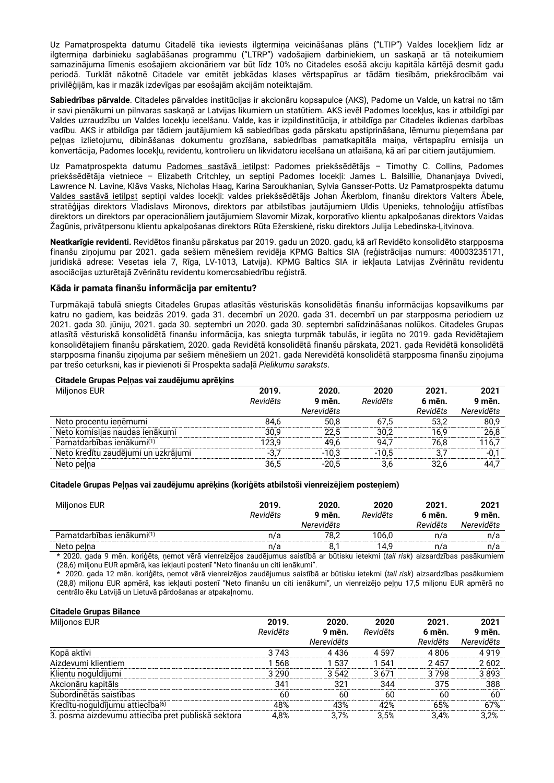Uz Pamatprospekta datumu Citadelē tika ieviests ilgtermiņa veicināšanas plāns ("LTIP") Valdes locekļiem līdz ar ilgtermiņa darbinieku saglabāšanas programmu ("LTRP") vadošajiem darbiniekiem, un saskaņā ar tā noteikumiem samazinājuma līmenis esošajiem akcionāriem var būt līdz 10% no Citadeles esošā akciju kapitāla kārtējā desmit gadu periodā. Turklāt nākotnē Citadele var emitēt jebkādas klases vērtspapīrus ar tādām tiesībām, priekšrocībām vai privilēģijām, kas ir mazāk izdevīgas par esošajām akcijām noteiktajām.

**Sabiedrības pārvalde**. Citadeles pārvaldes institūcijas ir akcionāru kopsapulce (AKS), Padome un Valde, un katrai no tām ir savi pienākumi un pilnvaras saskaņā ar Latvijas likumiem un statūtiem. AKS ievēl Padomes locekļus, kas ir atbildīgi par Valdes uzraudzību un Valdes locekļu iecelšanu. Valde, kas ir izpildinstitūcija, ir atbildīga par Citadeles ikdienas darbības vadību. AKS ir atbildīga par tādiem jautājumiem kā sabiedrības gada pārskatu apstiprināšana, lēmumu pieņemšana par peļņas izlietojumu, dibināšanas dokumentu grozīšana, sabiedrības pamatkapitāla maiņa, vērtspapīru emisija un konvertācija, Padomes locekļu, revidentu, kontrolieru un likvidatoru iecelšana un atlaišana, kā arī par citiem jautājumiem.

Uz Pamatprospekta datumu Padomes sastāvā ietilpst: Padomes priekšsēdētājs - Timothy C. Collins, Padomes priekšsēdētāja vietniece – Elizabeth Critchley, un septiņi Padomes locekļi: James L. Balsillie, Dhananjaya Dvivedi, Lawrence N. Lavine, Klāvs Vasks, Nicholas Haag, Karina Saroukhanian, Sylvia Gansser-Potts. Uz Pamatprospekta datumu Valdes sastāvā ietilpst septiņi valdes locekļi: valdes priekšsēdētājs Johan Åkerblom, finanšu direktors Valters Ābele, stratēģijas direktors Vladislavs Mironovs, direktors par atbilstības jautājumiem Uldis Upenieks, tehnoloģiju attīstības direktors un direktors par operacionāliem jautājumiem Slavomir Mizak, korporatīvo klientu apkalpošanas direktors Vaidas Žagūnis, privātpersonu klientu apkalpošanas direktors Rūta Ežerskienė, risku direktors Julija Lebedinska-Ļitvinova.

**Neatkarīgie revidenti.** Revidētos finanšu pārskatus par 2019. gadu un 2020. gadu, kā arī Revidēto konsolidēto starpposma finanšu ziņojumu par 2021. gada sešiem mēnešiem revidēja KPMG Baltics SIA (reģistrācijas numurs: 40003235171, juridiskā adrese: Vesetas iela 7, Rīga, LV-1013, Latvija). KPMG Baltics SIA ir iekļauta Latvijas Zvērinātu revidentu asociācijas uzturētajā Zvērinātu revidentu komercsabiedrību reģistrā.

### **Kāda ir pamata finanšu informācija par emitentu?**

Turpmākajā tabulā sniegts Citadeles Grupas atlasītās vēsturiskās konsolidētās finanšu informācijas kopsavilkums par katru no gadiem, kas beidzās 2019. gada 31. decembrī un 2020. gada 31. decembrī un par starpposma periodiem uz 2021. gada 30. jūniju, 2021. gada 30. septembri un 2020. gada 30. septembri salīdzināšanas nolūkos. Citadeles Grupas atlasītā vēsturiskā konsolidētā finanšu informācija, kas sniegta turpmāk tabulās, ir iegūta no 2019. gada Revidētajiem konsolidētajiem finanšu pārskatiem, 2020. gada Revidētā konsolidētā finanšu pārskata, 2021. gada Revidētā konsolidētā starpposma finanšu ziņojuma par sešiem mēnešiem un 2021. gada Nerevidētā konsolidētā starpposma finanšu ziņojuma par trešo ceturksni, kas ir pievienoti šī Prospekta sadaļā *Pielikumu saraksts*.

#### **Citadele Grupas Peļņas vai zaudējumu aprēķins**

| onducio orapao i cinao fai Eduacjania aproninc |          |            |          |          |            |
|------------------------------------------------|----------|------------|----------|----------|------------|
| Miljonos EUR                                   | 2019.    | 2020.      | 2020     | 2021.    | 2021       |
|                                                | Revidēts | 9 mēn.     | Revidēts | 6 mēn.   | 9 mēn.     |
|                                                |          | Nerevidēts |          | Revidēts | Nerevidēts |
| Neto procentu jenēmumi                         | 84.6     | 50.8       | 67.5     | 53.2     | 80.9       |
| Neto komisijas naudas ienākumi                 | 30.9     | 22.5       | 30.2     | 16.9     | 26.8       |
| Pamatdarbības ienākumi <sup>(1)</sup>          | 123.9    | 49.6       | 94.      | 76.8     | 116.7      |
| Neto kredītu zaudējumi un uzkrājumi            |          | $-10.3$    | $-10.5$  |          |            |
| Neto pelna                                     | 36.5     | $-20.5$    |          | 32.6     | 44.        |

#### **Citadele Grupas Peļņas vai zaudējumu aprēķins (koriģēts atbilstoši vienreizējiem posteņiem)**

| Miljonos EUR                          | 2019.<br>Revidēts | 2020.<br>9 mēn.<br>Nerevidēts | 2020<br>Revidēts | 2021<br>6 mēn.<br>Revidēts | 2021<br>9 mēn.<br>Nerevidēts |
|---------------------------------------|-------------------|-------------------------------|------------------|----------------------------|------------------------------|
| Pamatdarbības ienākumi <sup>(1)</sup> | n/a               | 78.2                          | 106.0            | n/a                        | n/a                          |
| Neto pelna                            | n/a               | Ο.                            |                  | n/a                        | n/a                          |

\* 2020. gada 9 mēn. koriģēts, ņemot vērā vienreizējos zaudējumus saistībā ar būtisku ietekmi (*tail risk*) aizsardzības pasākumiem (28,6) miljonu EUR apmērā, kas iekļauti postenī "Neto finanšu un citi ienākumi".

\* 2020. gada 12 mēn. koriģēts, ņemot vērā vienreizējos zaudējumus saistībā ar būtisku ietekmi (*tail risk*) aizsardzības pasākumiem (28,8) miljonu EUR apmērā, kas iekļauti postenī "Neto finanšu un citi ienākumi", un vienreizējo peļņu 17,5 miljonu EUR apmērā no centrālo ēku Latvijā un Lietuvā pārdošanas ar atpakaļnomu.

#### **Citadele Grupas Bilance**

| Miljonos EUR                                       | 2019.    | 2020.      | 2020     | 2021.    | 2021       |
|----------------------------------------------------|----------|------------|----------|----------|------------|
|                                                    | Revidēts | 9 mēn.     | Revidēts | 6 mēn.   | 9 mēn.     |
|                                                    |          | Nerevidēts |          | Revidēts | Nerevidēts |
| Kopā aktīvi                                        | 3 743    | 4 436      | 4 597    | 4 ጸበ6    | 4 Q1 Q     |
| Aizdevumi klientiem                                | 568      | 537        | 541      | 2 457    | ን 6በ2      |
| Klientu noguldījumi                                | 3 2 9 0  | 3.542      | 3.671    | 3 798    | 3 893      |
| Akcionāru kapitāls                                 | 341      | マク・        | 211      | 375      | 388        |
| Subordinētās saistības                             | 60       | 60         |          |          |            |
| Kredītu-noguldījumu attiecība <sup>(6)</sup>       | 48%      | 43%        |          | 65%      |            |
| 3. posma aizdevumu attiecība pret publiskā sektora | 4.8%     |            |          |          |            |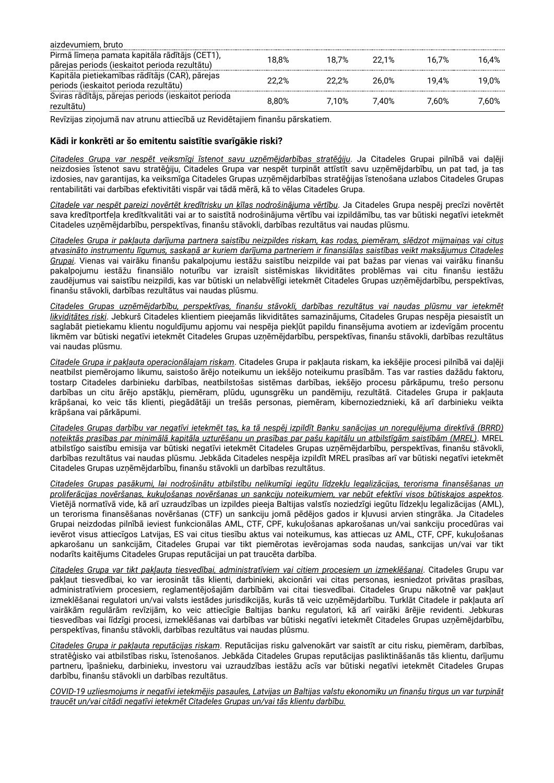| aizdevumiem, bruto                                                                             |       |       |       |       |       |
|------------------------------------------------------------------------------------------------|-------|-------|-------|-------|-------|
| Pirmā līmeņa pamata kapitāla rādītājs (CET1),<br>pārejas periods (ieskaitot perioda rezultātu) | 18.8% | 18.7% | 22.1% | 16.7% | 16.4% |
| Kapitāla pietiekamības rādītājs (CAR), pārejas<br>periods (ieskaitot perioda rezultātu)        | 22.2% | 22.2% | 26.0% | 19.4% | 19.0% |
| Sviras rādītājs, pārejas periods (ieskaitot perioda<br>rezultātu)                              | 8.80% | 7.10% | 7.40% | 7.60% | 7.60% |

Revīzijas ziņojumā nav atrunu attiecībā uz Revidētajiem finanšu pārskatiem.

### **Kādi ir konkrēti ar šo emitentu saistītie svarīgākie riski?**

*Citadeles Grupa var nespēt veiksmīgi īstenot savu uzņēmējdarbības stratēģiju*. Ja Citadeles Grupai pilnībā vai daļēji neizdosies īstenot savu stratēģiju, Citadeles Grupa var nespēt turpināt attīstīt savu uzņēmējdarbību, un pat tad, ja tas izdosies, nav garantijas, ka veiksmīga Citadeles Grupas uzņēmējdarbības stratēģijas īstenošana uzlabos Citadeles Grupas rentabilitāti vai darbības efektivitāti vispār vai tādā mērā, kā to vēlas Citadeles Grupa.

*Citadele var nespēt pareizi novērtēt kredītrisku un ķīlas nodrošinājuma vērtību*. Ja Citadeles Grupa nespēj precīzi novērtēt sava kredītportfeļa kredītkvalitāti vai ar to saistītā nodrošinājuma vērtību vai izpildāmību, tas var būtiski negatīvi ietekmēt Citadeles uzņēmējdarbību, perspektīvas, finanšu stāvokli, darbības rezultātus vai naudas plūsmu.

*Citadeles Grupa ir pakļauta darījuma partnera saistību neizpildes riskam, kas rodas, piemēram, slēdzot mijmaiņas vai citus atvasināto instrumentu līgumus, saskaņā ar kuriem darījuma partneriem ir finansiālas saistības veikt maksājumus Citadeles Grupai*. Vienas vai vairāku finanšu pakalpojumu iestāžu saistību neizpilde vai pat bažas par vienas vai vairāku finanšu pakalpojumu iestāžu finansiālo noturību var izraisīt sistēmiskas likviditātes problēmas vai citu finanšu iestāžu zaudējumus vai saistību neizpildi, kas var būtiski un nelabvēlīgi ietekmēt Citadeles Grupas uzņēmējdarbību, perspektīvas, finanšu stāvokli, darbības rezultātus vai naudas plūsmu.

*Citadeles Grupas uzņēmējdarbību, perspektīvas, finanšu stāvokli, darbības rezultātus vai naudas plūsmu var ietekmēt likviditātes riski*. Jebkurš Citadeles klientiem pieejamās likviditātes samazinājums, Citadeles Grupas nespēja piesaistīt un saglabāt pietiekamu klientu noguldījumu apjomu vai nespēja piekļūt papildu finansējuma avotiem ar izdevīgām procentu likmēm var būtiski negatīvi ietekmēt Citadeles Grupas uzņēmējdarbību, perspektīvas, finanšu stāvokli, darbības rezultātus vai naudas plūsmu.

*Citadele Grupa ir pakļauta operacionālajam riskam*. Citadeles Grupa ir pakļauta riskam, ka iekšējie procesi pilnībā vai daļēji neatbilst piemērojamo likumu, saistošo ārējo noteikumu un iekšējo noteikumu prasībām. Tas var rasties dažādu faktoru, tostarp Citadeles darbinieku darbības, neatbilstošas sistēmas darbības, iekšējo procesu pārkāpumu, trešo personu darbības un citu ārējo apstākļu, piemēram, plūdu, ugunsgrēku un pandēmiju, rezultātā. Citadeles Grupa ir pakļauta krāpšanai, ko veic tās klienti, piegādātāji un trešās personas, piemēram, kibernoziedznieki, kā arī darbinieku veikta krāpšana vai pārkāpumi.

*Citadeles Grupas darbību var negatīvi ietekmēt tas, ka tā nespēj izpildīt Banku sanācijas un noregulējuma direktīvā (BRRD) noteiktās prasības par minimālā kapitāla uzturēšanu un prasības par pašu kapitālu un atbilstīgām saistībām (MREL)*. MREL atbilstīgo saistību emisija var būtiski negatīvi ietekmēt Citadeles Grupas uzņēmējdarbību, perspektīvas, finanšu stāvokli, darbības rezultātus vai naudas plūsmu. Jebkāda Citadeles nespēja izpildīt MREL prasības arī var būtiski negatīvi ietekmēt Citadeles Grupas uzņēmējdarbību, finanšu stāvokli un darbības rezultātus.

*Citadeles Grupas pasākumi, lai nodrošinātu atbilstību nelikumīgi iegūtu līdzekļu legalizācijas, terorisma finansēšanas un proliferācijas novēršanas, kukuļošanas novēršanas un sankciju noteikumiem, var nebūt efektīvi visos būtiskajos aspektos*. Vietējā normatīvā vide, kā arī uzraudzības un izpildes pieeja Baltijas valstīs noziedzīgi iegūtu līdzekļu legalizācijas (AML), un terorisma finansēšanas novēršanas (CTF) un sankciju jomā pēdējos gados ir kļuvusi arvien stingrāka. Ja Citadeles Grupai neizdodas pilnībā ieviest funkcionālas AML, CTF, CPF, kukuļošanas apkarošanas un/vai sankciju procedūras vai ievērot visus attiecīgos Latvijas, ES vai citus tiesību aktus vai noteikumus, kas attiecas uz AML, CTF, CPF, kukuļošanas apkarošanu un sankcijām, Citadeles Grupai var tikt piemērotas ievērojamas soda naudas, sankcijas un/vai var tikt nodarīts kaitējums Citadeles Grupas reputācijai un pat traucēta darbība.

*Citadeles Grupa var tikt pakļauta tiesvedībai, administratīviem vai citiem procesiem un izmeklēšanai*. Citadeles Grupu var pakļaut tiesvedībai, ko var ierosināt tās klienti, darbinieki, akcionāri vai citas personas, iesniedzot privātas prasības, administratīviem procesiem, reglamentējošajām darbībām vai citai tiesvedībai. Citadeles Grupu nākotnē var pakļaut izmeklēšanai regulatori un/vai valsts iestādes jurisdikcijās, kurās tā veic uzņēmējdarbību. Turklāt Citadele ir pakļauta arī vairākām regulārām revīzijām, ko veic attiecīgie Baltijas banku regulatori, kā arī vairāki ārējie revidenti. Jebkuras tiesvedības vai līdzīgi procesi, izmeklēšanas vai darbības var būtiski negatīvi ietekmēt Citadeles Grupas uzņēmējdarbību, perspektīvas, finanšu stāvokli, darbības rezultātus vai naudas plūsmu.

*Citadeles Grupa ir pakļauta reputācijas riskam*. Reputācijas risku galvenokārt var saistīt ar citu risku, piemēram, darbības, stratēģisko vai atbilstības risku, īstenošanos. Jebkāda Citadeles Grupas reputācijas pasliktināšanās tās klientu, darījumu partneru, īpašnieku, darbinieku, investoru vai uzraudzības iestāžu acīs var būtiski negatīvi ietekmēt Citadeles Grupas darbību, finanšu stāvokli un darbības rezultātus.

*COVID-19 uzliesmojums ir negatīvi ietekmējis pasaules, Latvijas un Baltijas valstu ekonomiku un finanšu tirgus un var turpināt traucēt un/vai citādi negatīvi ietekmēt Citadeles Grupas un/vai tās klientu darbību.*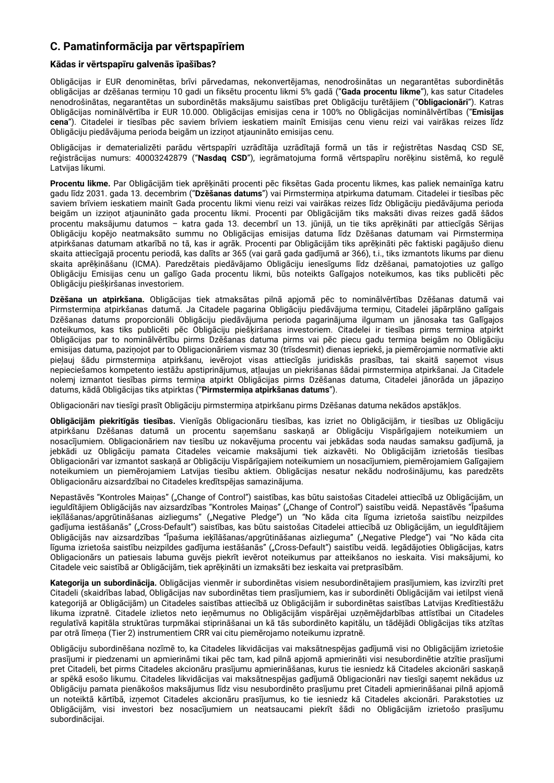# **C. Pamatinformācija par vērtspapīriem**

### **Kādas ir vērtspapīru galvenās īpašības?**

Obligācijas ir EUR denominētas, brīvi pārvedamas, nekonvertējamas, nenodrošinātas un negarantētas subordinētās obligācijas ar dzēšanas termiņu 10 gadi un fiksētu procentu likmi 5% gadā ("**Gada procentu likme**"), kas satur Citadeles nenodrošinātas, negarantētas un subordinētās maksājumu saistības pret Obligāciju turētājiem ("**Obligacionāri**"). Katras Obligācijas nominālvērtība ir EUR 10.000. Obligācijas emisijas cena ir 100% no Obligācijas nominālvērtības ("**Emisijas cena**"). Citadelei ir tiesības pēc saviem brīviem ieskatiem mainīt Emisijas cenu vienu reizi vai vairākas reizes līdz Obligāciju piedāvājuma perioda beigām un izziņot atjaunināto emisijas cenu.

Obligācijas ir dematerializēti parādu vērtspapīri uzrādītāja uzrādītajā formā un tās ir reģistrētas Nasdaq CSD SE, reģistrācijas numurs: 40003242879 ("**Nasdaq CSD**"), iegrāmatojuma formā vērtspapīru norēķinu sistēmā, ko regulē Latvijas likumi.

**Procentu likme.** Par Obligācijām tiek aprēķināti procenti pēc fiksētas Gada procentu likmes, kas paliek nemainīga katru gadu līdz 2031. gada 13. decembrim ("**Dzēšanas datums**") vai Pirmstermiņa atpirkuma datumam. Citadelei ir tiesības pēc saviem brīviem ieskatiem mainīt Gada procentu likmi vienu reizi vai vairākas reizes līdz Obligāciju piedāvājuma perioda beigām un izziņot atjaunināto gada procentu likmi. Procenti par Obligācijām tiks maksāti divas reizes gadā šādos procentu maksājumu datumos – katra gada 13. decembrī un 13. jūnijā, un tie tiks aprēķināti par attiecīgās Sērijas Obligāciju kopējo neatmaksāto summu no Obligācijas emisijas datuma līdz Dzēšanas datumam vai Pirmstermiņa atpirkšanas datumam atkarībā no tā, kas ir agrāk. Procenti par Obligācijām tiks aprēķināti pēc faktiski pagājušo dienu skaita attiecīgajā procentu periodā, kas dalīts ar 365 (vai garā gada gadījumā ar 366), t.i., tiks izmantots likums par dienu skaita aprēķināšanu (ICMA). Paredzētais piedāvājamo Obligāciju ienesīgums līdz dzēšanai, pamatojoties uz galīgo Obligāciju Emisijas cenu un galīgo Gada procentu likmi, būs noteikts Galīgajos noteikumos, kas tiks publicēti pēc Obligāciju piešķiršanas investoriem.

**Dzēšana un atpirkšana.** Obligācijas tiek atmaksātas pilnā apjomā pēc to nominālvērtības Dzēšanas datumā vai Pirmstermiņa atpirkšanas datumā. Ja Citadele pagarina Obligāciju piedāvājuma termiņu, Citadelei jāpārplāno galīgais Dzēšanas datums proporcionāli Obligāciju piedāvājuma perioda pagarinājuma ilgumam un jānosaka tas Galīgajos noteikumos, kas tiks publicēti pēc Obligāciju piešķiršanas investoriem. Citadelei ir tiesības pirms termiņa atpirkt Obligācijas par to nominālvērtību pirms Dzēšanas datuma pirms vai pēc piecu gadu termiņa beigām no Obligāciju emisijas datuma, paziņojot par to Obligacionāriem vismaz 30 (trīsdesmit) dienas iepriekš, ja piemērojamie normatīvie akti pieļauj šādu pirmstermiņa atpirkšanu, ievērojot visas attiecīgās juridiskās prasības, tai skaitā saņemot visus nepieciešamos kompetento iestāžu apstiprinājumus, atlaujas un piekrišanas šādai pirmstermina atpirkšanai. Ja Citadele nolemj izmantot tiesības pirms termiņa atpirkt Obligācijas pirms Dzēšanas datuma, Citadelei jānorāda un jāpaziņo datums, kādā Obligācijas tiks atpirktas ("**Pirmstermiņa atpirkšanas datums**").

Obligacionāri nav tiesīgi prasīt Obligāciju pirmstermiņa atpirkšanu pirms Dzēšanas datuma nekādos apstākļos.

**Obligācijām piekritīgās tiesības.** Vienīgās Obligacionāru tiesības, kas izriet no Obligācijām, ir tiesības uz Obligāciju atpirkšanu Dzēšanas datumā un procentu saņemšanu saskaņā ar Obligāciju Vispārīgajiem noteikumiem un nosacījumiem. Obligacionāriem nav tiesību uz nokavējuma procentu vai jebkādas soda naudas samaksu gadījumā, ja jebkādi uz Obligāciju pamata Citadeles veicamie maksājumi tiek aizkavēti. No Obligācijām izrietošās tiesības Obligacionāri var izmantot saskaņā ar Obligāciju Vispārīgajiem noteikumiem un nosacījumiem, piemērojamiem Galīgajiem noteikumiem un piemērojamiem Latvijas tiesību aktiem. Obligācijas nesatur nekādu nodrošinājumu, kas paredzēts Obligacionāru aizsardzībai no Citadeles kredītspējas samazinājuma.

Nepastāvēs "Kontroles Maiņas" ("Change of Control") saistības, kas būtu saistošas Citadelei attiecībā uz Obligācijām, un ieguldītājiem Obligācijās nav aizsardzības "Kontroles Maiņas" ("Change of Control") saistību veidā. Nepastāvēs "Īpašuma ieķīlāšanas/apgrūtināšanas aizliegums" ("Negative Pledge") un "No kāda cita līguma izrietoša saistību neizpildes gadījuma iestāšanās" ("Cross-Default") saistības, kas būtu saistošas Citadelei attiecībā uz Obligācijām, un ieguldītājiem Obligācijās nav aizsardzības "Īpašuma ieķīlāšanas/apgrūtināšanas aizlieguma" ("Negative Pledge") vai "No kāda cita līguma izrietoša saistību neizpildes gadījuma iestāšanās" ("Cross-Default") saistību veidā. Iegādājoties Obligācijas, katrs Obligacionārs un patiesais labuma guvējs piekrīt ievērot noteikumus par atteikšanos no ieskaita. Visi maksājumi, ko Citadele veic saistībā ar Obligācijām, tiek aprēķināti un izmaksāti bez ieskaita vai pretprasībām.

**Kategorija un subordinācija.** Obligācijas vienmēr ir subordinētas visiem nesubordinētajiem prasījumiem, kas izvirzīti pret Citadeli (skaidrības labad, Obligācijas nav subordinētas tiem prasījumiem, kas ir subordinēti Obligācijām vai ietilpst vienā kategorijā ar Obligācijām) un Citadeles saistības attiecībā uz Obligācijām ir subordinētas saistības Latvijas Kredītiestāžu likuma izpratnē. Citadele izlietos neto ieņēmumus no Obligācijām vispārējai uzņēmējdarbības attīstībai un Citadeles regulatīvā kapitāla struktūras turpmākai stiprināšanai un kā tās subordinēto kapitālu, un tādējādi Obligācijas tiks atzītas par otrā līmeņa (Tier 2) instrumentiem CRR vai citu piemērojamo noteikumu izpratnē.

Obligāciju subordinēšana nozīmē to, ka Citadeles likvidācijas vai maksātnespējas gadījumā visi no Obligācijām izrietošie prasījumi ir piedzenami un apmierināmi tikai pēc tam, kad pilnā apjomā apmierināti visi nesubordinētie atzītie prasījumi pret Citadeli, bet pirms Citadeles akcionāru prasījumu apmierināšanas, kurus tie iesniedz kā Citadeles akcionāri saskaņā ar spēkā esošo likumu. Citadeles likvidācijas vai maksātnespējas gadījumā Obligacionāri nav tiesīgi saņemt nekādus uz Obligāciju pamata pienākošos maksājumus līdz visu nesubordinēto prasījumu pret Citadeli apmierināšanai pilnā apjomā un noteiktā kārtībā, izņemot Citadeles akcionāru prasījumus, ko tie iesniedz kā Citadeles akcionāri. Parakstoties uz Obligācijām, visi investori bez nosacījumiem un neatsaucami piekrīt šādi no Obligācijām izrietošo prasījumu subordinācijai.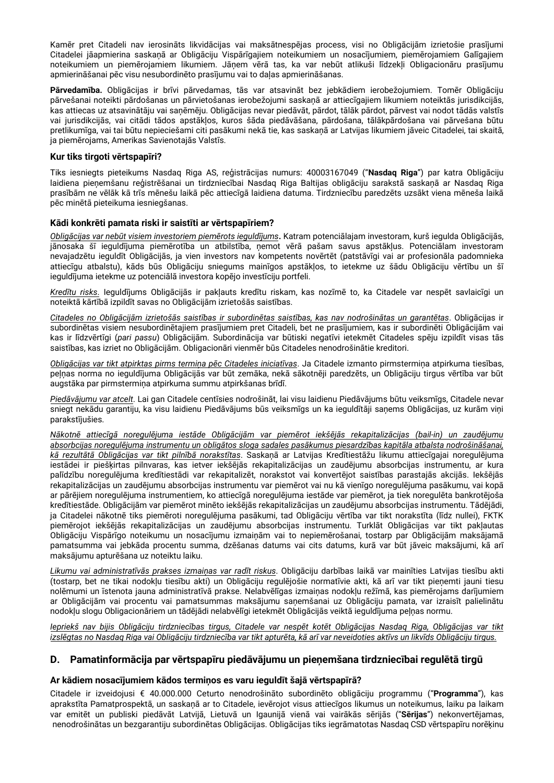Kamēr pret Citadeli nav ierosināts likvidācijas vai maksātnespējas process, visi no Obligācijām izrietošie prasījumi Citadelei jāapmierina saskaņā ar Obligāciju Vispārīgajiem noteikumiem un nosacījumiem, piemērojamiem Galīgajiem noteikumiem un piemērojamiem likumiem. Jāņem vērā tas, ka var nebūt atlikuši līdzekļi Obligacionāru prasījumu apmierināšanai pēc visu nesubordinēto prasījumu vai to daļas apmierināšanas.

**Pārvedamība.** Obligācijas ir brīvi pārvedamas, tās var atsavināt bez jebkādiem ierobežojumiem. Tomēr Obligāciju pārvešanai noteikti pārdošanas un pārvietošanas ierobežojumi saskaņā ar attiecīgajiem likumiem noteiktās jurisdikcijās, kas attiecas uz atsavinātāju vai saņēmēju. Obligācijas nevar piedāvāt, pārdot, tālāk pārdot, pārvest vai nodot tādās valstīs vai jurisdikcijās, vai citādi tādos apstākļos, kuros šāda piedāvāšana, pārdošana, tālākpārdošana vai pārvešana būtu pretlikumīga, vai tai būtu nepieciešami citi pasākumi nekā tie, kas saskaņā ar Latvijas likumiem jāveic Citadelei, tai skaitā, ja piemērojams, Amerikas Savienotajās Valstīs.

### **Kur tiks tirgoti vērtspapīri?**

Tiks iesniegts pieteikums Nasdaq Riga AS, reģistrācijas numurs: 40003167049 ("**Nasdaq Riga**") par katra Obligāciju laidiena pieņemšanu reģistrēšanai un tirdzniecībai Nasdaq Riga Baltijas obligāciju sarakstā saskaņā ar Nasdaq Riga prasībām ne vēlāk kā trīs mēnešu laikā pēc attiecīgā laidiena datuma. Tirdzniecību paredzēts uzsākt viena mēneša laikā pēc minētā pieteikuma iesniegšanas.

### **Kādi konkrēti pamata riski ir saistīti ar vērtspapīriem?**

*Obligācijas var nebūt visiem investoriem piemērots ieguldījums***.** Katram potenciālajam investoram, kurš iegulda Obligācijās, jānosaka šī ieguldījuma piemērotība un atbilstība, ņemot vērā pašam savus apstākļus. Potenciālam investoram nevajadzētu ieguldīt Obligācijās, ja vien investors nav kompetents novērtēt (patstāvīgi vai ar profesionāla padomnieka attiecīgu atbalstu), kāds būs Obligāciju sniegums mainīgos apstākļos, to ietekme uz šādu Obligāciju vērtību un šī ieguldījuma ietekme uz potenciālā investora kopējo investīciju portfeli.

*Kredītu risks*. Ieguldījums Obligācijās ir pakļauts kredītu riskam, kas nozīmē to, ka Citadele var nespēt savlaicīgi un noteiktā kārtībā izpildīt savas no Obligācijām izrietošās saistības.

*Citadeles no Obligācijām izrietošās saistības ir subordinētas saistības, kas nav nodrošinātas un garantētas*. Obligācijas ir subordinētas visiem nesubordinētajiem prasījumiem pret Citadeli, bet ne prasījumiem, kas ir subordinēti Obligācijām vai kas ir līdzvērtīgi (*pari passu*) Obligācijām. Subordinācija var būtiski negatīvi ietekmēt Citadeles spēju izpildīt visas tās saistības, kas izriet no Obligācijām. Obligacionāri vienmēr būs Citadeles nenodrošinātie kreditori.

*Obligācijas var tikt atpirktas pirms termiņa pēc Citadeles iniciatīvas*. Ja Citadele izmanto pirmstermiņa atpirkuma tiesības, peļņas norma no ieguldījuma Obligācijās var būt zemāka, nekā sākotnēji paredzēts, un Obligāciju tirgus vērtība var būt augstāka par pirmstermiņa atpirkuma summu atpirkšanas brīdī.

*Piedāvājumu var atcelt*. Lai gan Citadele centīsies nodrošināt, lai visu laidienu Piedāvājums būtu veiksmīgs, Citadele nevar sniegt nekādu garantiju, ka visu laidienu Piedāvājums būs veiksmīgs un ka ieguldītāji saņems Obligācijas, uz kurām viņi parakstījušies.

*Nākotnē attiecīgā noregulējuma iestāde Obligācijām var piemērot iekšējās rekapitalizācijas (bail-in) un zaudējumu absorbcijas noregulējuma instrumentu un obligātos sloga sadales pasākumus piesardzības kapitāla atbalsta nodrošināšanai, kā rezultātā Obligācijas var tikt pilnībā norakstītas*. Saskaņā ar Latvijas Kredītiestāžu likumu attiecīgajai noregulējuma iestādei ir piešķirtas pilnvaras, kas ietver iekšējās rekapitalizācijas un zaudējumu absorbcijas instrumentu, ar kura palīdzību noregulējuma kredītiestādi var rekapitalizēt, norakstot vai konvertējot saistības parastajās akcijās. Iekšējās rekapitalizācijas un zaudējumu absorbcijas instrumentu var piemērot vai nu kā vienīgo noregulējuma pasākumu, vai kopā ar pārējiem noregulējuma instrumentiem, ko attiecīgā noregulējuma iestāde var piemērot, ja tiek noregulēta bankrotējoša kredītiestāde. Obligācijām var piemērot minēto iekšējās rekapitalizācijas un zaudējumu absorbcijas instrumentu. Tādējādi, ja Citadelei nākotnē tiks piemēroti noregulējuma pasākumi, tad Obligāciju vērtība var tikt norakstīta (līdz nullei), FKTK piemērojot iekšējās rekapitalizācijas un zaudējumu absorbcijas instrumentu. Turklāt Obligācijas var tikt pakļautas Obligāciju Vispārīgo noteikumu un nosacījumu izmaiņām vai to nepiemērošanai, tostarp par Obligācijām maksājamā pamatsumma vai jebkāda procentu summa, dzēšanas datums vai cits datums, kurā var būt jāveic maksājumi, kā arī maksājumu apturēšana uz noteiktu laiku.

*Likumu vai administratīvās prakses izmaiņas var radīt riskus*. Obligāciju darbības laikā var mainīties Latvijas tiesību akti (tostarp, bet ne tikai nodokļu tiesību akti) un Obligāciju regulējošie normatīvie akti, kā arī var tikt pieņemti jauni tiesu nolēmumi un īstenota jauna administratīvā prakse. Nelabvēlīgas izmaiņas nodokļu režīmā, kas piemērojams darījumiem ar Obligācijām vai procentu vai pamatsummas maksājumu saņemšanai uz Obligāciju pamata, var izraisīt palielinātu nodokļu slogu Obligacionāriem un tādējādi nelabvēlīgi ietekmēt Obligācijās veiktā ieguldījuma peļņas normu.

lepriekš nav bijis Obligāciju tirdzniecības tirgus, Citadele var nespēt kotēt Obligācijas Nasdaq Riga, Obligācijas var tikt izslēgtas no Nasdag Riga vai Obligāciju tirdzniecība var tikt apturēta, kā arī var neveidoties aktīvs un likvīds Obligāciju tirgus.

### **D. Pamatinformācija par vērtspapīru piedāvājumu un pieņemšana tirdzniecībai regulētā tirgū**

### **Ar kādiem nosacījumiem kādos termiņos es varu ieguldīt šajā vērtspapīrā?**

Citadele ir izveidojusi € 40.000.000 Ceturto nenodrošināto subordinēto obligāciju programmu ("**Programma**"), kas aprakstīta Pamatprospektā, un saskaņā ar to Citadele, ievērojot visus attiecīgos likumus un noteikumus, laiku pa laikam var emitēt un publiski piedāvāt Latvijā, Lietuvā un Igaunijā vienā vai vairākās sērijās ("**Sērijas**") nekonvertējamas, nenodrošinātas un bezgarantiju subordinētas Obligācijas. Obligācijas tiks iegrāmatotas Nasdaq CSD vērtspapīru norēķinu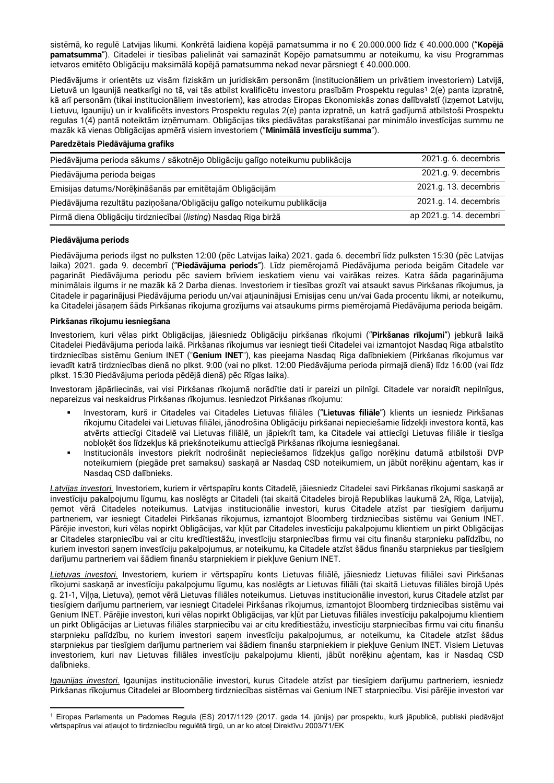sistēmā, ko regulē Latvijas likumi. Konkrētā laidiena kopējā pamatsumma ir no € 20.000.000 līdz € 40.000.000 ("**Kopējā pamatsumma**"). Citadelei ir tiesības palielināt vai samazināt Kopējo pamatsummu ar noteikumu, ka visu Programmas ietvaros emitēto Obligāciju maksimālā kopējā pamatsumma nekad nevar pārsniegt € 40.000.000.

Piedāvājums ir orientēts uz visām fiziskām un juridiskām personām (institucionāliem un privātiem investoriem) Latvijā, Lietuvā un Igaunijā neatkarīgi no tā, vai tās atbilst kvalificētu investoru prasībām Prospektu regulas<sup>1</sup> 2(e) panta izpratnē, kā arī personām (tikai institucionāliem investoriem), kas atrodas Eiropas Ekonomiskās zonas dalībvalstī (izņemot Latviju, Lietuvu, Igauniju) un ir kvalificēts investors Prospektu regulas 2(e) panta izpratnē, un katrā gadījumā atbilstoši Prospektu regulas 1(4) pantā noteiktām izņēmumam. Obligācijas tiks piedāvātas parakstīšanai par minimālo investīcijas summu ne mazāk kā vienas Obligācijas apmērā visiem investoriem ("**Minimālā investīciju summa**").

### **Paredzētais Piedāvājuma grafiks**

| Piedāvājuma perioda sākums / sākotnējo Obligāciju galīgo noteikumu publikācija | 2021.g. 6. decembris    |
|--------------------------------------------------------------------------------|-------------------------|
| Piedāvājuma perioda beigas                                                     | 2021.g. 9. decembris    |
| Emisijas datums/Norēķināšanās par emitētajām Obligācijām                       | 2021.g. 13. decembris   |
| Piedāvājuma rezultātu paziņošana/Obligāciju galīgo noteikumu publikācija       | 2021.g. 14. decembris   |
| Pirmā diena Obligāciju tirdzniecībai (listing) Nasdag Riga biržā               | ap 2021.g. 14. decembri |

### **Piedāvājuma periods**

Piedāvājuma periods ilgst no pulksten 12:00 (pēc Latvijas laika) 2021. gada 6. decembrī līdz pulksten 15:30 (pēc Latvijas laika) 2021. gada 9. decembrī ("**Piedāvājuma periods**"). Līdz piemērojamā Piedāvājuma perioda beigām Citadele var pagarināt Piedāvājuma periodu pēc saviem brīviem ieskatiem vienu vai vairākas reizes. Katra šāda pagarinājuma minimālais ilgums ir ne mazāk kā 2 Darba dienas. Investoriem ir tiesības grozīt vai atsaukt savus Pirkšanas rīkojumus, ja Citadele ir pagarinājusi Piedāvājuma periodu un/vai atjauninājusi Emisijas cenu un/vai Gada procentu likmi, ar noteikumu, ka Citadelei jāsaņem šāds Pirkšanas rīkojuma grozījums vai atsaukums pirms piemērojamā Piedāvājuma perioda beigām.

### **Pirkšanas rīkojumu iesniegšana**

Investoriem, kuri vēlas pirkt Obligācijas, jāiesniedz Obligāciju pirkšanas rīkojumi ("**Pirkšanas rīkojumi**") jebkurā laikā Citadelei Piedāvājuma perioda laikā. Pirkšanas rīkojumus var iesniegt tieši Citadelei vai izmantojot Nasdaq Riga atbalstīto tirdzniecības sistēmu Genium INET ("**Genium INET**"), kas pieejama Nasdaq Riga dalībniekiem (Pirkšanas rīkojumus var ievadīt katrā tirdzniecības dienā no plkst. 9:00 (vai no plkst. 12:00 Piedāvājuma perioda pirmajā dienā) līdz 16:00 (vai līdz plkst. 15:30 Piedāvājuma perioda pēdējā dienā) pēc Rīgas laika).

Investoram jāpārliecinās, vai visi Pirkšanas rīkojumā norādītie dati ir pareizi un pilnīgi. Citadele var noraidīt nepilnīgus, nepareizus vai neskaidrus Pirkšanas rīkojumus. Iesniedzot Pirkšanas rīkojumu:

- Investoram, kurš ir Citadeles vai Citadeles Lietuvas filiāles ("**Lietuvas filiāle**") klients un iesniedz Pirkšanas rīkojumu Citadelei vai Lietuvas filiālei, jānodrošina Obligāciju pirkšanai nepieciešamie līdzekļi investora kontā, kas atvērts attiecīgi Citadelē vai Lietuvas filiālē, un jāpiekrīt tam, ka Citadele vai attiecīgi Lietuvas filiāle ir tiesīga nobloķēt šos līdzekļus kā priekšnoteikumu attiecīgā Pirkšanas rīkojuma iesniegšanai.
- Institucionāls investors piekrīt nodrošināt nepieciešamos līdzekļus galīgo norēķinu datumā atbilstoši DVP noteikumiem (piegāde pret samaksu) saskaņā ar Nasdaq CSD noteikumiem, un jābūt norēķinu aģentam, kas ir Nasdaq CSD dalībnieks.

*Latvijas investori.* Investoriem, kuriem ir vērtspapīru konts Citadelē, jāiesniedz Citadelei savi Pirkšanas rīkojumi saskaņā ar investīciju pakalpojumu līgumu, kas noslēgts ar Citadeli (tai skaitā Citadeles birojā Republikas laukumā 2A, Rīga, Latvija), ņemot vērā Citadeles noteikumus. Latvijas institucionālie investori, kurus Citadele atzīst par tiesīgiem darījumu partneriem, var iesniegt Citadelei Pirkšanas rīkojumus, izmantojot Bloomberg tirdzniecības sistēmu vai Genium INET. Pārējie investori, kuri vēlas nopirkt Obligācijas, var kļūt par Citadeles investīciju pakalpojumu klientiem un pirkt Obligācijas ar Citadeles starpniecību vai ar citu kredītiestāžu, investīciju starpniecības firmu vai citu finanšu starpnieku palīdzību, no kuriem investori saņem investīciju pakalpojumus, ar noteikumu, ka Citadele atzīst šādus finanšu starpniekus par tiesīgiem darījumu partneriem vai šādiem finanšu starpniekiem ir piekļuve Genium INET.

*Lietuvas investori.* Investoriem, kuriem ir vērtspapīru konts Lietuvas filiālē, jāiesniedz Lietuvas filiālei savi Pirkšanas rīkojumi saskaņā ar investīciju pakalpojumu līgumu, kas noslēgts ar Lietuvas filiāli (tai skaitā Lietuvas filiāles birojā Upės g. 21-1, Viļņa, Lietuva), ņemot vērā Lietuvas filiāles noteikumus. Lietuvas institucionālie investori, kurus Citadele atzīst par tiesīgiem darījumu partneriem, var iesniegt Citadelei Pirkšanas rīkojumus, izmantojot Bloomberg tirdzniecības sistēmu vai Genium INET. Pārējie investori, kuri vēlas nopirkt Obligācijas, var kļūt par Lietuvas filiāles investīciju pakalpojumu klientiem un pirkt Obligācijas ar Lietuvas filiāles starpniecību vai ar citu kredītiestāžu, investīciju starpniecības firmu vai citu finanšu starpnieku palīdzību, no kuriem investori saņem investīciju pakalpojumus, ar noteikumu, ka Citadele atzīst šādus starpniekus par tiesīgiem darījumu partneriem vai šādiem finanšu starpniekiem ir piekļuve Genium INET. Visiem Lietuvas investoriem, kuri nav Lietuvas filiāles investīciju pakalpojumu klienti, jābūt norēķinu aģentam, kas ir Nasdaq CSD dalībnieks.

*Igaunijas investori.* Igaunijas institucionālie investori, kurus Citadele atzīst par tiesīgiem darījumu partneriem, iesniedz Pirkšanas rīkojumus Citadelei ar Bloomberg tirdzniecības sistēmas vai Genium INET starpniecību. Visi pārējie investori var

<span id="page-17-0"></span><sup>1</sup> Eiropas Parlamenta un Padomes Regula (ES) 2017/1129 (2017. gada 14. jūnijs) par prospektu, kurš jāpublicē, publiski piedāvājot vērtspapīrus vai atļaujot to tirdzniecību regulētā tirgū, un ar ko atceļ Direktīvu 2003/71/EK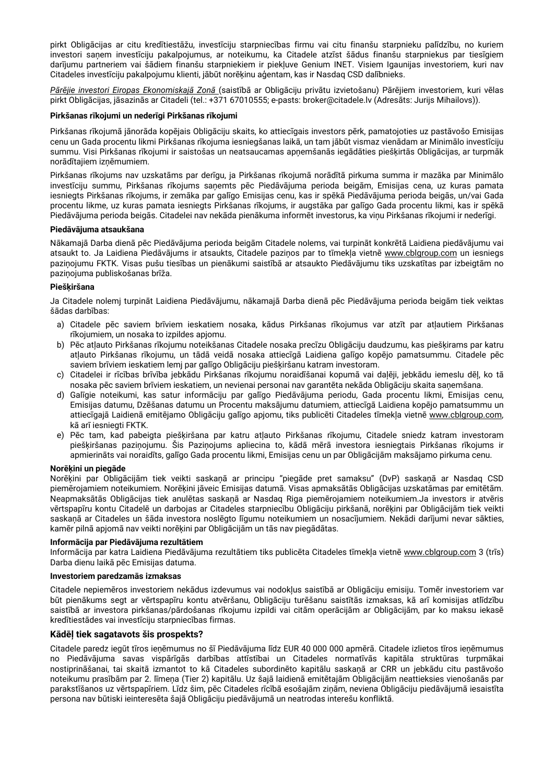pirkt Obligācijas ar citu kredītiestāžu, investīciju starpniecības firmu vai citu finanšu starpnieku palīdzību, no kuriem investori saņem investīciju pakalpojumus, ar noteikumu, ka Citadele atzīst šādus finanšu starpniekus par tiesīgiem darījumu partneriem vai šādiem finanšu starpniekiem ir piekļuve Genium INET. Visiem Igaunijas investoriem, kuri nav Citadeles investīciju pakalpojumu klienti, jābūt norēķinu aģentam, kas ir Nasdaq CSD dalībnieks.

*Pārējie investori Eiropas Ekonomiskajā Zonā* (saistībā ar Obligāciju privātu izvietošanu) Pārējiem investoriem, kuri vēlas pirkt Obligācijas, jāsazinās ar Citadeli (tel.: +371 67010555; e-pasts: broker@citadele.lv (Adresāts: Jurijs Mihailovs)).

### **Pirkšanas rīkojumi un nederīgi Pirkšanas rīkojumi**

Pirkšanas rīkojumā jānorāda kopējais Obligāciju skaits, ko attiecīgais investors pērk, pamatojoties uz pastāvošo Emisijas cenu un Gada procentu likmi Pirkšanas rīkojuma iesniegšanas laikā, un tam jābūt vismaz vienādam ar Minimālo investīciju summu. Visi Pirkšanas rīkojumi ir saistošas un neatsaucamas apņemšanās iegādāties piešķirtās Obligācijas, ar turpmāk norādītajiem izņēmumiem.

Pirkšanas rīkojums nav uzskatāms par derīgu, ja Pirkšanas rīkojumā norādītā pirkuma summa ir mazāka par Minimālo investīciju summu, Pirkšanas rīkojums saņemts pēc Piedāvājuma perioda beigām, Emisijas cena, uz kuras pamata iesniegts Pirkšanas rīkojums, ir zemāka par galīgo Emisijas cenu, kas ir spēkā Piedāvājuma perioda beigās, un/vai Gada procentu likme, uz kuras pamata iesniegts Pirkšanas rīkojums, ir augstāka par galīgo Gada procentu likmi, kas ir spēkā Piedāvājuma perioda beigās. Citadelei nav nekāda pienākuma informēt investorus, ka viņu Pirkšanas rīkojumi ir nederīgi.

### **Piedāvājuma atsaukšana**

Nākamajā Darba dienā pēc Piedāvājuma perioda beigām Citadele nolems, vai turpināt konkrētā Laidiena piedāvājumu vai atsaukt to. Ja Laidiena Piedāvājums ir atsaukts, Citadele paziņos par to tīmekļa vietnē www.cblgroup.com un iesniegs paziņojumu FKTK. Visas pušu tiesības un pienākumi saistībā ar atsaukto Piedāvājumu tiks uzskatītas par izbeigtām no paziņojuma publiskošanas brīža.

### **Piešķiršana**

Ja Citadele nolemj turpināt Laidiena Piedāvājumu, nākamajā Darba dienā pēc Piedāvājuma perioda beigām tiek veiktas šādas darbības:

- a) Citadele pēc saviem brīviem ieskatiem nosaka, kādus Pirkšanas rīkojumus var atzīt par atļautiem Pirkšanas rīkojumiem, un nosaka to izpildes apjomu.
- b) Pēc atļauto Pirkšanas rīkojumu noteikšanas Citadele nosaka precīzu Obligāciju daudzumu, kas piešķirams par katru atļauto Pirkšanas rīkojumu, un tādā veidā nosaka attiecīgā Laidiena galīgo kopējo pamatsummu. Citadele pēc saviem brīviem ieskatiem lemj par galīgo Obligāciju piešķiršanu katram investoram.
- c) Citadelei ir rīcības brīvība jebkādu Pirkšanas rīkojumu noraidīšanai kopumā vai daļēji, jebkādu iemeslu dēļ, ko tā nosaka pēc saviem brīviem ieskatiem, un nevienai personai nav garantēta nekāda Obligāciju skaita saņemšana.
- d) Galīgie noteikumi, kas satur informāciju par galīgo Piedāvājuma periodu, Gada procentu likmi, Emisijas cenu, Emisijas datumu, Dzēšanas datumu un Procentu maksājumu datumiem, attiecīgā Laidiena kopējo pamatsummu un attiecīgajā Laidienā emitējamo Obligāciju galīgo apjomu, tiks publicēti Citadeles tīmekļa vietnē www.cblgroup.com, kā arī iesniegti FKTK.
- e) Pēc tam, kad pabeigta piešķiršana par katru atļauto Pirkšanas rīkojumu, Citadele sniedz katram investoram piešķiršanas paziņojumu. Šis Paziņojums apliecina to, kādā mērā investora iesniegtais Pirkšanas rīkojums ir apmierināts vai noraidīts, galīgo Gada procentu likmi, Emisijas cenu un par Obligācijām maksājamo pirkuma cenu.

### **Norēķini un piegāde**

Norēķini par Obligācijām tiek veikti saskaņā ar principu "piegāde pret samaksu" (DvP) saskaņā ar Nasdaq CSD piemērojamiem noteikumiem. Norēķini jāveic Emisijas datumā. Visas apmaksātās Obligācijas uzskatāmas par emitētām. Neapmaksātās Obligācijas tiek anulētas saskaņā ar Nasdaq Riga piemērojamiem noteikumiem.Ja investors ir atvēris vērtspapīru kontu Citadelē un darbojas ar Citadeles starpniecību Obligāciju pirkšanā, norēķini par Obligācijām tiek veikti saskaņā ar Citadeles un šāda investora noslēgto līgumu noteikumiem un nosacījumiem. Nekādi darījumi nevar sākties, kamēr pilnā apjomā nav veikti norēķini par Obligācijām un tās nav piegādātas.

### **Informācija par Piedāvājuma rezultātiem**

Informācija par katra Laidiena Piedāvājuma rezultātiem tiks publicēta Citadeles tīmekļa vietnē www.cblgroup.com 3 (trīs) Darba dienu laikā pēc Emisijas datuma.

#### **Investoriem paredzamās izmaksas**

Citadele nepiemēros investoriem nekādus izdevumus vai nodokļus saistībā ar Obligāciju emisiju. Tomēr investoriem var būt pienākums segt ar vērtspapīru kontu atvēršanu, Obligāciju turēšanu saistītās izmaksas, kā arī komisijas atlīdzību saistībā ar investora pirkšanas/pārdošanas rīkojumu izpildi vai citām operācijām ar Obligācijām, par ko maksu iekasē kredītiestādes vai investīciju starpniecības firmas.

### **Kādēļ tiek sagatavots šis prospekts?**

Citadele paredz iegūt tīros ieņēmumus no šī Piedāvājuma līdz EUR 40 000 000 apmērā. Citadele izlietos tīros ieņēmumus no Piedāvājuma savas vispārīgās darbības attīstībai un Citadeles normatīvās kapitāla struktūras turpmākai nostiprināšanai, tai skaitā izmantot to kā Citadeles subordinēto kapitālu saskaņā ar CRR un jebkādu citu pastāvošo noteikumu prasībām par 2. līmeņa (Tier 2) kapitālu. Uz šajā laidienā emitētajām Obligācijām neattieksies vienošanās par parakstīšanos uz vērtspapīriem. Līdz šim, pēc Citadeles rīcībā esošajām ziņām, neviena Obligāciju piedāvājumā iesaistīta persona nav būtiski ieinteresēta šajā Obligāciju piedāvājumā un neatrodas interešu konfliktā.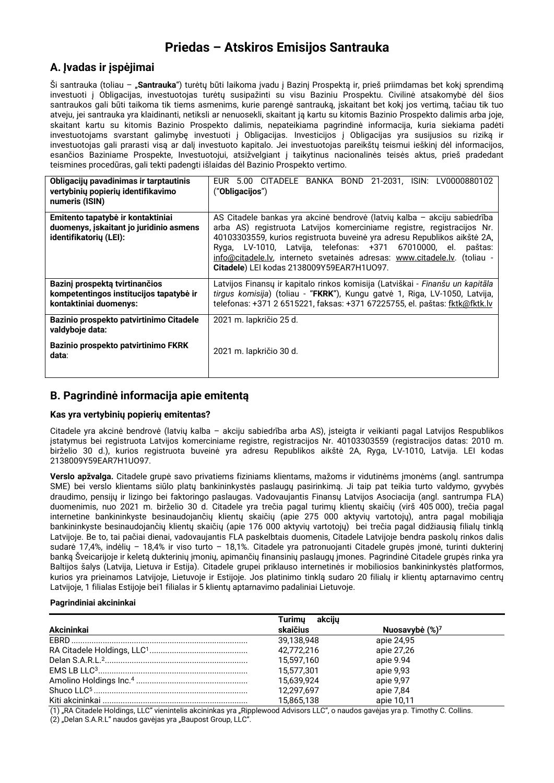# **Priedas [–](#page-24-0) Atskiros Emisijos Santrauka**

# **A. Įvadas ir įspėjimai**

Ši santrauka (toliau – "**Santrauka**") turėtų būti laikoma įvadu į Bazinį Prospektą ir, prieš priimdamas bet kokį sprendimą investuoti į Obligacijas, investuotojas turėtų susipažinti su visu Baziniu Prospektu. Civilinė atsakomybė dėl šios santraukos gali būti taikoma tik tiems asmenims, kurie parengė santrauką, įskaitant bet kokį jos vertimą, tačiau tik tuo atveju, jei santrauka yra klaidinanti, netiksli ar nenuosekli, skaitant ją kartu su kitomis Bazinio Prospekto dalimis arba joje, skaitant kartu su kitomis Bazinio Prospekto dalimis, nepateikiama pagrindinė informacija, kuria siekiama padėti investuotojams svarstant galimybę investuoti į Obligacijas. Investicijos į Obligacijas yra susijusios su riziką ir investuotojas gali prarasti visą ar dalį investuoto kapitalo. Jei investuotojas pareikštų teismui ieškinį dėl informacijos, esančios Baziniame Prospekte, Investuotojui, atsižvelgiant į taikytinus nacionalinės teisės aktus, prieš pradedant teismines procedūras, gali tekti padengti išlaidas dėl Bazinio Prospekto vertimo.

| EUR 5.00 CITADELE BANKA BOND 21-2031. ISIN: LV0000880102<br>("Obligacijos")                                                                                                                                                                                                                                                                                                                                                  |
|------------------------------------------------------------------------------------------------------------------------------------------------------------------------------------------------------------------------------------------------------------------------------------------------------------------------------------------------------------------------------------------------------------------------------|
| AS Citadele bankas yra akcinė bendrovė (latvių kalba – akciju sabiedrība<br>arba AS) registruota Latvijos komerciniame registre, registracijos Nr.<br>40103303559, kurios registruota buveinė yra adresu Republikos aikštė 2A,<br>Ryga, LV-1010, Latvija, telefonas: +371 67010000, el.<br>paštas:<br>info@citadele.lv, interneto svetainės adresas: www.citadele.lv. (toliau -<br>Citadele) LEI kodas 2138009Y59EAR7H1UO97. |
| Latvijos Finansų ir kapitalo rinkos komisija (Latviškai - Finanšu un kapitāla<br>tirgus komisija) (toliau - "FKRK"), Kungu gatvė 1, Riga, LV-1050, Latvija,<br>telefonas: +371 2 651 5221, faksas: +371 67225755, el. paštas: fktk@fktk.lv                                                                                                                                                                                   |
| 2021 m. lapkričio 25 d.<br>2021 m. lapkričio 30 d.                                                                                                                                                                                                                                                                                                                                                                           |
|                                                                                                                                                                                                                                                                                                                                                                                                                              |

# **B. Pagrindinė informacija apie emitentą**

### **Kas yra vertybinių popierių emitentas?**

Citadele yra akcinė bendrovė (latvių kalba – akciju sabiedrība arba AS), įsteigta ir veikianti pagal Latvijos Respublikos įstatymus bei registruota Latvijos komerciniame registre, registracijos Nr. 40103303559 (registracijos datas: 2010 m. birželio 30 d.), kurios registruota buveinė yra adresu Republikos aikštė 2A, Ryga, LV-1010, Latvija. LEI kodas 2138009Y59EAR7H1UO97.

**Verslo apžvalga.** Citadele grupė savo privatiems fiziniams klientams, mažoms ir vidutinėms įmonėms (angl. santrumpa SME) bei verslo klientams siūlo platų bankininkystės paslaugų pasirinkimą. Ji taip pat teikia turto valdymo, gyvybės draudimo, pensijų ir lizingo bei faktoringo paslaugas. Vadovaujantis Finansų Latvijos Asociacija (angl. santrumpa FLA) duomenimis, nuo 2021 m. birželio 30 d. Citadele yra trečia pagal turimų klientų skaičių (virš 405 000), trečia pagal internetine bankininkyste besinaudojančių klientų skaičių (apie 275 000 aktyvių vartotojų), antra pagal mobiliąja bankininkyste besinaudojančių klientų skaičių (apie 176 000 aktyvių vartotojų) bei trečia pagal didžiausią filialų tinklą Latvijoje. Be to, tai pačiai dienai, vadovaujantis FLA paskelbtais duomenis, Citadele Latvijoje bendra paskolų rinkos dalis sudarė 17,4%, indėlių – 18,4% ir viso turto – 18,1%. Citadele yra patronuojanti Citadele grupės įmonė, turinti dukterinį banką Šveicarijoje ir keletą dukterinių įmonių, apimančių finansinių paslaugų įmones. Pagrindinė Citadele grupės rinka yra Baltijos šalys (Latvija, Lietuva ir Estija). Citadele grupei priklauso internetinės ir mobiliosios bankininkystės platformos, kurios yra prieinamos Latvijoje, Lietuvoje ir Estijoje. Jos platinimo tinklą sudaro 20 filialų ir klientų aptarnavimo centrų Latvijoje, 1 filialas Estijoje bei1 filialas ir 5 klientų aptarnavimo padaliniai Lietuvoje.

### **Pagrindiniai akcininkai**

|            | akciju<br>Turimu |                |
|------------|------------------|----------------|
| Akcininkai | skaičius         | Nuosavybė (%)7 |
|            | 39.138.948       | apie 24,95     |
|            | 42.772.216       | apie 27,26     |
|            | 15.597.160       | apie 9.94      |
|            | 15,577,301       | apie 9,93      |
|            | 15,639,924       | apie 9,97      |
|            | 12.297.697       | apie 7,84      |
|            | 15,865,138       | apie 10,11     |

(1) "RA Citadele Holdings, LLC" vienintelis akcininkas yra "Ripplewood Advisors LLC", o naudos gavėjas yra p. Timothy C. Collins. (2) "Delan S.A.R.L" naudos gavėjas yra "Baupost Group, LLC".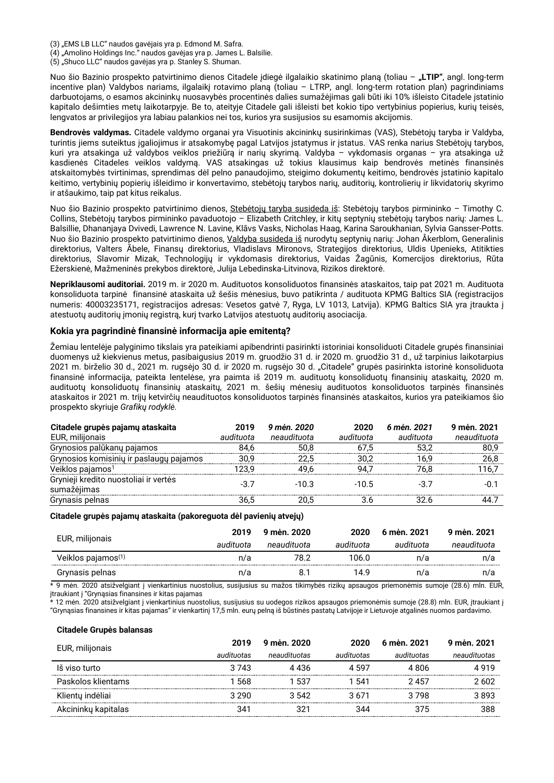- (3) "EMS LB LLC" naudos gavėjais yra p. Edmond M. Safra.
- (4) "Amolino Holdings Inc." naudos gavėjas yra p. James L. Balsilie.
- (5) "Shuco LLC" naudos gavėjas yra p. Stanley S. Shuman.

Nuo šio Bazinio prospekto patvirtinimo dienos Citadele įdiegė ilgalaikio skatinimo planą (toliau – **"LTIP"**, angl. long-term incentive plan) Valdybos nariams, ilgalaikį rotavimo planą (toliau – LTRP, angl. long-term rotation plan) pagrindiniams darbuotojams, o esamos akcininkų nuosavybės procentinės dalies sumažėjimas gali būti iki 10% išleisto Citadele įstatinio kapitalo dešimties metų laikotarpyje. Be to, ateityje Citadele gali išleisti bet kokio tipo vertybinius popierius, kurių teisės, lengvatos ar privilegijos yra labiau palankios nei tos, kurios yra susijusios su esamomis akcijomis.

**Bendrovės valdymas.** Citadele valdymo organai yra Visuotinis akcininkų susirinkimas (VAS), Stebėtojų taryba ir Valdyba, turintis jiems suteiktus įgaliojimus ir atsakomybę pagal Latvijos įstatymus ir įstatus. VAS renka narius Stebėtojų tarybos, kuri yra atsakinga už valdybos veiklos priežiūrą ir narių skyrimą. Valdyba – vykdomasis organas – yra atsakinga už kasdienės Citadeles veiklos valdymą. VAS atsakingas už tokius klausimus kaip bendrovės metinės finansinės atskaitomybės tvirtinimas, sprendimas dėl pelno panaudojimo, steigimo dokumentų keitimo, bendrovės įstatinio kapitalo keitimo, vertybinių popierių išleidimo ir konvertavimo, stebėtojų tarybos narių, auditorių, kontrolierių ir likvidatorių skyrimo ir atšaukimo, taip pat kitus reikalus.

Nuo šio Bazinio prospekto patvirtinimo dienos, Stebėtojų taryba susideda iš: Stebėtojų tarybos pirmininko – Timothy C. Collins, Stebėtojų tarybos pirmininko pavaduotojo – Elizabeth Critchley, ir kitų septynių stebėtojų tarybos narių: James L. Balsillie, Dhananjaya Dvivedi, Lawrence N. Lavine, Klāvs Vasks, Nicholas Haag, Karina Saroukhanian, Sylvia Gansser-Potts. Nuo šio Bazinio prospekto patvirtinimo dienos, Valdyba susideda iš nurodytų septynių narių: Johan Åkerblom, Generalinis direktorius, Valters Ābele, Finansų direktorius, Vladislavs Mironovs, Strategijos direktorius, Uldis Upenieks, Atitikties direktorius, Slavomir Mizak, Technologijų ir vykdomasis direktorius, Vaidas Žagūnis, Komercijos direktorius, Rūta Ežerskienė, Mažmeninės prekybos direktorė, Julija Lebedinska-Litvinova, Rizikos direktorė.

**Nepriklausomi auditoriai.** 2019 m. ir 2020 m. Audituotos konsoliduotos finansinės ataskaitos, taip pat 2021 m. Audituota konsoliduota tarpinė finansinė ataskaita už šešis mėnesius, buvo patikrinta / audituota KPMG Baltics SIA (registracijos numeris: 40003235171, registracijos adresas: Vesetos gatvė 7, Ryga, LV 1013, Latvija). KPMG Baltics SIA yra įtraukta į atestuotų auditorių įmonių registrą, kurį tvarko Latvijos atestuotų auditorių asociacija.

### **Kokia yra pagrindinė finansinė informacija apie emitentą?**

Žemiau lentelėje palyginimo tikslais yra pateikiami apibendrinti pasirinkti istoriniai konsoliduoti Citadele grupės finansiniai duomenys už kiekvienus metus, pasibaigusius 2019 m. gruodžio 31 d. ir 2020 m. gruodžio 31 d., už tarpinius laikotarpius 2021 m. birželio 30 d., 2021 m. rugsėjo 30 d. ir 2020 m. rugsėjo 30 d. "Citadele" grupės pasirinkta istorinė konsoliduota finansinė informacija, pateikta lentelėse, yra paimta iš 2019 m. audituotų konsoliduotų finansinių ataskaitų, 2020 m. audituotų konsoliduotų finansinių ataskaitų, 2021 m. šešių mėnesių audituotos konsoliduotos tarpinės finansinės ataskaitos ir 2021 m. trijų ketvirčių neaudituotos konsoliduotos tarpinės finansinės ataskaitos, kurios yra pateikiamos šio prospekto skyriuje *Grafikų rodyklė.* 

| Citadele grupės pajamų ataskaita                     | 2019      | 9 mėn. 2020 | 2020      | 6 mėn. 2021 | 9 men. 2021 |
|------------------------------------------------------|-----------|-------------|-----------|-------------|-------------|
| EUR, milijonais                                      | audituota | neaudituota | audituota | audituota   | neaudituota |
| Grynosios palūkanų pajamos                           | 84.6      | 50.8        | 67.5      | 53.2        | 80.9        |
| Grynosios komisinių ir paslaugų pajamos              | 30.9      | 22.5        | 30 2      | 16.9        | 26.8        |
| Veiklos pajamos <sup>1</sup>                         | 123.9     | 49.6        | 94.7      | 76.8        | 116.7       |
| Grynieji kredito nuostoliai ir vertės<br>sumažėjimas | -3 7      | $-10.3$     | $-10.5$   |             | -0.1        |
| Grynasis pelnas                                      | 36.5      | 20.5        |           |             |             |

#### **Citadele grupės pajamų ataskaita (pakoreguota dėl pavienių atvejų)**

|                                | 2019      | 9 mėn. 2020 | 2020      | 6 men. 2021 | 9 men. 2021 |
|--------------------------------|-----------|-------------|-----------|-------------|-------------|
| EUR, milijonais                | audituota | neaudituota | audituota | audituota   | neaudituota |
| Veiklos pajamos <sup>(1)</sup> | n/a       | 78.2        | 106.0     | n/a         | n/a         |
| Grynasis pelnas                | n/a       |             | 14.9      | n/a         | n/a         |

\* 9 mėn. 2020 atsižvelgiant į vienkartinius nuostolius, susijusius su mažos tikimybės rizikų apsaugos priemonėmis sumoje (28.6) mln. EUR, įtraukiant į "Grynąsias finansines ir kitas pajamas

\* 12 mėn. 2020 atsižvelgiant į vienkartinius nuostolius, susijusius su uodegos rizikos apsaugos priemonėmis sumoje (28.8) mln. EUR, įtraukiant į "Grynąsias finansines ir kitas pajamas" ir vienkartinį 17,5 mln. eurų pelną iš būstinės pastatų Latvijoje ir Lietuvoje atgalinės nuomos pardavimo.

#### **Citadele Grupės balansas**

| EUR, milijonais     | 2019       | 9 men. 2020  | 2020.      | 6 mėn. 2021 | 9 men. 2021  |
|---------------------|------------|--------------|------------|-------------|--------------|
|                     | audituotas | neaudituotas | audituotas | audituotas  | neaudituotas |
| Iš viso turto       | 3 743      | 4 436        | 4.597      | 4 806       |              |
| Paskolos klientams  | 568        |              | 541        | 457         | -602         |
| Klientų indėliai    | 3.290      | 3.542        | 3.671      | 3 798       | 3.893        |
| Akcininkų kapitalas | 341        |              |            |             | 388          |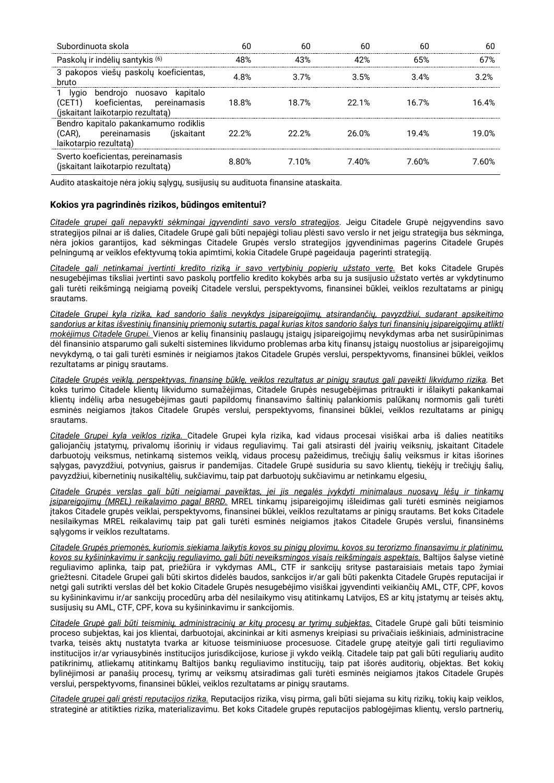| Subordinuota skola                                                                                                 |       |       |       |       |       |
|--------------------------------------------------------------------------------------------------------------------|-------|-------|-------|-------|-------|
| Paskolų ir indėlių santykis (6)                                                                                    |       |       |       | 65%   |       |
| 3 pakopos viešų paskolų koeficientas,<br>bruto                                                                     | 4 ጸ%  | 37%   | 3.5%  | 3.4%  |       |
| Ivaio<br>bendrojo nuosavo<br>kapıtalo<br>koeficientas, pereinamasis<br>(CET1)<br>(iskaitant laikotarpio rezultata) | 18.8% | 18.7% | 22 1% | 16.7% | 16 4% |
| Bendro kapitalo pakankamumo rodiklis<br>(CAR).<br>(iskaitant)<br>pereinamasis<br>laikotarpio rezultata)            | 22.2% | 22.2% | 26 በ% | 19 4% | 19 በ% |
| Sverto koeficientas, pereinamasis<br>(iskaitant laikotarpio rezultata)                                             | 8.80% | 7 1በ% | 7 4በ% |       | .6በ%  |

Audito ataskaitoje nėra jokių sąlygų, susijusių su audituota finansine ataskaita.

### **Kokios yra pagrindinės rizikos, būdingos emitentui?**

*Citadele grupei gali nepavykti sėkmingai įgyvendinti savo verslo strategijos*. Jeigu Citadele Grupė neįgyvendins savo strategijos pilnai ar iš dalies, Citadele Grupė gali būti nepajėgi toliau plėsti savo verslo ir net jeigu strategija bus sėkminga, nėra jokios garantijos, kad sėkmingas Citadele Grupės verslo strategijos įgyvendinimas pagerins Citadele Grupės pelningumą ar veiklos efektyvumą tokia apimtimi, kokia Citadele Grupė pageidauja pagerinti strategiją.

*Citadele gali netinkamai įvertinti kredito riziką ir savo vertybinių popierių užstato vertę.* Bet koks Citadele Grupės nesugebėjimas tiksliai įvertinti savo paskolų portfelio kredito kokybės arba su ja susijusio užstato vertės ar vykdytinumo gali turėti reikšmingą neigiamą poveikį Citadele verslui, perspektyvoms, finansinei būklei, veiklos rezultatams ar pinigų srautams.

*Citadele Grupei kyla rizika, kad sandorio šalis nevykdys įsipareigojimų, atsirandančių, pavyzdžiui, sudarant apsikeitimo sandorius ar kitas išvestinių finansinių priemonių sutartis, pagal kurias kitos sandorio šalys turi finansinių įsipareigojimų atlikti mokėjimus Citadele Grupei.* Vienos ar kelių finansinių paslaugų įstaigų įsipareigojimų nevykdymas arba net susirūpinimas dėl finansinio atsparumo gali sukelti sistemines likvidumo problemas arba kitų finansų įstaigų nuostolius ar įsipareigojimų nevykdymą, o tai gali turėti esminės ir neigiamos įtakos Citadele Grupės verslui, perspektyvoms, finansinei būklei, veiklos rezultatams ar pinigų srautams.

*Citadele Grupės veiklą, perspektyvas, finansinę būklę, veiklos rezultatus ar pinigų srautus gali paveikti likvidumo rizika.* Bet koks turimo Citadele klientų likvidumo sumažėjimas, Citadele Grupės nesugebėjimas pritraukti ir išlaikyti pakankamai klientų indėlių arba nesugebėjimas gauti papildomų finansavimo šaltinių palankiomis palūkanų normomis gali turėti esminės neigiamos įtakos Citadele Grupės verslui, perspektyvoms, finansinei būklei, veiklos rezultatams ar pinigų srautams.

*Citadele Grupei kyla veiklos rizika.* Citadele Grupei kyla rizika, kad vidaus procesai visiškai arba iš dalies neatitiks galiojančių įstatymų, privalomų išorinių ir vidaus reguliavimų. Tai gali atsirasti dėl įvairių veiksnių, įskaitant Citadele darbuotojų veiksmus, netinkamą sistemos veiklą, vidaus procesų pažeidimus, trečiųjų šalių veiksmus ir kitas išorines sąlygas, pavyzdžiui, potvynius, gaisrus ir pandemijas. Citadele Grupė susiduria su savo klientų, tiekėjų ir trečiųjų šalių, pavyzdžiui, kibernetinių nusikaltėlių, sukčiavimu, taip pat darbuotojų sukčiavimu ar netinkamu elgesiu*.* 

*Citadele Grupės verslas gali būti neigiamai paveiktas, jei jis negalės įvykdyti minimalaus nuosavų lėšų ir tinkamų įsipareigojimų (MREL) reikalavimo pagal BRRD.* MREL tinkamų įsipareigojimų išleidimas gali turėti esminės neigiamos įtakos Citadele grupės veiklai, perspektyvoms, finansinei būklei, veiklos rezultatams ar pinigų srautams. Bet koks Citadele nesilaikymas MREL reikalavimų taip pat gali turėti esminės neigiamos įtakos Citadele Grupės verslui, finansinėms sąlygoms ir veiklos rezultatams.

*Citadele Grupės priemonės, kuriomis siekiama laikytis kovos su pinigų plovimu, kovos su terorizmo finansavimu ir platinimu, kovos su kyšininkavimu ir sankcijų reguliavimo, gali būti neveiksmingos visais reikšmingais aspektais.* Baltijos šalyse vietinė reguliavimo aplinka, taip pat, priežiūra ir vykdymas AML, CTF ir sankcijų srityse pastaraisiais metais tapo žymiai griežtesni. Citadele Grupei gali būti skirtos didelės baudos, sankcijos ir/ar gali būti pakenkta Citadele Grupės reputacijai ir netgi gali sutrikti verslas dėl bet kokio Citadele Grupės nesugebėjimo visiškai įgyvendinti veikiančių AML, CTF, CPF, kovos su kyšininkavimu ir/ar sankcijų procedūrų arba dėl nesilaikymo visų atitinkamų Latvijos, ES ar kitų įstatymų ar teisės aktų, susijusių su AML, CTF, CPF, kova su kyšininkavimu ir sankcijomis.

*Citadele Grupė gali būti teisminių, administracinių ar kitų procesų ar tyrimų subjektas.* Citadele Grupė gali būti teisminio proceso subjektas, kai jos klientai, darbuotojai, akcininkai ar kiti asmenys kreipiasi su privačiais ieškiniais, administracine tvarka, teisės aktų nustatyta tvarka ar kituose teisminiuose procesuose. Citadele grupę ateityje gali tirti reguliavimo institucijos ir/ar vyriausybinės institucijos jurisdikcijose, kuriose ji vykdo veiklą. Citadele taip pat gali būti reguliarių audito patikrinimų, atliekamų atitinkamų Baltijos bankų reguliavimo institucijų, taip pat išorės auditorių, objektas. Bet kokių bylinėjimosi ar panašių procesų, tyrimų ar veiksmų atsiradimas gali turėti esminės neigiamos įtakos Citadele Grupės verslui, perspektyvoms, finansinei būklei, veiklos rezultatams ar pinigų srautams.

*Citadele grupei gali grėsti reputacijos rizika.* Reputacijos rizika, visų pirma, gali būti siejama su kitų rizikų, tokių kaip veiklos, strateginė ar atitikties rizika, materializavimu. Bet koks Citadele grupės reputacijos pablogėjimas klientų, verslo partnerių,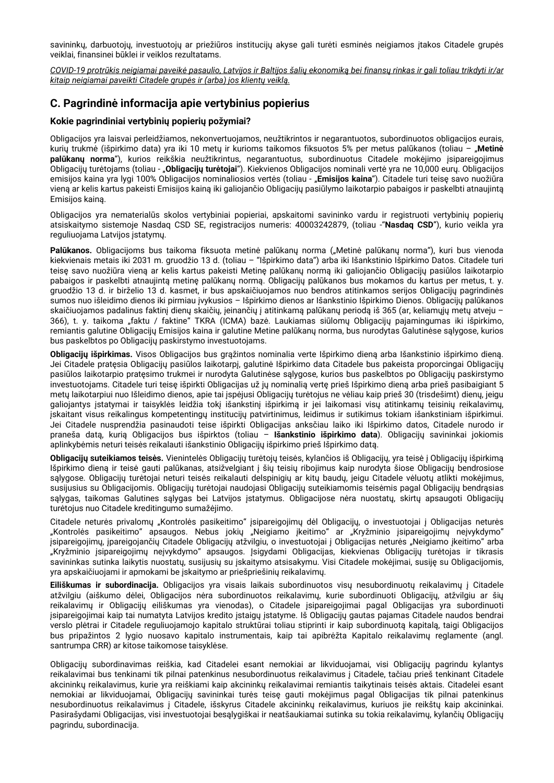savininkų, darbuotojų, investuotojų ar priežiūros institucijų akyse gali turėti esminės neigiamos įtakos Citadele grupės veiklai, finansinei būklei ir veiklos rezultatams.

*COVID-19 protrūkis neigiamai paveikė pasaulio, Latvijos ir Baltijos šalių ekonomiką bei finansų rinkas ir gali toliau trikdyti ir/ar kitaip neigiamai paveikti Citadele grupės ir (arba) jos klientų veiklą.*

# **C. Pagrindinė informacija apie vertybinius popierius**

### **Kokie pagrindiniai vertybinių popierių požymiai?**

Obligacijos yra laisvai perleidžiamos, nekonvertuojamos, neužtikrintos ir negarantuotos, subordinuotos obligacijos eurais, kurių trukmė (išpirkimo data) yra iki 10 metų ir kurioms taikomos fiksuotos 5% per metus palūkanos (toliau – "**Metinė palūkanų norma**"), kurios reikškia neužtikrintus, negarantuotus, subordinuotus Citadele mokėjimo įsipareigojimus Obligacijų turėtojams (toliau - "**Obligacijų turėtojai**"). Kiekvienos Obligacijos nominali vertė yra ne 10,000 eurų. Obligacijos emisijos kaina yra lygi 100% Obligacijos nominaliosios vertės (toliau - "**Emisijos kaina**"). Citadele turi teisę savo nuožiūra vieną ar kelis kartus pakeisti Emisijos kainą iki galiojančio Obligacijų pasiūlymo laikotarpio pabaigos ir paskelbti atnaujintą Emisijos kainą.

Obligacijos yra nematerialūs skolos vertybiniai popieriai, apskaitomi savininko vardu ir registruoti vertybinių popierių atsiskaitymo sistemoje Nasdaq CSD SE, registracijos numeris: 40003242879, (toliau -"**Nasdaq CSD**"), kurio veikla yra reguliuojama Latvijos įstatymų.

**Palūkanos.** Obligacijoms bus taikoma fiksuota metinė palūkanų norma ("Metinė palūkanų norma"), kuri bus vienoda kiekvienais metais iki 2031 m. gruodžio 13 d. (toliau – "Išpirkimo data") arba iki Išankstinio Išpirkimo Datos. Citadele turi teisę savo nuožiūra vieną ar kelis kartus pakeisti Metinę palūkanų normą iki galiojančio Obligacijų pasiūlos laikotarpio pabaigos ir paskelbti atnaujintą metinę palūkanų normą. Obligacijų palūkanos bus mokamos du kartus per metus, t. y. gruodžio 13 d. ir birželio 13 d. kasmet, ir bus apskaičiuojamos nuo bendros atitinkamos serijos Obligacijų pagrindinės sumos nuo išleidimo dienos iki pirmiau įvykusios – Išpirkimo dienos ar Išankstinio Išpirkimo Dienos. Obligacijų palūkanos skaičiuojamos padalinus faktinį dienų skaičių, įeinančių į atitinkamą palūkanų periodą iš 365 (ar, keliamųjų metų atveju – 366), t. y. taikoma "faktu / faktine" TKRA (ICMA) bazė. Laukiamas siūlomų Obligacijų pajamingumas iki išpirkimo, remiantis galutine Obligacijų Emisijos kaina ir galutine Metine palūkanų norma, bus nurodytas Galutinėse sąlygose, kurios bus paskelbtos po Obligacijų paskirstymo investuotojams.

**Obligacijų išpirkimas.** Visos Obligacijos bus grąžintos nominalia verte Išpirkimo dieną arba Išankstinio išpirkimo dieną. Jei Citadele pratęsia Obligacijų pasiūlos laikotarpį, galutinė Išpirkimo data Citadele bus pakeista proporcingai Obligacijų pasiūlos laikotarpio pratęsimo trukmei ir nurodyta Galutinėse sąlygose, kurios bus paskelbtos po Obligacijų paskirstymo investuotojams. Citadele turi teisę išpirkti Obligacijas už jų nominalią vertę prieš Išpirkimo dieną arba prieš pasibaigiant 5 metų laikotarpiui nuo Išleidimo dienos, apie tai įspėjusi Obligacijų turėtojus ne vėliau kaip prieš 30 (trisdešimt) dienų, jeigu galiojantys įstatymai ir taisyklės leidžia tokį išankstinį išpirkimą ir jei laikomasi visų atitinkamų teisinių reikalavimų, įskaitant visus reikalingus kompetentingų institucijų patvirtinimus, leidimus ir sutikimus tokiam išankstiniam išpirkimui. Jei Citadele nusprendžia pasinaudoti teise išpirkti Obligacijas anksčiau laiko iki Išpirkimo datos, Citadele nurodo ir praneša datą, kurią Obligacijos bus išpirktos (toliau – **Išankstinio išpirkimo data**). Obligacijų savininkai jokiomis aplinkybėmis neturi teisės reikalauti išankstinio Obligacijų išpirkimo prieš Išpirkimo datą.

**Obligacijų suteikiamos teisės.** Vienintelės Obligacijų turėtojų teisės, kylančios iš Obligacijų, yra teisė į Obligacijų išpirkimą Išpirkimo dieną ir teisė gauti palūkanas, atsižvelgiant į šių teisių ribojimus kaip nurodyta šiose Obligacijų bendrosiose sąlygose. Obligacijų turėtojai neturi teisės reikalauti delspinigių ar kitų baudų, jeigu Citadele vėluotų atlikti mokėjimus, susijusius su Obligacijomis. Obligacijų turėtojai naudojasi Obligacijų suteikiamomis teisėmis pagal Obligacijų bendrąsias sąlygas, taikomas Galutines sąlygas bei Latvijos įstatymus. Obligacijose nėra nuostatų, skirtų apsaugoti Obligacijų turėtojus nuo Citadele kreditingumo sumažėjimo.

Citadele neturės privalomų "Kontrolės pasikeitimo" įsipareigojimų dėl Obligacijų, o investuotojai į Obligacijas neturės "Kontrolės pasikeitimo" apsaugos. Nebus jokių "Neigiamo įkeitimo" ar "Kryžminio įsipareigojimų neįvykdymo" įsipareigojimų, įpareigojančių Citadele Obligacijų atžvilgiu, o investuotojai į Obligacijas neturės "Neigiamo įkeitimo" arba "Kryžminio įsipareigojimų neįvykdymo" apsaugos. Įsigydami Obligacijas, kiekvienas Obligacijų turėtojas ir tikrasis savininkas sutinka laikytis nuostatų, susijusių su įskaitymo atsisakymu. Visi Citadele mokėjimai, susiję su Obligacijomis, yra apskaičiuojami ir apmokami be įskaitymo ar priešpriešinių reikalavimų.

**Eiliškumas ir subordinacija.** Obligacijos yra visais laikais subordinuotos visų nesubordinuotų reikalavimų į Citadele atžvilgiu (aiškumo dėlei, Obligacijos nėra subordinuotos reikalavimų, kurie subordinuoti Obligacijų, atžvilgiu ar šių reikalavimų ir Obligacijų eiliškumas yra vienodas), o Citadele įsipareigojimai pagal Obligacijas yra subordinuoti įsipareigojimai kaip tai numatyta Latvijos kredito įstaigų įstatyme. Iš Obligacijų gautas pajamas Citadele naudos bendrai verslo plėtrai ir Citadele reguliuojamojo kapitalo struktūrai toliau stiprinti ir kaip subordinuotą kapitalą, taigi Obligacijos bus pripažintos 2 lygio nuosavo kapitalo instrumentais, kaip tai apibrėžta Kapitalo reikalavimų reglamente (angl. santrumpa CRR) ar kitose taikomose taisyklėse.

Obligacijų subordinavimas reiškia, kad Citadelei esant nemokiai ar likviduojamai, visi Obligacijų pagrindu kylantys reikalavimai bus tenkinami tik pilnai patenkinus nesubordinuotus reikalavimus į Citadele, tačiau prieš tenkinant Citadele akcininkų reikalavimus, kurie yra reiškiami kaip akcininkų reikalavimai remiantis taikytinais teisės aktais. Citadelei esant nemokiai ar likviduojamai, Obligacijų savininkai turės teisę gauti mokėjimus pagal Obligacijas tik pilnai patenkinus nesubordinuotus reikalavimus į Citadele, išskyrus Citadele akcininkų reikalavimus, kuriuos jie reikštų kaip akcininkai. Pasirašydami Obligacijas, visi investuotojai besąlygiškai ir neatšaukiamai sutinka su tokia reikalavimų, kylančių Obligacijų pagrindu, subordinacija.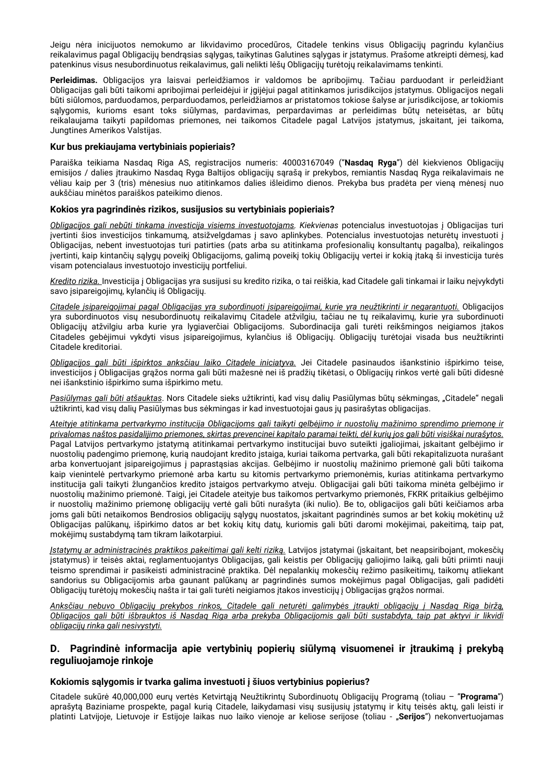Jeigu nėra inicijuotos nemokumo ar likvidavimo procedūros, Citadele tenkins visus Obligacijų pagrindu kylančius reikalavimus pagal Obligacijų bendrąsias sąlygas, taikytinas Galutines sąlygas ir įstatymus. Prašome atkreipti dėmesį, kad patenkinus visus nesubordinuotus reikalavimus, gali nelikti lėšų Obligacijų turėtojų reikalavimams tenkinti.

**Perleidimas.** Obligacijos yra laisvai perleidžiamos ir valdomos be apribojimų. Tačiau parduodant ir perleidžiant Obligacijas gali būti taikomi apribojimai perleidėjui ir įgijėjui pagal atitinkamos jurisdikcijos įstatymus. Obligacijos negali būti siūlomos, parduodamos, perparduodamos, perleidžiamos ar pristatomos tokiose šalyse ar jurisdikcijose, ar tokiomis sąlygomis, kurioms esant toks siūlymas, pardavimas, perpardavimas ar perleidimas būtų neteisėtas, ar būtų reikalaujama taikyti papildomas priemones, nei taikomos Citadele pagal Latvijos įstatymus, įskaitant, jei taikoma, Jungtines Amerikos Valstijas.

### **Kur bus prekiaujama vertybiniais popieriais?**

Paraiška teikiama Nasdaq Riga AS, registracijos numeris: 40003167049 ("**Nasdaq Ryga**") dėl kiekvienos Obligacijų emisijos / dalies įtraukimo Nasdaq Ryga Baltijos obligacijų sąrašą ir prekybos, remiantis Nasdaq Ryga reikalavimais ne vėliau kaip per 3 (tris) mėnesius nuo atitinkamos dalies išleidimo dienos. Prekyba bus pradėta per vieną mėnesį nuo aukščiau minėtos paraiškos pateikimo dienos.

### **Kokios yra pagrindinės rizikos, susijusios su vertybiniais popieriais?**

*Obligacijos gali nebūti tinkama investicija visiems investuotojams. Kiekvienas* potencialus investuotojas į Obligacijas turi įvertinti šios investicijos tinkamumą, atsižvelgdamas į savo aplinkybes. Potencialus investuotojas neturėtų investuoti į Obligacijas, nebent investuotojas turi patirties (pats arba su atitinkama profesionalių konsultantų pagalba), reikalingos įvertinti, kaip kintančių sąlygų poveikį Obligacijoms, galimą poveikį tokių Obligacijų vertei ir kokią įtaką ši investicija turės visam potencialaus investuotojo investicijų portfeliui.

*Kredito rizika.* Investicija į Obligacijas yra susijusi su kredito rizika, o tai reiškia, kad Citadele gali tinkamai ir laiku neįvykdyti savo įsipareigojimų, kylančių iš Obligacijų.

*Citadele įsipareigojimai pagal Obligacijas yra subordinuoti įsipareigojimai, kurie yra neužtikrinti ir negarantuoti.* Obligacijos yra subordinuotos visų nesubordinuotų reikalavimų Citadele atžvilgiu, tačiau ne tų reikalavimų, kurie yra subordinuoti Obligacijų atžvilgiu arba kurie yra lygiaverčiai Obligacijoms. Subordinacija gali turėti reikšmingos neigiamos įtakos Citadeles gebėjimui vykdyti visus įsipareigojimus, kylančius iš Obligacijų. Obligacijų turėtojai visada bus neužtikrinti Citadele kreditoriai.

*Obligacijos gali būti išpirktos anksčiau laiko Citadele iniciatyva.* Jei Citadele pasinaudos išankstinio išpirkimo teise, investicijos į Obligacijas grąžos norma gali būti mažesnė nei iš pradžių tikėtasi, o Obligacijų rinkos vertė gali būti didesnė nei išankstinio išpirkimo suma išpirkimo metu.

*Pasiūlymas gali būti atšauktas*. Nors Citadele sieks užtikrinti, kad visų dalių Pasiūlymas būtų sėkmingas, "Citadele" negali užtikrinti, kad visų dalių Pasiūlymas bus sėkmingas ir kad investuotojai gaus jų pasirašytas obligacijas.

*Ateityje atitinkama pertvarkymo institucija Obligacijoms gali taikyti gelbėjimo ir nuostolių mažinimo sprendimo priemonę ir privalomas naštos pasidalijimo priemones, skirtas prevencinei kapitalo paramai teikti, dėl kurių jos gali būti visiškai nurašytos.* Pagal Latvijos pertvarkymo įstatyma atitinkamai pertvarkymo institucijai buvo suteikti įgaliojimai, įskaitant gelbėjimo ir nuostolių padengimo priemonę, kurią naudojant kredito įstaiga, kuriai taikoma pertvarka, gali būti rekapitalizuota nurašant arba konvertuojant įsipareigojimus į paprastąsias akcijas. Gelbėjimo ir nuostolių mažinimo priemonė gali būti taikoma kaip vienintelė pertvarkymo priemonė arba kartu su kitomis pertvarkymo priemonėmis, kurias atitinkama pertvarkymo institucija gali taikyti žlungančios kredito įstaigos pertvarkymo atveju. Obligacijai gali būti taikoma minėta gelbėjimo ir nuostolių mažinimo priemonė. Taigi, jei Citadele ateityje bus taikomos pertvarkymo priemonės, FKRK pritaikius gelbėjimo ir nuostolių mažinimo priemonę obligacijų vertė gali būti nurašyta (iki nulio). Be to, obligacijos gali būti keičiamos arba joms gali būti netaikomos Bendrosios obligacijų sąlygų nuostatos, įskaitant pagrindinės sumos ar bet kokių mokėtinų už Obligacijas palūkanų, išpirkimo datos ar bet kokių kitų datų, kuriomis gali būti daromi mokėjimai, pakeitimą, taip pat, mokėjimų sustabdymą tam tikram laikotarpiui.

*Įstatymų ar administracinės praktikos pakeitimai gali kelti riziką.* Latvijos įstatymai (įskaitant, bet neapsiribojant, mokesčių įstatymus) ir teisės aktai, reglamentuojantys Obligacijas, gali keistis per Obligacijų galiojimo laiką, gali būti priimti nauji teismo sprendimai ir pasikeisti administracinė praktika. Dėl nepalankių mokesčių režimo pasikeitimų, taikomų atliekant sandorius su Obligacijomis arba gaunant palūkanų ar pagrindinės sumos mokėjimus pagal Obligacijas, gali padidėti Obligacijų turėtojų mokesčių našta ir tai gali turėti neigiamos įtakos investicijų į Obligacijas grąžos normai.

*Anksčiau nebuvo Obligacijų prekybos rinkos, Citadele gali neturėti galimybės įtraukti obligacijų į Nasdaq Riga biržą, Obligacijos gali būti išbrauktos iš Nasdaq Riga arba prekyba Obligacijomis gali būti sustabdyta, taip pat aktyvi ir likvidi obligacijų rinka gali nesivystyti.*

### **D. Pagrindinė informacija apie vertybinių popierių siūlymą visuomenei ir įtraukimą į prekybą reguliuojamoje rinkoje**

### **Kokiomis sąlygomis ir tvarka galima investuoti į šiuos vertybinius popierius?**

Citadele sukūrė 40,000,000 eurų vertės Ketvirtąją Neužtikrintų Subordinuotų Obligacijų Programą (toliau – "**Programa**") aprašytą Baziniame prospekte, pagal kurią Citadele, laikydamasi visų susijusių įstatymų ir kitų teisės aktų, gali leisti ir platinti Latvijoje, Lietuvoje ir Estijoje laikas nuo laiko vienoje ar keliose serijose (toliau - "**Serijos**") nekonvertuojamas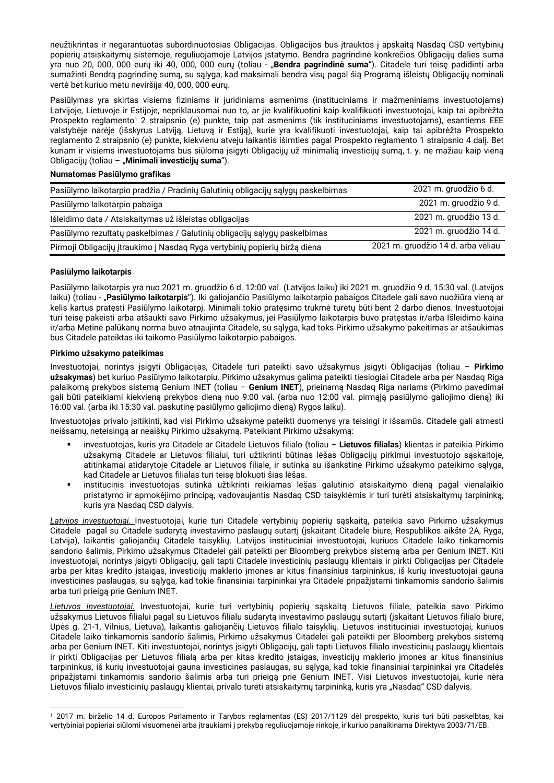neužtikrintas ir negarantuotas subordinuotosias Obligacijas. Obligacijos bus įtrauktos į apskaitą Nasdaq CSD vertybinių popierių atsiskaitymų sistemoje, reguliuojamoje Latvijos įstatymo. Bendra pagrindinė konkrečios Obligacijų dalies suma yra nuo 20, 000, 000 eurų iki 40, 000, 000 eurų (toliau - "**Bendra pagrindinė suma**"). Citadele turi teisę padidinti arba sumažinti Bendrą pagrindinę sumą, su sąlyga, kad maksimali bendra visų pagal šią Programą išleistų Obligacijų nominali vertė bet kuriuo metu neviršija 40, 000, 000 eurų.

Pasiūlymas yra skirtas visiems fiziniams ir juridiniams asmenims (instituciniams ir mažmeniniams investuotojams) Latvijoje, Lietuvoje ir Estijoje, nepriklausomai nuo to, ar jie kvalifikuotini kaip kvalifikuoti investuotojai, kaip tai apibrėžta Prospekto reglamento<sup>1</sup> 2 straipsnio (e) punkte, taip pat asmenims (tik instituciniams investuotojams), esantiems EEE valstybėje narėje (išskyrus Latviją, Lietuvą ir Estiją), kurie yra kvalifikuoti investuotojai, kaip tai apibrėžta Prospekto reglamento 2 straipsnio (e) punkte, kiekvienu atveju laikantis išimties pagal Prospekto reglamento 1 straipsnio 4 dalį. Bet kuriam ir visiems investuotojams bus siūloma įsigyti Obligacijų už minimalią investicijų sumą, t. y. ne mažiau kaip vieną Obligacijų (toliau – "**Minimali investicijų suma**").

### **Numatomas Pasiūlymo grafikas**

| Pasiūlymo laikotarpio pradžia / Pradinių Galutinių obligacijų sąlygų paskelbimas | 2021 m. gruodžio 6 d.              |
|----------------------------------------------------------------------------------|------------------------------------|
| Pasiūlymo laikotarpio pabaiga                                                    | 2021 m. gruodžio 9 d.              |
| Išleidimo data / Atsiskaitymas už išleistas obligacijas                          | 2021 m. gruodžio 13 d.             |
| Pasiūlymo rezultatų paskelbimas / Galutinių obligacijų sąlygų paskelbimas        | 2021 m. gruodžio 14 d.             |
| Pirmoji Obligacijų įtraukimo į Nasdaq Ryga vertybinių popierių biržą diena       | 2021 m. gruodžio 14 d. arba vėliau |

### **Pasiūlymo laikotarpis**

Pasiūlymo laikotarpis yra nuo 2021 m. gruodžio 6 d. 12:00 val. (Latvijos laiku) iki 2021 m. gruodžio 9 d. 15:30 val. (Latvijos laiku) (toliau - "**Pasiūlymo laikotarpis**"). Iki galiojančio Pasiūlymo laikotarpio pabaigos Citadele gali savo nuožiūra vieną ar kelis kartus pratęsti Pasiūlymo laikotarpį. Minimali tokio pratęsimo trukmė turėtų būti bent 2 darbo dienos. Investuotojai turi teisę pakeisti arba atšaukti savo Pirkimo užsakymus, jei Pasiūlymo laikotarpis buvo pratęstas ir/arba Išleidimo kaina ir/arba Metinė palūkanų norma buvo atnaujinta Citadele, su sąlyga, kad toks Pirkimo užsakymo pakeitimas ar atšaukimas bus Citadele pateiktas iki taikomo Pasiūlymo laikotarpio pabaigos.

### **Pirkimo užsakymo pateikimas**

Investuotojai, norintys įsigyti Obligacijas, Citadele turi pateikti savo užsakymus įsigyti Obligacijas (toliau – **Pirkimo užsakymas**) bet kuriuo Pasiūlymo laikotarpiu. Pirkimo užsakymus galima pateikti tiesiogiai Citadele arba per Nasdaq Riga palaikomą prekybos sistemą Genium INET (toliau – **Genium INET**), prieinamą Nasdaq Riga nariams (Pirkimo pavedimai gali būti pateikiami kiekvieną prekybos dieną nuo 9:00 val. (arba nuo 12:00 val. pirmąją pasiūlymo galiojimo dieną) iki 16:00 val. (arba iki 15:30 val. paskutinę pasiūlymo galiojimo dieną) Rygos laiku).

Investuotojas privalo įsitikinti, kad visi Pirkimo užsakyme pateikti duomenys yra teisingi ir išsamūs. Citadele gali atmesti neišsamų, neteisingą ar neaiškų Pirkimo užsakymą. Pateikiant Pirkimo užsakymą:

- investuotojas, kuris yra Citadele ar Citadele Lietuvos filialo (toliau **Lietuvos filialas**) klientas ir pateikia Pirkimo užsakymą Citadele ar Lietuvos filialui, turi užtikrinti būtinas lėšas Obligacijų pirkimui investuotojo sąskaitoje, atitinkamai atidarytoje Citadele ar Lietuvos filiale, ir sutinka su išankstine Pirkimo užsakymo pateikimo sąlyga, kad Citadele ar Lietuvos filialas turi teisę blokuoti šias lėšas.
- institucinis investuotojas sutinka užtikrinti reikiamas lėšas galutinio atsiskaitymo dieną pagal vienalaikio pristatymo ir apmokėjimo principą, vadovaujantis Nasdaq CSD taisyklėmis ir turi turėti atsiskaitymų tarpininką, kuris yra Nasdaq CSD dalyvis.

*Latvijos investuotojai.* Investuotojai, kurie turi Citadele vertybinių popierių sąskaitą, pateikia savo Pirkimo užsakymus Citadele pagal su Citadele sudarytą investavimo paslaugų sutartį (įskaitant Citadele biure, Respublikos aikštė 2A, Ryga, Latvija), laikantis galiojančių Citadele taisyklių. Latvijos instituciniai investuotojai, kuriuos Citadele laiko tinkamomis sandorio šalimis, Pirkimo užsakymus Citadelei gali pateikti per Bloomberg prekybos sistemą arba per Genium INET. Kiti investuotojai, norintys įsigyti Obligacijų, gali tapti Citadele investicinių paslaugų klientais ir pirkti Obligacijas per Citadele arba per kitas kredito įstaigas, investicijų maklerio įmones ar kitus finansinius tarpininkus, iš kurių investuotojai gauna investicines paslaugas, su sąlyga, kad tokie finansiniai tarpininkai yra Citadele pripažįstami tinkamomis sandorio šalimis arba turi prieigą prie Genium INET.

*Lietuvos investuotojai.* Investuotojai, kurie turi vertybinių popierių sąskaitą Lietuvos filiale, pateikia savo Pirkimo užsakymus Lietuvos filialui pagal su Lietuvos filialu sudarytą investavimo paslaugų sutartį (įskaitant Lietuvos filialo biure, Upės g. 21-1, Vilnius, Lietuva), laikantis galiojančių Lietuvos filialo taisyklių. Lietuvos instituciniai investuotojai, kuriuos Citadele laiko tinkamomis sandorio šalimis, Pirkimo užsakymus Citadelei gali pateikti per Bloomberg prekybos sistemą arba per Genium INET. Kiti investuotojai, norintys įsigyti Obligacijų, gali tapti Lietuvos filialo investicinių paslaugų klientais ir pirkti Obligacijas per Lietuvos filialą arba per kitas kredito įstaigas, investicijų maklerio įmones ar kitus finansinius tarpininkus, iš kurių investuotojai gauna investicines paslaugas, su sąlyga, kad tokie finansiniai tarpininkai yra Citadelės pripažįstami tinkamomis sandorio šalimis arba turi prieigą prie Genium INET. Visi Lietuvos investuotojai, kurie nėra Lietuvos filialo investicinių paslaugų klientai, privalo turėti atsiskaitymų tarpininką, kuris yra "Nasdaq" CSD dalyvis.

<span id="page-24-0"></span><sup>1</sup> 2017 m. birželio 14 d. Europos Parlamento ir Tarybos reglamentas (ES) 2017/1129 dėl prospekto, kuris turi būti paskelbtas, kai vertybiniai popieriai siūlomi visuomenei arba įtraukiami į prekybą reguliuojamoje rinkoje, ir kuriuo panaikinama Direktyva 2003/71/EB.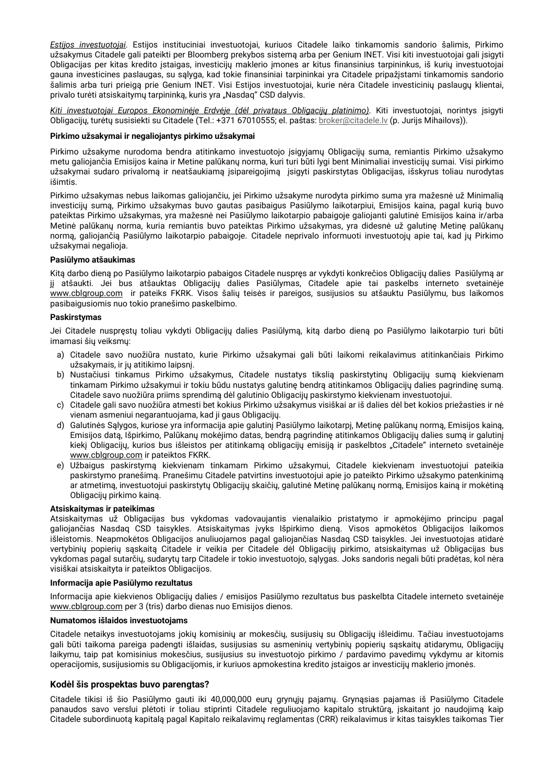*Estijos investuotojai*. Estijos instituciniai investuotojai, kuriuos Citadele laiko tinkamomis sandorio šalimis, Pirkimo užsakymus Citadele gali pateikti per Bloomberg prekybos sistemą arba per Genium INET. Visi kiti investuotojai gali įsigyti Obligacijas per kitas kredito įstaigas, investicijų maklerio įmones ar kitus finansinius tarpininkus, iš kurių investuotojai gauna investicines paslaugas, su sąlyga, kad tokie finansiniai tarpininkai yra Citadele pripažįstami tinkamomis sandorio šalimis arba turi prieigą prie Genium INET. Visi Estijos investuotojai, kurie nėra Citadele investicinių paslaugų klientai, privalo turėti atsiskaitymų tarpininką, kuris yra "Nasdaq" CSD dalyvis.

*Kiti investuotojai Europos Ekonominėje Erdvėje (dėl privataus Obligacijų platinimo)*. Kiti investuotojai, norintys įsigyti Obligacijų, turėtų susisiekti su Citadele (Tel.: +371 67010555; el. paštas[: broker@citadele.lv](mailto:broker@citadele.lv) (p. Jurijs Mihailovs)).

### **Pirkimo užsakymai ir negaliojantys pirkimo užsakymai**

Pirkimo užsakyme nurodoma bendra atitinkamo investuotojo įsigyjamų Obligacijų suma, remiantis Pirkimo užsakymo metu galiojančia Emisijos kaina ir Metine palūkanų norma, kuri turi būti lygi bent Minimaliai investicijų sumai. Visi pirkimo užsakymai sudaro privalomą ir neatšaukiamą įsipareigojimą įsigyti paskirstytas Obligacijas, išskyrus toliau nurodytas išimtis.

Pirkimo užsakymas nebus laikomas galiojančiu, jei Pirkimo užsakyme nurodyta pirkimo suma yra mažesnė už Minimalią investicijų sumą, Pirkimo užsakymas buvo gautas pasibaigus Pasiūlymo laikotarpiui, Emisijos kaina, pagal kurią buvo pateiktas Pirkimo užsakymas, yra mažesnė nei Pasiūlymo laikotarpio pabaigoje galiojanti galutinė Emisijos kaina ir/arba Metinė palūkanų norma, kuria remiantis buvo pateiktas Pirkimo užsakymas, yra didesnė už galutinę Metinę palūkanų normą, galiojančią Pasiūlymo laikotarpio pabaigoje. Citadele neprivalo informuoti investuotojų apie tai, kad jų Pirkimo užsakymai negalioja.

### **Pasiūlymo atšaukimas**

Kitą darbo dieną po Pasiūlymo laikotarpio pabaigos Citadele nuspręs ar vykdyti konkrečios Obligacijų dalies Pasiūlymą ar jį atšaukti. Jei bus atšauktas Obligacijų dalies Pasiūlymas, Citadele apie tai paskelbs interneto svetainėje [www.cblgroup.com](http://www.cblgroup.com/) ir pateiks FKRK. Visos šalių teisės ir pareigos, susijusios su atšauktu Pasiūlymu, bus laikomos pasibaigusiomis nuo tokio pranešimo paskelbimo.

### **Paskirstymas**

Jei Citadele nuspręstų toliau vykdyti Obligacijų dalies Pasiūlymą, kitą darbo dieną po Pasiūlymo laikotarpio turi būti imamasi šių veiksmų:

- a) Citadele savo nuožiūra nustato, kurie Pirkimo užsakymai gali būti laikomi reikalavimus atitinkančiais Pirkimo užsakymais, ir jų atitikimo laipsnį.
- b) Nustačiusi tinkamus Pirkimo užsakymus, Citadele nustatys tikslią paskirstytinų Obligacijų sumą kiekvienam tinkamam Pirkimo užsakymui ir tokiu būdu nustatys galutinę bendrą atitinkamos Obligacijų dalies pagrindinę sumą. Citadele savo nuožiūra priims sprendimą dėl galutinio Obligacijų paskirstymo kiekvienam investuotojui.
- c) Citadele gali savo nuožiūra atmesti bet kokius Pirkimo užsakymus visiškai ar iš dalies dėl bet kokios priežasties ir nė vienam asmeniui negarantuojama, kad ji gaus Obligacijų.
- d) Galutinės Sąlygos, kuriose yra informacija apie galutinį Pasiūlymo laikotarpį, Metinę palūkanų normą, Emisijos kainą, Emisijos datą, Išpirkimo, Palūkanų mokėjimo datas, bendrą pagrindinę atitinkamos Obligacijų dalies sumą ir galutinį kiekį Obligacijų, kurios bus išleistos per atitinkamą obligacijų emisiją ir paskelbtos "Citadele" interneto svetainėje www.cblgroup.com ir pateiktos FKRK.
- e) Užbaigus paskirstymą kiekvienam tinkamam Pirkimo užsakymui, Citadele kiekvienam investuotojui pateikia paskirstymo pranešimą. Pranešimu Citadele patvirtins investuotojui apie jo pateikto Pirkimo užsakymo patenkinimą ar atmetimą, investuotojui paskirstytų Obligacijų skaičių, galutinė Metinę palūkanų normą, Emisijos kainą ir mokėtiną Obligacijų pirkimo kainą.

### **Atsiskaitymas ir pateikimas**

Atsiskaitymas už Obligacijas bus vykdomas vadovaujantis vienalaikio pristatymo ir apmokėjimo principu pagal galiojančias Nasdaq CSD taisykles. Atsiskaitymas įvyks Išpirkimo dieną. Visos apmokėtos Obligacijos laikomos išleistomis. Neapmokėtos Obligacijos anuliuojamos pagal galiojančias Nasdaq CSD taisykles. Jei investuotojas atidarė vertybinių popierių sąskaitą Citadele ir veikia per Citadele dėl Obligacijų pirkimo, atsiskaitymas už Obligacijas bus vykdomas pagal sutarčių, sudarytų tarp Citadele ir tokio investuotojo, sąlygas. Joks sandoris negali būti pradėtas, kol nėra visiškai atsiskaityta ir pateiktos Obligacijos.

### **Informacija apie Pasiūlymo rezultatus**

Informacija apie kiekvienos Obligacijų dalies / emisijos Pasiūlymo rezultatus bus paskelbta Citadele interneto svetainėje www.cblgroup.com per 3 (tris) darbo dienas nuo Emisijos dienos.

### **Numatomos išlaidos investuotojams**

Citadele netaikys investuotojams jokių komisinių ar mokesčių, susijusių su Obligacijų išleidimu. Tačiau investuotojams gali būti taikoma pareiga padengti išlaidas, susijusias su asmeninių vertybinių popierių sąskaitų atidarymu, Obligacijų laikymu, taip pat komisinius mokesčius, susijusius su investuotojo pirkimo / pardavimo pavedimų vykdymu ar kitomis operacijomis, susijusiomis su Obligacijomis, ir kuriuos apmokestina kredito įstaigos ar investicijų maklerio įmonės.

### **Kodėl šis prospektas buvo parengtas?**

Citadele tikisi iš šio Pasiūlymo gauti iki 40,000,000 eurų grynųjų pajamų. Grynąsias pajamas iš Pasiūlymo Citadele panaudos savo verslui plėtoti ir toliau stiprinti Citadele reguliuojamo kapitalo struktūrą, įskaitant jo naudojimą kaip Citadele subordinuotą kapitalą pagal Kapitalo reikalavimų reglamentas (CRR) reikalavimus ir kitas taisykles taikomas Tier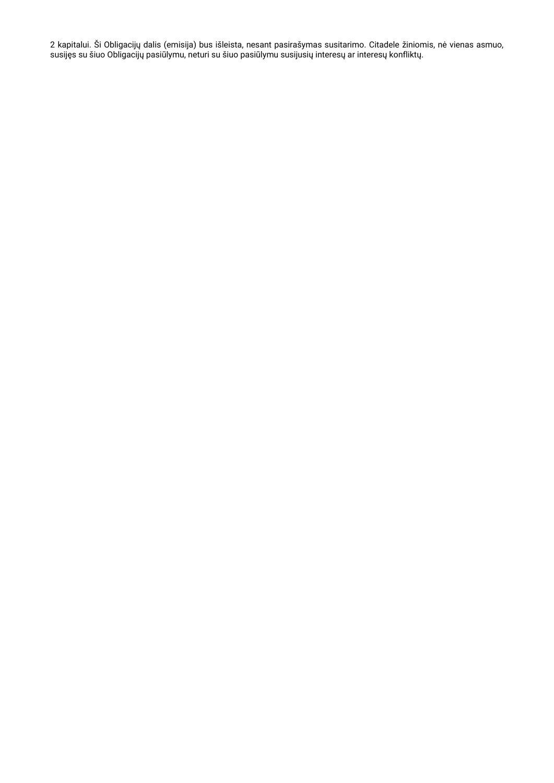2 kapitalui. Ši Obligacijų dalis (emisija) bus išleista, nesant pasirašymas susitarimo. Citadele žiniomis, nė vienas asmuo, susijęs su šiuo Obligacijų pasiūlymu, neturi su šiuo pasiūlymu susijusių interesų ar interesų konfliktų.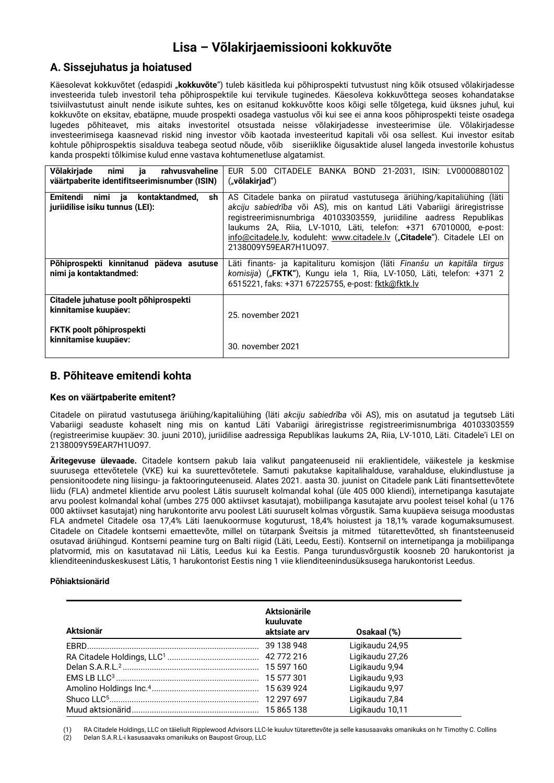# **Lisa – Võlakirjaemissiooni kokkuvõte**

# **A. Sissejuhatus ja hoiatused**

Käesolevat kokkuvõtet (edaspidi "**kokkuvõte**") tuleb käsitleda kui põhiprospekti tutvustust ning kõik otsused võlakirjadesse investeerida tuleb investoril teha põhiprospektile kui tervikule tuginedes. Käesoleva kokkuvõttega seoses kohandatakse tsiviilvastutust ainult nende isikute suhtes, kes on esitanud kokkuvõtte koos kõigi selle tõlgetega, kuid üksnes juhul, kui kokkuvõte on eksitav, ebatäpne, muude prospekti osadega vastuolus või kui see ei anna koos põhiprospekti teiste osadega lugedes põhiteavet, mis aitaks investoritel otsustada neisse võlakirjadesse investeerimise üle. Võlakirjadesse investeerimisega kaasnevad riskid ning investor võib kaotada investeeritud kapitali või osa sellest. Kui investor esitab kohtule põhiprospektis sisalduva teabega seotud nõude, võib siseriiklike õigusaktide alusel langeda investorile kohustus kanda prospekti tõlkimise kulud enne vastava kohtumenetluse algatamist.

| Võlakirjade<br>nimi<br>rahvusvaheline<br>ia<br>väärtpaberite identifitseerimisnumber (ISIN) | EUR 5.00 CITADELE BANKA BOND 21-2031, ISIN: LV0000880102<br>("võlakirjad")                                                                                                                                                                                                                                                                                                                       |
|---------------------------------------------------------------------------------------------|--------------------------------------------------------------------------------------------------------------------------------------------------------------------------------------------------------------------------------------------------------------------------------------------------------------------------------------------------------------------------------------------------|
| Emitendi<br>kontaktandmed.<br>nimi ja<br>sh<br>juriidilise isiku tunnus (LEI):              | AS Citadele banka on piiratud vastutusega äriühing/kapitaliühing (läti<br>akciju sabiedrība või AS), mis on kantud Läti Vabariigi äriregistrisse<br>registreerimisnumbriga 40103303559, juriidiline aadress Republikas<br>laukums 2A, Riia, LV-1010, Läti, telefon: +371 67010000, e-post:<br>info@citadele.lv, koduleht: www.citadele.lv ("Citadele"). Citadele LEI on<br>2138009Y59EAR7H1UO97. |
| Põhiprospekti kinnitanud pädeva asutuse<br>nimi ja kontaktandmed:                           | Läti finants- ja kapitalituru komisjon (läti Finanšu un kapitāla tirgus<br>komisija) ("FKTK"), Kungu iela 1, Riia, LV-1050, Läti, telefon: +371 2<br>6515221, faks: +371 67225755, e-post: fktk@fktk.lv                                                                                                                                                                                          |
| Citadele juhatuse poolt põhiprospekti<br>kinnitamise kuupäev:<br>FKTK poolt põhiprospekti   | 25. november 2021                                                                                                                                                                                                                                                                                                                                                                                |
| kinnitamise kuupäev:                                                                        | 30. november 2021                                                                                                                                                                                                                                                                                                                                                                                |

## **B. Põhiteave emitendi kohta**

### **Kes on väärtpaberite emitent?**

Citadele on piiratud vastutusega äriühing/kapitaliühing (läti *akciju sabiedrība* või AS), mis on asutatud ja tegutseb Läti Vabariigi seaduste kohaselt ning mis on kantud Läti Vabariigi äriregistrisse registreerimisnumbriga 40103303559 (registreerimise kuupäev: 30. juuni 2010), juriidilise aadressiga Republikas laukums 2A, Riia, LV-1010, Läti. Citadele'i LEI on 2138009Y59EAR7H1UO97.

**Äritegevuse ülevaade.** Citadele kontsern pakub laia valikut pangateenuseid nii eraklientidele, väikestele ja keskmise suurusega ettevõtetele (VKE) kui ka suurettevõtetele. Samuti pakutakse kapitalihalduse, varahalduse, elukindlustuse ja pensionitoodete ning liisingu- ja faktooringuteenuseid. Alates 2021. aasta 30. juunist on Citadele pank Läti finantsettevõtete liidu (FLA) andmetel klientide arvu poolest Lätis suuruselt kolmandal kohal (üle 405 000 kliendi), internetipanga kasutajate arvu poolest kolmandal kohal (umbes 275 000 aktiivset kasutajat), mobiilipanga kasutajate arvu poolest teisel kohal (u 176 000 aktiivset kasutajat) ning harukontorite arvu poolest Läti suuruselt kolmas võrgustik. Sama kuupäeva seisuga moodustas FLA andmetel Citadele osa 17,4% Läti laenukoormuse koguturust, 18,4% hoiustest ja 18,1% varade kogumaksumusest. Citadele on Citadele kontserni emaettevõte, millel on tütarpank Šveitsis ja mitmed tütarettevõtted, sh finantsteenuseid osutavad äriühingud. Kontserni peamine turg on Balti riigid (Läti, Leedu, Eesti). Kontsernil on internetipanga ja mobiilipanga platvormid, mis on kasutatavad nii Lätis, Leedus kui ka Eestis. Panga turundusvõrgustik koosneb 20 harukontorist ja klienditeeninduskeskusest Lätis, 1 harukontorist Eestis ning 1 viie klienditeenindusüksusega harukontorist Leedus.

### **Põhiaktsionärid**

|           | Aktsionärile<br>kuuluvate |                 |
|-----------|---------------------------|-----------------|
| Aktsionär | aktsiate arv              | Osakaal (%)     |
|           | 39 138 948                | Ligikaudu 24,95 |
|           |                           | Ligikaudu 27,26 |
|           |                           | Ligikaudu 9,94  |
|           |                           | Ligikaudu 9,93  |
|           |                           | Ligikaudu 9,97  |
|           |                           | Ligikaudu 7,84  |
|           |                           | Ligikaudu 10,11 |

(1) RA Citadele Holdings, LLC on täieliult Ripplewood Advisors LLC-le kuuluv tütarettevõte ja selle kasusaavaks omanikuks on hr Timothy C. Collins (2) Delan S.A.R.L-i kasusaavaks omanikuks on Baupost Group, LLC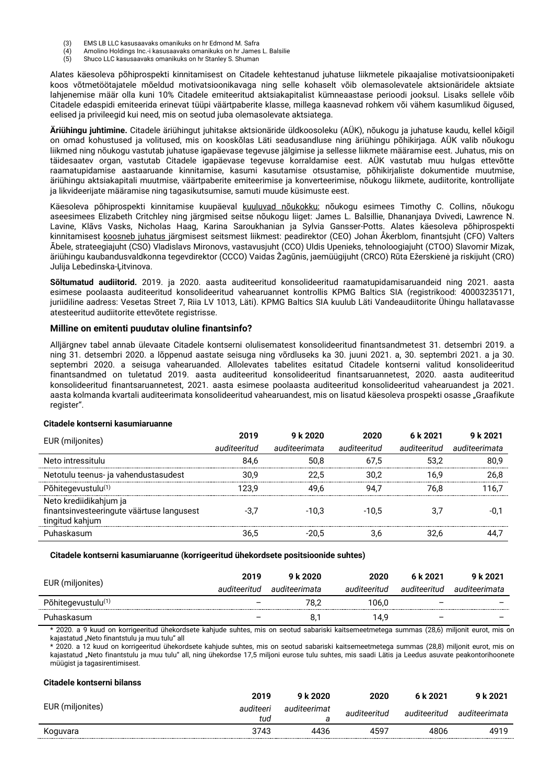- (3) EMS LB LLC kasusaavaks omanikuks on hr Edmond M. Safra
- (4) Amolino Holdings Inc.-i kasusaavaks omanikuks on hr James L. Balsilie
- (5) Shuco LLC kasusaavaks omanikuks on hr Stanley S. Shuman

Alates käesoleva põhiprospekti kinnitamisest on Citadele kehtestanud juhatuse liikmetele pikaajalise motivatsioonipaketi koos võtmetöötajatele mõeldud motivatsioonikavaga ning selle kohaselt võib olemasolevatele aktsionäridele aktsiate lahjenemise määr olla kuni 10% Citadele emiteeritud aktsiakapitalist kümneaastase perioodi jooksul. Lisaks sellele võib Citadele edaspidi emiteerida erinevat tüüpi väärtpaberite klasse, millega kaasnevad rohkem või vähem kasumlikud õigused, eelised ja privileegid kui need, mis on seotud juba olemasolevate aktsiatega.

**Äriühingu juhtimine.** Citadele äriühingut juhitakse aktsionäride üldkoosoleku (AÜK), nõukogu ja juhatuse kaudu, kellel kõigil on omad kohustused ja volitused, mis on kooskõlas Läti seadusandluse ning äriühingu põhikirjaga. AÜK valib nõukogu liikmed ning nõukogu vastutab juhatuse igapäevase tegevuse jälgimise ja sellesse liikmete määramise eest. Juhatus, mis on täidesaatev organ, vastutab Citadele igapäevase tegevuse korraldamise eest. AÜK vastutab muu hulgas ettevõtte raamatupidamise aastaaruande kinnitamise, kasumi kasutamise otsustamise, põhikirjaliste dokumentide muutmise, äriühingu aktsiakapitali muutmise, väärtpaberite emiteerimise ja konverteerimise, nõukogu liikmete, audiitorite, kontrollijate ja likvideerijate määramise ning tagasikutsumise, samuti muude küsimuste eest.

Käesoleva põhiprospekti kinnitamise kuupäeval kuuluvad nõukokku: nõukogu esimees Timothy C. Collins, nõukogu aseesimees Elizabeth Critchley ning järgmised seitse nõukogu liiget: James L. Balsillie, Dhananjaya Dvivedi, Lawrence N. Lavine, Klāvs Vasks, Nicholas Haag, Karina Saroukhanian ja Sylvia Gansser-Potts. Alates käesoleva põhiprospekti kinnitamisest koosneb juhatus järgmisest seitsmest liikmest: peadirektor (CEO) Johan Åkerblom, finantsjuht (CFO) Valters Ābele, strateegiajuht (CSO) Vladislavs Mironovs, vastavusjuht (CCO) Uldis Upenieks, tehnoloogiajuht (CTOO) Slavomir Mizak, äriühingu kaubandusvaldkonna tegevdirektor (CCCO) Vaidas Žagūnis, jaemüügijuht (CRCO) Rūta Ežerskienė ja riskijuht (CRO) Julija Lebedinska-Ļitvinova.

**Sõltumatud audiitorid.** 2019. ja 2020. aasta auditeeritud konsolideeritud raamatupidamisaruandeid ning 2021. aasta esimese poolaasta auditeeritud konsolideeritud vahearuannet kontrollis KPMG Baltics SIA (registrikood: 40003235171, juriidiline aadress: Vesetas Street 7, Riia LV 1013, Läti). KPMG Baltics SIA kuulub Läti Vandeaudiitorite Ühingu hallatavasse atesteeritud audiitorite ettevõtete registrisse.

### **Milline on emitenti puudutav oluline finantsinfo?**

Alljärgnev tabel annab ülevaate Citadele kontserni olulisematest konsolideeritud finantsandmetest 31. detsembri 2019. a ning 31. detsembri 2020. a lõppenud aastate seisuga ning võrdluseks ka 30. juuni 2021. a, 30. septembri 2021. a ja 30. septembri 2020. a seisuga vahearuanded. Allolevates tabelites esitatud Citadele kontserni valitud konsolideeritud finantsandmed on tuletatud 2019. aasta auditeeritud konsolideeritud finantsaruannetest, 2020. aasta auditeeritud konsolideeritud finantsaruannetest, 2021. aasta esimese poolaasta auditeeritud konsolideeritud vahearuandest ja 2021. aasta kolmanda kvartali auditeerimata konsolideeritud vahearuandest, mis on lisatud käesoleva prospekti osasse "Graafikute register".

### **Citadele kontserni kasumiaruanne**

| EUR (miljonites)                                                                       | 2019         | 9 k 2020      | 2020         | 6 k 2021     | 9 k 2021      |
|----------------------------------------------------------------------------------------|--------------|---------------|--------------|--------------|---------------|
|                                                                                        | auditeeritud | auditeerimata | auditeeritud | auditeeritud | auditeerimata |
| Neto intressitulu                                                                      |              | 50 R          |              |              | 80 G          |
| Netotulu teenus- ja vahendustasudest                                                   |              |               |              | 16 Q         | 26.8          |
| Põhitegevustulu <sup>(1)</sup>                                                         |              |               |              |              | 16.7          |
| Neto krediidikahjum ja<br>finantsinvesteeringute väärtuse langusest<br>tingitud kahjum |              | -10.3         | -10.5        |              |               |
| Puhaskasum                                                                             |              |               |              |              |               |

#### **Citadele kontserni kasumiaruanne (korrigeeritud ühekordsete positsioonide suhtes)**

| EUR (miljonites)               | 2019         | 9 k 2020      | 2020         | 6 k 2021     | 9 k 2021      |
|--------------------------------|--------------|---------------|--------------|--------------|---------------|
|                                | auditeeritud | auditeerimata | auditeeritud | auditeeritud | auditeerimata |
| Põhitegevustulu <sup>(1)</sup> |              | 78,2          | 106.0        |              |               |
| Puhaskasum                     |              |               | 14.9         |              | -             |

\* 2020. a 9 kuud on korrigeeritud ühekordsete kahjude suhtes, mis on seotud sabariski kaitsemeetmetega summas (28,6) miljonit eurot, mis on kajastatud "Neto finantstulu ja muu tulu" all

\* 2020. a 12 kuud on korrigeeritud ühekordsete kahjude suhtes, mis on seotud sabariski kaitsemeetmetega summas (28,8) miljonit eurot, mis on kajastatud "Neto finantstulu ja muu tulu" all, ning ühekordse 17,5 miljoni eurose tulu suhtes, mis saadi Lätis ja Leedus asuvate peakontorihoonete müügist ja tagasirentimisest.

### **Citadele kontserni bilanss**

|                  | 2019             | 9 k 2020     | 2020         | 6 k 2021     | 9 k 2021      |
|------------------|------------------|--------------|--------------|--------------|---------------|
| EUR (miljonites) | auditeeri<br>tud | auditeerimat | auditeeritud | auditeeritud | auditeerimata |
| Koguvara         | 3743             | 4436         | 4597         | 4806         | 4919          |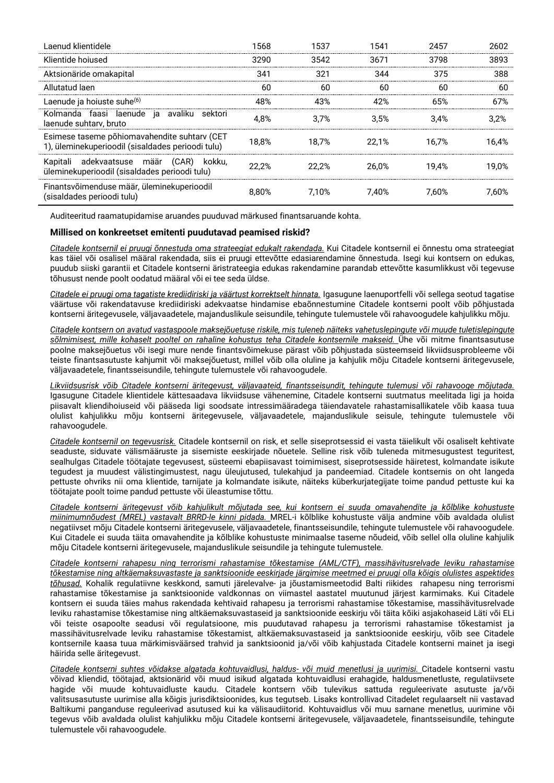| Laenud klientidele                                                                                | 1568  | 1537  | 541   | 2457  | 2602  |
|---------------------------------------------------------------------------------------------------|-------|-------|-------|-------|-------|
| Klientide hoiused                                                                                 | 3290  | 3542  | 3671  | 3798  | 3893  |
| Aktsionäride omakapital                                                                           | 341   | 321   | 344   | 375   | 388   |
| Allutatud laen                                                                                    | 60    | 60    | 60    | 60    | 60    |
| Laenude ja hoiuste suhe <sup>(6)</sup>                                                            | 48%   | 43%   | 42%   | 65%   | 67%   |
| Kolmanda faasi laenude ja avaliku sektori<br>laenude suhtarv, bruto                               | 4.8%  | 3.7%  | 3.5%  | 3.4%  | 32%   |
| Esimese taseme põhiomavahendite suhtarv (CET<br>1), üleminekuperioodil (sisaldades perioodi tulu) | 18.8% | 18.7% | 22.1% | 16.7% | 16.4% |
| Kapitali adekvaatsuse määr (CAR)<br>kokku.<br>üleminekuperioodil (sisaldades perioodi tulu)       | 22.2% | 22.2% | 26.0% | 19.4% | 19.0% |
| Finantsvõimenduse määr, üleminekuperioodil<br>(sisaldades perioodi tulu)                          | 8.80% | 7.10% | 7.40% | 7.60% | 7.60% |

Auditeeritud raamatupidamise aruandes puuduvad märkused finantsaruande kohta.

### **Millised on konkreetset emitenti puudutavad peamised riskid?**

*Citadele kontsernil ei pruugi õnnestuda oma strateegiat edukalt rakendada.* Kui Citadele kontsernil ei õnnestu oma strateegiat kas täiel või osalisel määral rakendada, siis ei pruugi ettevõtte edasiarendamine õnnestuda. Isegi kui kontsern on edukas, puudub siiski garantii et Citadele kontserni äristrateegia edukas rakendamine parandab ettevõtte kasumlikkust või tegevuse tõhusust nende poolt oodatud määral või ei tee seda üldse.

*Citadele ei pruugi oma tagatiste krediidiriski ja väärtust korrektselt hinnata.* Igasugune laenuportfelli või sellega seotud tagatise väärtuse või rakendatavuse krediidiriski adekvaatse hindamise ebaõnnestumine Citadele kontserni poolt võib põhjustada kontserni äritegevusele, väljavaadetele, majanduslikule seisundile, tehingute tulemustele või rahavoogudele kahjulikku mõju.

*Citadele kontsern on avatud vastaspoole maksejõuetuse riskile, mis tuleneb näiteks vahetuslepingute või muude tuletislepingute sõlmimisest, mille kohaselt pooltel on rahaline kohustus teha Citadele kontsernile makseid.* Ühe või mitme finantsasutuse poolne maksejõuetus või isegi mure nende finantsvõimekuse pärast võib põhjustada süsteemseid likviidsusprobleeme või teiste finantsasutuste kahjumit või maksejõuetust, millel võib olla oluline ja kahjulik mõju Citadele kontserni äritegevusele, väljavaadetele, finantsseisundile, tehingute tulemustele või rahavoogudele.

*Likviidsusrisk võib Citadele kontserni äritegevust, väljavaateid, finantsseisundit, tehingute tulemusi või rahavooge mõjutada.* Igasugune Citadele klientidele kättesaadava likviidsuse vähenemine, Citadele kontserni suutmatus meelitada ligi ja hoida piisavalt kliendihoiuseid või pääseda ligi soodsate intressimääradega täiendavatele rahastamisallikatele võib kaasa tuua olulist kahjulikku mõju kontserni äritegevusele, väljavaadetele, majanduslikule seisule, tehingute tulemustele või rahavoogudele.

*Citadele kontsernil on tegevusrisk.* Citadele kontsernil on risk, et selle siseprotsessid ei vasta täielikult või osaliselt kehtivate seaduste, siduvate välismääruste ja sisemiste eeskirjade nõuetele. Selline risk võib tuleneda mitmesugustest teguritest, sealhulgas Citadele töötajate tegevusest, süsteemi ebapiisavast toimimisest, siseprotsesside häiretest, kolmandate isikute tegudest ja muudest välistingimustest, nagu üleujutused, tulekahjud ja pandeemiad. Citadele kontsernis on oht langeda pettuste ohvriks nii oma klientide, tarnijate ja kolmandate isikute, näiteks küberkurjategijate toime pandud pettuste kui ka töötajate poolt toime pandud pettuste või üleastumise tõttu.

*Citadele kontserni äritegevust võib kahjulikult mõjutada see, kui kontsern ei suuda omavahendite ja kõlblike kohustuste miinimumnõudest (MREL) vastavalt BRRD-le kinni pidada.* MREL-i kõlblike kohustuste välja andmine võib avaldada olulist negatiivset mõju Citadele kontserni äritegevusele, väljavaadetele, finantsseisundile, tehingute tulemustele või rahavoogudele. Kui Citadele ei suuda täita omavahendite ja kõlblike kohustuste minimaalse taseme nõudeid, võib sellel olla oluline kahjulik mõju Citadele kontserni äritegevusele, majanduslikule seisundile ja tehingute tulemustele.

*Citadele kontserni rahapesu ning terrorismi rahastamise tõkestamise (AML/CTF), massihävitusrelvade leviku rahastamise tõkestamise ning altkäemaksuvastaste ja sanktsioonide eeskirjade järgimise meetmed ei pruugi olla kõigis olulistes aspektides tõhusad.* Kohalik regulatiivne keskkond, samuti järelevalve- ja jõustamismeetodid Balti riikides rahapesu ning terrorismi rahastamise tõkestamise ja sanktsioonide valdkonnas on viimastel aastatel muutunud järjest karmimaks. Kui Citadele kontsern ei suuda täies mahus rakendada kehtivaid rahapesu ja terrorismi rahastamise tõkestamise, massihävitusrelvade leviku rahastamise tõkestamise ning altkäemaksuvastaseid ja sanktsioonide eeskirju või täita kõiki asjakohaseid Läti või ELi või teiste osapoolte seadusi või regulatsioone, mis puudutavad rahapesu ja terrorismi rahastamise tõkestamist ja massihävitusrelvade leviku rahastamise tõkestamist, altkäemaksuvastaseid ja sanktsioonide eeskirju, võib see Citadele kontsernile kaasa tuua märkimisväärsed trahvid ja sanktsioonid ja/või võib kahjustada Citadele kontserni mainet ja isegi häirida selle äritegevust.

*Citadele kontserni suhtes võidakse algatada kohtuvaidlusi, haldus- või muid menetlusi ja uurimisi.* Citadele kontserni vastu võivad kliendid, töötajad, aktsionärid või muud isikud algatada kohtuvaidlusi erahagide, haldusmenetluste, regulatiivsete hagide või muude kohtuvaidluste kaudu. Citadele kontsern võib tulevikus sattuda reguleerivate asutuste ja/või valitsusasutuste uurimise alla kõigis jurisdiktsioonides, kus tegutseb. Lisaks kontrollivad Citadelet regulaarselt nii vastavad Baltikumi panganduse reguleerivad asutused kui ka välisaudiitorid. Kohtuvaidlus või muu sarnane menetlus, uurimine või tegevus võib avaldada olulist kahjulikku mõju Citadele kontserni äritegevusele, väljavaadetele, finantsseisundile, tehingute tulemustele või rahavoogudele.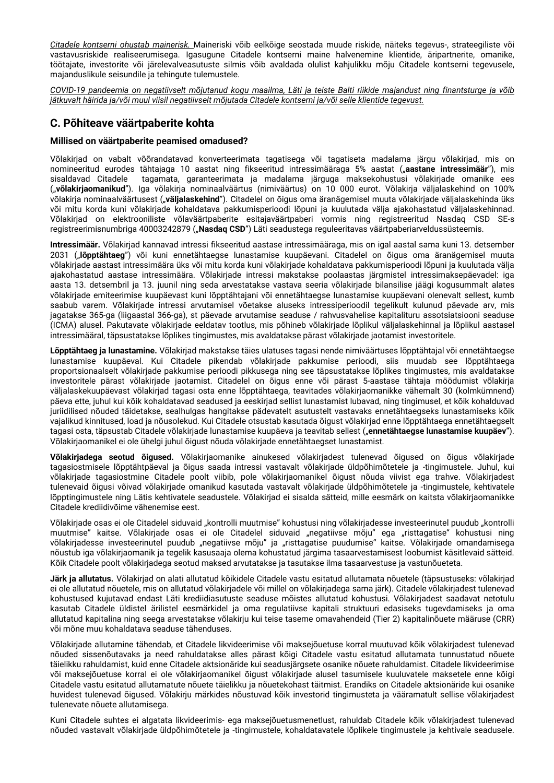*Citadele kontserni ohustab mainerisk.* Maineriski võib eelkõige seostada muude riskide, näiteks tegevus-, strateegiliste või vastavusriskide realiseerumisega. Igasugune Citadele kontserni maine halvenemine klientide, äripartnerite, omanike, töötajate, investorite või järelevalveasutuste silmis võib avaldada olulist kahjulikku mõju Citadele kontserni tegevusele, majanduslikule seisundile ja tehingute tulemustele.

*COVID-19 pandeemia on negatiivselt mõjutanud kogu maailma, Läti ja teiste Balti riikide majandust ning finantsturge ja võib jätkuvalt häirida ja/või muul viisil negatiivselt mõjutada Citadele kontserni ja/või selle klientide tegevust.*

# **C. Põhiteave väärtpaberite kohta**

### **Millised on väärtpaberite peamised omadused?**

Võlakirjad on vabalt võõrandatavad konverteerimata tagatisega või tagatiseta madalama järgu võlakirjad, mis on nomineeritud eurodes tähtajaga 10 aastat ning fikseeritud intressimääraga 5% aastat ("**aastane intressimäär**"), mis sisaldavad Citadele tagamata, garanteerimata ja madalama järguga maksekohustusi võlakirjade omanike ees ("**võlakirjaomanikud**"). Iga võlakirja nominaalväärtus (nimiväärtus) on 10 000 eurot. Võlakirja väljalaskehind on 100% võlakirja nominaalväärtusest ("**väljalaskehind**"). Citadelel on õigus oma äranägemisel muuta võlakirjade väljalaskehinda üks või mitu korda kuni võlakirjade kohaldatava pakkumisperioodi lõpuni ja kuulutada välja ajakohastatud väljalaskehinnad. Võlakirjad on elektrooniliste võlaväärtpaberite esitajaväärtpaberi vormis ning registreeritud Nasdaq CSD SE-s registreerimisnumbriga 40003242879 ("Nasdaq CSD") Läti seadustega reguleeritavas väärtpaberiarveldussüsteemis.

**Intressimäär.** Võlakirjad kannavad intressi fikseeritud aastase intressimääraga, mis on igal aastal sama kuni 13. detsember 2031 ("**lõpptähtaeg**") või kuni ennetähtaegse lunastamise kuupäevani. Citadelel on õigus oma äranägemisel muuta võlakirjade aastast intressimäära üks või mitu korda kuni võlakirjade kohaldatava pakkumisperioodi lõpuni ja kuulutada välja ajakohastatud aastase intressimäära. Võlakirjade intressi makstakse poolaastas järgmistel intressimaksepäevadel: iga aasta 13. detsembril ja 13. juunil ning seda arvestatakse vastava seeria võlakirjade bilansilise jäägi kogusummalt alates võlakirjade emiteerimise kuupäevast kuni lõpptähtajani või ennetähtaegse lunastamise kuupäevani olenevalt sellest, kumb saabub varem. Võlakirjade intressi arvutamisel võetakse aluseks intressiperioodil tegelikult kulunud päevade arv, mis jagatakse 365-ga (liigaastal 366-ga), st päevade arvutamise seaduse / rahvusvahelise kapitalituru assotsiatsiooni seaduse (ICMA) alusel. Pakutavate võlakirjade eeldatav tootlus, mis põhineb võlakirjade lõplikul väljalaskehinnal ja lõplikul aastasel intressimääral, täpsustatakse lõplikes tingimustes, mis avaldatakse pärast võlakirjade jaotamist investoritele.

**Lõpptähtaeg ja lunastamine.** Võlakirjad makstakse täies ulatuses tagasi nende nimiväärtuses lõpptähtajal või ennetähtaegse lunastamise kuupäeval. Kui Citadele pikendab võlakirjade pakkumise perioodi, siis muudab see lõpptähtaega proportsionaalselt võlakirjade pakkumise perioodi pikkusega ning see täpsustatakse lõplikes tingimustes, mis avaldatakse investoritele pärast võlakirjade jaotamist. Citadelel on õigus enne või pärast 5-aastase tähtaja möödumist võlakirja väljalaskekuupäevast võlakirjad tagasi osta enne lõpptähtaega, teavitades võlakirjaomanikke vähemalt 30 (kolmkümnend) päeva ette, juhul kui kõik kohaldatavad seadused ja eeskirjad sellist lunastamist lubavad, ning tingimusel, et kõik kohalduvad juriidilised nõuded täidetakse, sealhulgas hangitakse pädevatelt asutustelt vastavaks ennetähtaegseks lunastamiseks kõik vajalikud kinnitused, load ja nõusolekud. Kui Citadele otsustab kasutada õigust võlakirjad enne lõpptähtaega ennetähtaegselt tagasi osta, täpsustab Citadele võlakirjade lunastamise kuupäeva ja teavitab sellest ("**ennetähtaegse lunastamise kuupäev**"). Võlakirjaomanikel ei ole ühelgi juhul õigust nõuda võlakirjade ennetähtaegset lunastamist.

**Võlakirjadega seotud õigused.** Võlakirjaomanike ainukesed võlakirjadest tulenevad õigused on õigus võlakirjade tagasiostmisele lõpptähtpäeval ja õigus saada intressi vastavalt võlakirjade üldpõhimõtetele ja -tingimustele. Juhul, kui võlakirjade tagasiostmine Citadele poolt viibib, pole võlakirjaomanikel õigust nõuda viivist ega trahve. Võlakirjadest tulenevaid õigusi võivad võlakirjade omanikud kasutada vastavalt võlakirjade üldpõhimõtetele ja -tingimustele, kehtivatele lõpptingimustele ning Lätis kehtivatele seadustele. Võlakirjad ei sisalda sätteid, mille eesmärk on kaitsta võlakirjaomanikke Citadele krediidivõime vähenemise eest.

Võlakirjade osas ei ole Citadelel siduvaid "kontrolli muutmise" kohustusi ning võlakirjadesse investeerinutel puudub "kontrolli muutmise" kaitse. Võlakirjade osas ei ole Citadelel siduvaid "negatiivse mõju" ega "risttagatise" kohustusi ning võlakirjadesse investeerinutel puudub "negatiivse mõju" ja "risttagatise puudumise" kaitse. Võlakirjade omandamisega nõustub iga võlakirjaomanik ja tegelik kasusaaja olema kohustatud järgima tasaarvestamisest loobumist käsitlevaid sätteid. Kõik Citadele poolt võlakirjadega seotud maksed arvutatakse ja tasutakse ilma tasaarvestuse ja vastunõueteta.

**Järk ja allutatus.** Võlakirjad on alati allutatud kõikidele Citadele vastu esitatud allutamata nõuetele (täpsustuseks: võlakirjad ei ole allutatud nõuetele, mis on allutatud võlakirjadele või millel on võlakirjadega sama järk). Citadele võlakirjadest tulenevad kohustused kujutavad endast Läti krediidiasutuste seaduse mõistes allutatud kohustusi. Võlakirjadest saadavat netotulu kasutab Citadele üldistel ärilistel eesmärkidel ja oma regulatiivse kapitali struktuuri edasiseks tugevdamiseks ja oma allutatud kapitalina ning seega arvestatakse võlakirju kui teise taseme omavahendeid (Tier 2) kapitalinõuete määruse (CRR) või mõne muu kohaldatava seaduse tähenduses.

Võlakirjade allutamine tähendab, et Citadele likvideerimise või maksejõuetuse korral muutuvad kõik võlakirjadest tulenevad nõuded sissenõutavaks ja need rahuldatakse alles pärast kõigi Citadele vastu esitatud allutamata tunnustatud nõuete täielikku rahuldamist, kuid enne Citadele aktsionäride kui seadusjärgsete osanike nõuete rahuldamist. Citadele likvideerimise või maksejõuetuse korral ei ole võlakirjaomanikel õigust võlakirjade alusel tasumisele kuuluvatele maksetele enne kõigi Citadele vastu esitatud allutamatute nõuete täielikku ja nõuetekohast täitmist. Erandiks on Citadele aktsionäride kui osanike huvidest tulenevad õigused. Võlakirju märkides nõustuvad kõik investorid tingimusteta ja vääramatult sellise võlakirjadest tulenevate nõuete allutamisega.

Kuni Citadele suhtes ei algatata likvideerimis- ega maksejõuetusmenetlust, rahuldab Citadele kõik võlakirjadest tulenevad nõuded vastavalt võlakirjade üldpõhimõtetele ja -tingimustele, kohaldatavatele lõplikele tingimustele ja kehtivale seadusele.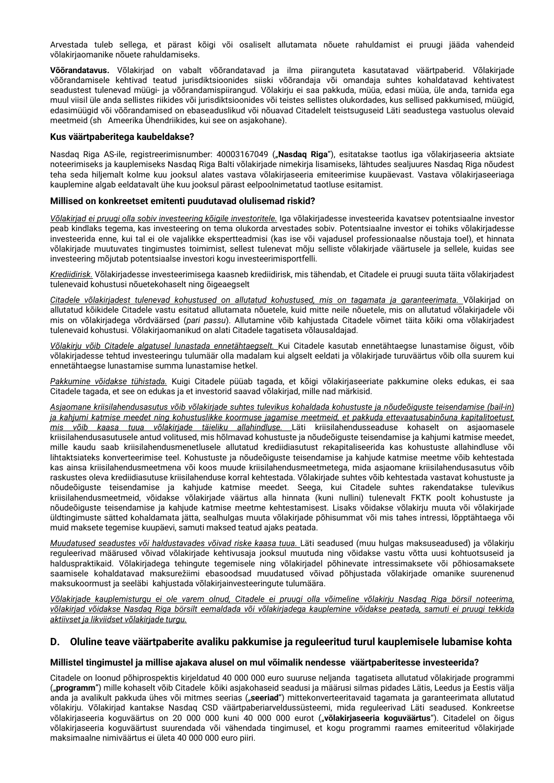Arvestada tuleb sellega, et pärast kõigi või osaliselt allutamata nõuete rahuldamist ei pruugi jääda vahendeid võlakirjaomanike nõuete rahuldamiseks.

**Võõrandatavus.** Võlakirjad on vabalt võõrandatavad ja ilma piiranguteta kasutatavad väärtpaberid. Võlakirjade võõrandamisele kehtivad teatud jurisdiktsioonides siiski võõrandaja või omandaja suhtes kohaldatavad kehtivatest seadustest tulenevad müügi- ja võõrandamispiirangud. Võlakirju ei saa pakkuda, müüa, edasi müüa, üle anda, tarnida ega muul viisil üle anda sellistes riikides või jurisdiktsioonides või teistes sellistes olukordades, kus sellised pakkumised, müügid, edasimüügid või võõrandamised on ebaseaduslikud või nõuavad Citadelelt teistsuguseid Läti seadustega vastuolus olevaid meetmeid (sh Ameerika Ühendriikides, kui see on asjakohane).

### **Kus väärtpaberitega kaubeldakse?**

Nasdaq Riga AS-ile, registreerimisnumber: 40003167049 ("**Nasdaq Riga**"), esitatakse taotlus iga võlakirjaseeria aktsiate noteerimiseks ja kauplemiseks Nasdaq Riga Balti võlakirjade nimekirja lisamiseks, lähtudes sealjuures Nasdaq Riga nõudest teha seda hiljemalt kolme kuu jooksul alates vastava võlakirjaseeria emiteerimise kuupäevast. Vastava võlakirjaseeriaga kauplemine algab eeldatavalt ühe kuu jooksul pärast eelpoolnimetatud taotluse esitamist.

### **Millised on konkreetset emitenti puudutavad olulisemad riskid?**

*Võlakirjad ei pruugi olla sobiv investeering kõigile investoritele.* Iga võlakirjadesse investeerida kavatsev potentsiaalne investor peab kindlaks tegema, kas investeering on tema olukorda arvestades sobiv. Potentsiaalne investor ei tohiks võlakirjadesse investeerida enne, kui tal ei ole vajalikke ekspertteadmisi (kas ise või vajadusel professionaalse nõustaja toel), et hinnata võlakirjade muutuvates tingimustes toimimist, sellest tulenevat mõju selliste võlakirjade väärtusele ja sellele, kuidas see investeering mõjutab potentsiaalse investori kogu investeerimisportfelli.

*Krediidirisk.* Võlakirjadesse investeerimisega kaasneb krediidirisk, mis tähendab, et Citadele ei pruugi suuta täita võlakirjadest tulenevaid kohustusi nõuetekohaselt ning õigeaegselt

*Citadele võlakirjadest tulenevad kohustused on allutatud kohustused, mis on tagamata ja garanteerimata.* Võlakirjad on allutatud kõikidele Citadele vastu esitatud allutamata nõuetele, kuid mitte neile nõuetele, mis on allutatud võlakirjadele või mis on võlakirjadega võrdväärsed (*pari passu*). Allutamine võib kahjustada Citadele võimet täita kõiki oma võlakirjadest tulenevaid kohustusi. Võlakirjaomanikud on alati Citadele tagatiseta võlausaldajad.

*Võlakirju võib Citadele algatusel lunastada ennetähtaegselt.* Kui Citadele kasutab ennetähtaegse lunastamise õigust, võib võlakirjadesse tehtud investeeringu tulumäär olla madalam kui algselt eeldati ja võlakirjade turuväärtus võib olla suurem kui ennetähtaegse lunastamise summa lunastamise hetkel.

*Pakkumine võidakse tühistada.* Kuigi Citadele püüab tagada, et kõigi võlakirjaseeriate pakkumine oleks edukas, ei saa Citadele tagada, et see on edukas ja et investorid saavad võlakirjad, mille nad märkisid.

*Asjaomane kriisilahendusasutus võib võlakirjade suhtes tulevikus kohaldada kohustuste ja nõudeõiguste teisendamise (bail-in) ja kahjumi katmise meedet ning kohustuslikke koormuse jagamise meetmeid, et pakkuda ettevaatusabinõuna kapitalitoetust, mis võib kaasa tuua võlakirjade täieliku allahindluse.* Läti kriisilahendusseaduse kohaselt on asjaomasele kriisilahendusasutusele antud volitused, mis hõlmavad kohustuste ja nõudeõiguste teisendamise ja kahjumi katmise meedet, mille kaudu saab kriisilahendusmenetlusele allutatud krediidiasutust rekapitaliseerida kas kohustuste allahindluse või lihtaktsiateks konverteerimise teel. Kohustuste ja nõudeõiguste teisendamise ja kahjude katmise meetme võib kehtestada kas ainsa kriisilahendusmeetmena või koos muude kriisilahendusmeetmetega, mida asjaomane kriisilahendusasutus võib raskustes oleva krediidiasutuse kriisilahenduse korral kehtestada. Võlakirjade suhtes võib kehtestada vastavat kohustuste ja nõudeõiguste teisendamise ja kahjude katmise meedet. Seega, kui Citadele suhtes rakendatakse tulevikus kriisilahendusmeetmeid, võidakse võlakirjade väärtus alla hinnata (kuni nullini) tulenevalt FKTK poolt kohustuste ja nõudeõiguste teisendamise ja kahjude katmise meetme kehtestamisest. Lisaks võidakse võlakirju muuta või võlakirjade üldtingimuste sätted kohaldamata jätta, sealhulgas muuta võlakirjade põhisummat või mis tahes intressi, lõpptähtaega või muid maksete tegemise kuupäevi, samuti maksed teatud ajaks peatada.

*Muudatused seadustes või haldustavades võivad riske kaasa tuua.* Läti seadused (muu hulgas maksuseadused) ja võlakirju reguleerivad määrused võivad võlakirjade kehtivusaja jooksul muutuda ning võidakse vastu võtta uusi kohtuotsuseid ja halduspraktikaid. Võlakirjadega tehingute tegemisele ning võlakirjadel põhinevate intressimaksete või põhiosamaksete saamisele kohaldatavad maksurežiimi ebasoodsad muudatused võivad põhjustada võlakirjade omanike suurenenud maksukoormust ja seeläbi kahjustada võlakirjainvesteeringute tulumäära.

*Võlakirjade kauplemisturgu ei ole varem olnud, Citadele ei pruugi olla võimeline võlakirju Nasdaq Riga börsil noteerima, võlakirjad võidakse Nasdaq Riga börsilt eemaldada või võlakirjadega kauplemine võidakse peatada, samuti ei pruugi tekkida aktiivset ja likviidset võlakirjade turgu.*

### **D. Oluline teave väärtpaberite avaliku pakkumise ja reguleeritud turul kauplemisele lubamise kohta**

### **Millistel tingimustel ja millise ajakava alusel on mul võimalik nendesse väärtpaberitesse investeerida?**

Citadele on loonud põhiprospektis kirjeldatud 40 000 000 euro suuruse neljanda tagatiseta allutatud võlakirjade programmi ("**programm**") mille kohaselt võib Citadele kõiki asjakohaseid seadusi ja määrusi silmas pidades Lätis, Leedus ja Eestis välja anda ja avalikult pakkuda ühes või mitmes seerias ("**seeriad**") mittekonverteeritavaid tagamata ja garanteerimata allutatud võlakirju. Võlakirjad kantakse Nasdaq CSD väärtpaberiarveldussüsteemi, mida reguleerivad Läti seadused. Konkreetse võlakirjaseeria koguväärtus on 20 000 000 kuni 40 000 000 eurot ("**võlakirjaseeria koguväärtus**"). Citadelel on õigus võlakirjaseeria koguväärtust suurendada või vähendada tingimusel, et kogu programmi raames emiteeritud võlakirjade maksimaalne nimiväärtus ei ületa 40 000 000 euro piiri.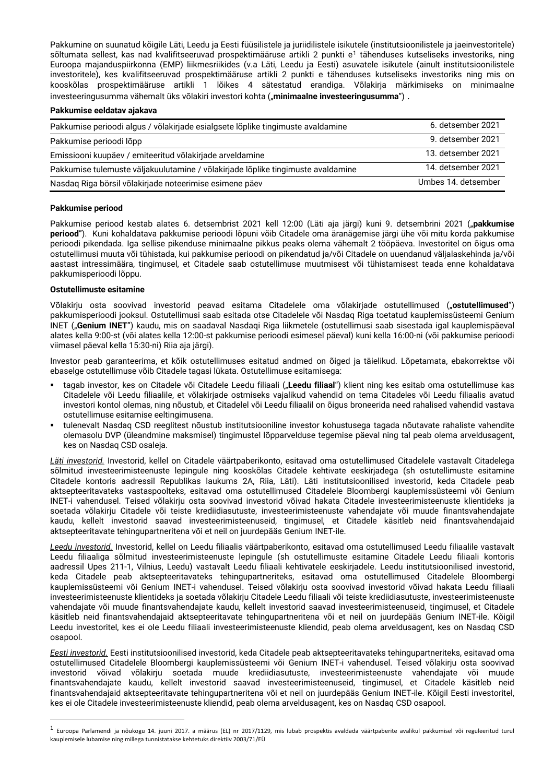Pakkumine on suunatud kõigile Läti, Leedu ja Eesti füüsilistele ja juriidilistele isikutele (institutsioonilistele ja jaeinvestoritele) sõltumata sellest, kas nad kvalifitseeruvad prospektimääruse artikli 2 punkti e<sup>[1](#page-32-0)</sup> tähenduses kutseliseks investoriks, ning Euroopa majanduspiirkonna (EMP) liikmesriikides (v.a Läti, Leedu ja Eesti) asuvatele isikutele (ainult institutsioonilistele investoritele), kes kvalifitseeruvad prospektimääruse artikli 2 punkti e tähenduses kutseliseks investoriks ning mis on kooskõlas prospektimääruse artikli 1 lõikes 4 sätestatud erandiga. Võlakirja märkimiseks on minimaalne investeeringusumma vähemalt üks võlakiri investori kohta ("minimaalne investeeringusumma").

### **Pakkumise eeldatav ajakava**

| Pakkumise perioodi algus / võlakirjade esialgsete lõplike tingimuste avaldamine  | 6. detsember 2021   |
|----------------------------------------------------------------------------------|---------------------|
| Pakkumise perioodi lõpp                                                          | 9. detsember 2021   |
| Emissiooni kuupäev / emiteeritud võlakirjade arveldamine                         | 13. detsember 2021  |
| Pakkumise tulemuste väljakuulutamine / võlakirjade lõplike tingimuste avaldamine | 14. detsember 2021  |
| Nasdaq Riga börsil võlakirjade noteerimise esimene päev                          | Umbes 14. detsember |

#### **Pakkumise periood**

Pakkumise periood kestab alates 6. detsembrist 2021 kell 12:00 (Läti aja järgi) kuni 9. detsembrini 2021 ("**pakkumise periood**"). Kuni kohaldatava pakkumise perioodi lõpuni võib Citadele oma äranägemise järgi ühe või mitu korda pakkumise perioodi pikendada. Iga sellise pikenduse minimaalne pikkus peaks olema vähemalt 2 tööpäeva. Investoritel on õigus oma ostutellimusi muuta või tühistada, kui pakkumise perioodi on pikendatud ja/või Citadele on uuendanud väljalaskehinda ja/või aastast intressimäära, tingimusel, et Citadele saab ostutellimuse muutmisest või tühistamisest teada enne kohaldatava pakkumisperioodi lõppu.

### **Ostutellimuste esitamine**

Võlakirju osta soovivad investorid peavad esitama Citadelele oma võlakirjade ostutellimused ("**ostutellimused**") pakkumisperioodi jooksul. Ostutellimusi saab esitada otse Citadelele või Nasdaq Riga toetatud kauplemissüsteemi Genium INET ("**Genium INET**") kaudu, mis on saadaval Nasdaqi Riga liikmetele (ostutellimusi saab sisestada igal kauplemispäeval alates kella 9:00-st (või alates kella 12:00-st pakkumise perioodi esimesel päeval) kuni kella 16:00-ni (või pakkumise perioodi viimasel päeval kella 15:30-ni) Riia aja järgi).

Investor peab garanteerima, et kõik ostutellimuses esitatud andmed on õiged ja täielikud. Lõpetamata, ebakorrektse või ebaselge ostutellimuse võib Citadele tagasi lükata. Ostutellimuse esitamisega:

- tagab investor, kes on Citadele või Citadele Leedu filiaali ("**Leedu filiaal**") klient ning kes esitab oma ostutellimuse kas Citadelele või Leedu filiaalile, et võlakirjade ostmiseks vajalikud vahendid on tema Citadeles või Leedu filiaalis avatud investori kontol olemas, ning nõustub, et Citadelel või Leedu filiaalil on õigus broneerida need rahalised vahendid vastava ostutellimuse esitamise eeltingimusena.
- tulenevalt Nasdaq CSD reeglitest nõustub institutsiooniline investor kohustusega tagada nõutavate rahaliste vahendite olemasolu DVP (üleandmine maksmisel) tingimustel lõpparvelduse tegemise päeval ning tal peab olema arveldusagent, kes on Nasdaq CSD osaleja.

*Läti investorid.* Investorid, kellel on Citadele väärtpaberikonto, esitavad oma ostutellimused Citadelele vastavalt Citadelega sõlmitud investeerimisteenuste lepingule ning kooskõlas Citadele kehtivate eeskirjadega (sh ostutellimuste esitamine Citadele kontoris aadressil Republikas laukums 2A, Riia, Läti). Läti institutsioonilised investorid, keda Citadele peab aktsepteeritavateks vastaspoolteks, esitavad oma ostutellimused Citadelele Bloombergi kauplemissüsteemi või Genium INET-i vahendusel. Teised võlakirju osta soovivad investorid võivad hakata Citadele investeerimisteenuste klientideks ja soetada võlakirju Citadele või teiste krediidiasutuste, investeerimisteenuste vahendajate või muude finantsvahendajate kaudu, kellelt investorid saavad investeerimisteenuseid, tingimusel, et Citadele käsitleb neid finantsvahendajaid aktsepteeritavate tehingupartneritena või et neil on juurdepääs Genium INET-ile.

*Leedu investorid.* Investorid, kellel on Leedu filiaalis väärtpaberikonto, esitavad oma ostutellimused Leedu filiaalile vastavalt Leedu filiaaliga sõlmitud investeerimisteenuste lepingule (sh ostutellimuste esitamine Citadele Leedu filiaali kontoris aadressil Upes 211-1, Vilnius, Leedu) vastavalt Leedu filiaali kehtivatele eeskirjadele. Leedu institutsioonilised investorid, keda Citadele peab aktsepteeritavateks tehingupartneriteks, esitavad oma ostutellimused Citadelele Bloombergi kauplemissüsteemi või Genium INET-i vahendusel. Teised võlakirju osta soovivad investorid võivad hakata Leedu filiaali investeerimisteenuste klientideks ja soetada võlakirju Citadele Leedu filiaali või teiste krediidiasutuste, investeerimisteenuste vahendajate või muude finantsvahendajate kaudu, kellelt investorid saavad investeerimisteenuseid, tingimusel, et Citadele käsitleb neid finantsvahendajaid aktsepteeritavate tehingupartneritena või et neil on juurdepääs Genium INET-ile. Kõigil Leedu investoritel, kes ei ole Leedu filiaali investeerimisteenuste kliendid, peab olema arveldusagent, kes on Nasdaq CSD osapool.

*Eesti investorid.* Eesti institutsioonilised investorid, keda Citadele peab aktsepteeritavateks tehingupartneriteks, esitavad oma ostutellimused Citadelele Bloombergi kauplemissüsteemi või Genium INET-i vahendusel. Teised võlakirju osta soovivad investorid võivad võlakirju soetada muude krediidiasutuste, investeerimisteenuste vahendajate või muude finantsvahendajate kaudu, kellelt investorid saavad investeerimisteenuseid, tingimusel, et Citadele käsitleb neid finantsvahendajaid aktsepteeritavate tehingupartneritena või et neil on juurdepääs Genium INET-ile. Kõigil Eesti investoritel, kes ei ole Citadele investeerimisteenuste kliendid, peab olema arveldusagent, kes on Nasdaq CSD osapool.

<span id="page-32-0"></span><sup>1</sup> Euroopa Parlamendi ja nõukogu 14. juuni 2017. a määrus (EL) nr 2017/1129, mis lubab prospektis avaldada väärtpaberite avalikul pakkumisel või reguleeritud turul kauplemisele lubamise ning millega tunnistatakse kehtetuks direktiiv 2003/71/EÜ